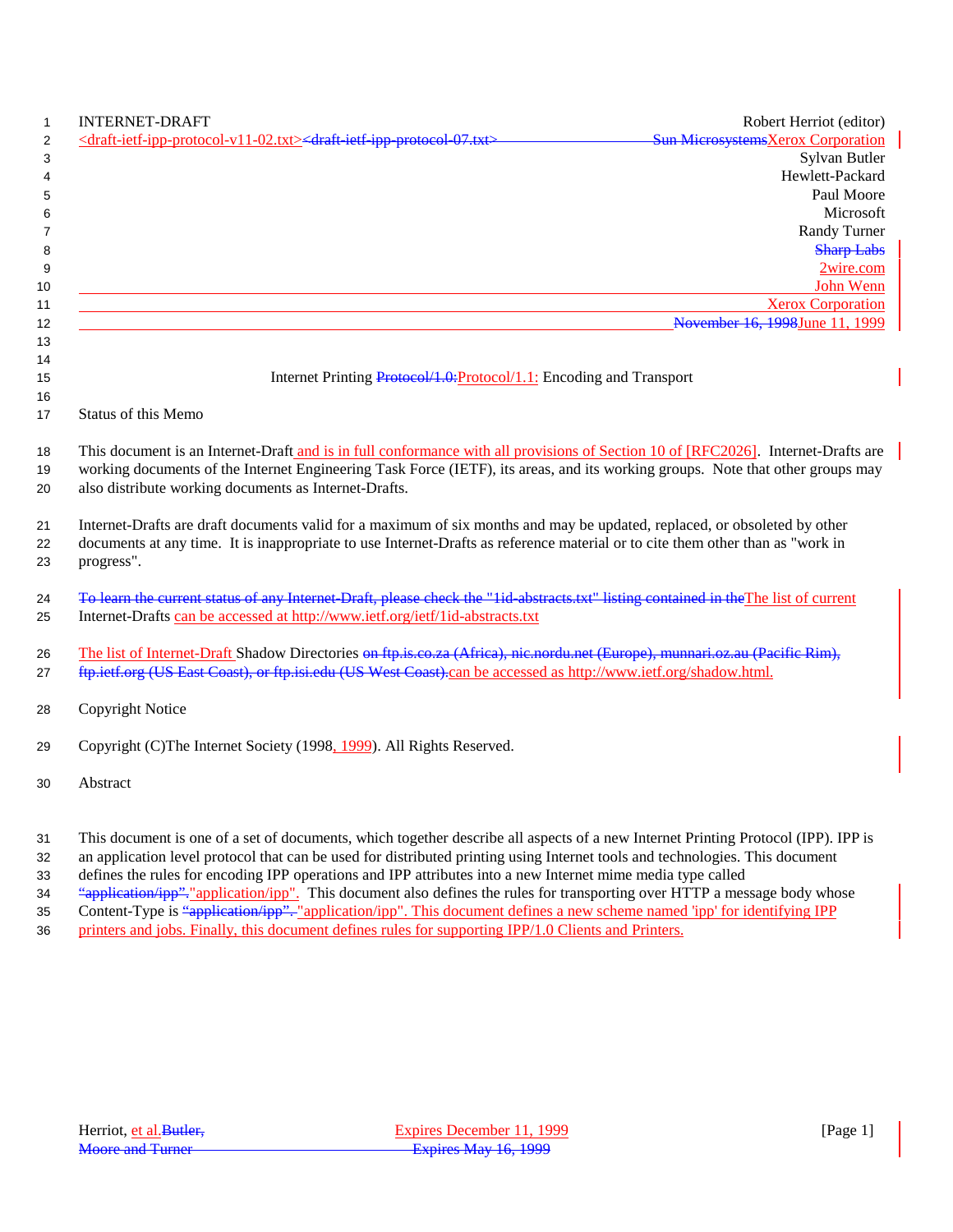| <b>INTERNET-DRAFT</b>                                                                                                                                                                   | Robert Herriot (editor)                                    |
|-----------------------------------------------------------------------------------------------------------------------------------------------------------------------------------------|------------------------------------------------------------|
| <draft-ietf-ipp-protocol-v11-02.txt><draft-ietf-ipp-protocol-07.txt></draft-ietf-ipp-protocol-07.txt></draft-ietf-ipp-protocol-v11-02.txt>                                              | <b>Sun MicrosystemsXerox Corporation</b>                   |
|                                                                                                                                                                                         | Sylvan Butler                                              |
|                                                                                                                                                                                         | Hewlett-Packard                                            |
|                                                                                                                                                                                         | Paul Moore                                                 |
|                                                                                                                                                                                         | Microsoft                                                  |
|                                                                                                                                                                                         | Randy Turner                                               |
|                                                                                                                                                                                         | <b>Sharp Labs</b>                                          |
|                                                                                                                                                                                         | 2wire.com                                                  |
|                                                                                                                                                                                         | John Wenn                                                  |
|                                                                                                                                                                                         | <b>Xerox Corporation</b><br>November 16, 1998June 11, 1999 |
|                                                                                                                                                                                         |                                                            |
|                                                                                                                                                                                         |                                                            |
| Internet Printing Protocol/1.0: Protocol/1.1: Encoding and Transport                                                                                                                    |                                                            |
|                                                                                                                                                                                         |                                                            |
| Status of this Memo                                                                                                                                                                     |                                                            |
|                                                                                                                                                                                         |                                                            |
| This document is an Internet-Draft and is in full conformance with all provisions of Section 10 of [RFC2026]. Internet-Drafts are                                                       |                                                            |
| working documents of the Internet Engineering Task Force (IETF), its areas, and its working groups. Note that other groups may<br>also distribute working documents as Internet-Drafts. |                                                            |
|                                                                                                                                                                                         |                                                            |
| Internet-Drafts are draft documents valid for a maximum of six months and may be updated, replaced, or obsoleted by other                                                               |                                                            |
| documents at any time. It is inappropriate to use Internet-Drafts as reference material or to cite them other than as "work in                                                          |                                                            |
| progress".                                                                                                                                                                              |                                                            |
|                                                                                                                                                                                         |                                                            |
| To learn the current status of any Internet-Draft, please check the "lid-abstracts.txt" listing contained in the The list of current                                                    |                                                            |
| Internet-Drafts can be accessed at http://www.ietf.org/ietf/1id-abstracts.txt                                                                                                           |                                                            |
|                                                                                                                                                                                         |                                                            |
| The list of Internet-Draft Shadow Directories on ftp.is.co.za (Africa), nic.nordu.net (Europe), munnari.oz.au (Pacific Rim),                                                            |                                                            |
| ftp.ietf.org (US East Coast), or ftp.isi.edu (US West Coast).can be accessed as http://www.ietf.org/shadow.html.                                                                        |                                                            |
| <b>Copyright Notice</b>                                                                                                                                                                 |                                                            |
|                                                                                                                                                                                         |                                                            |
| Copyright (C)The Internet Society (1998, 1999). All Rights Reserved.                                                                                                                    |                                                            |
|                                                                                                                                                                                         |                                                            |
| Abstract                                                                                                                                                                                |                                                            |
|                                                                                                                                                                                         |                                                            |
|                                                                                                                                                                                         |                                                            |

This document is one of a set of documents, which together describe all aspects of a new Internet Printing Protocol (IPP). IPP is

an application level protocol that can be used for distributed printing using Internet tools and technologies. This document

defines the rules for encoding IPP operations and IPP attributes into a new Internet mime media type called

34 "application/ipp". "application/ipp". This document also defines the rules for transporting over HTTP a message body whose 35 Content-Type is "application/ipp". "application/ipp". This document defines a new scheme named 'ipp' for identifying IPP

36 printers and jobs. Finally, this document defines rules for supporting IPP/1.0 Clients and Printers.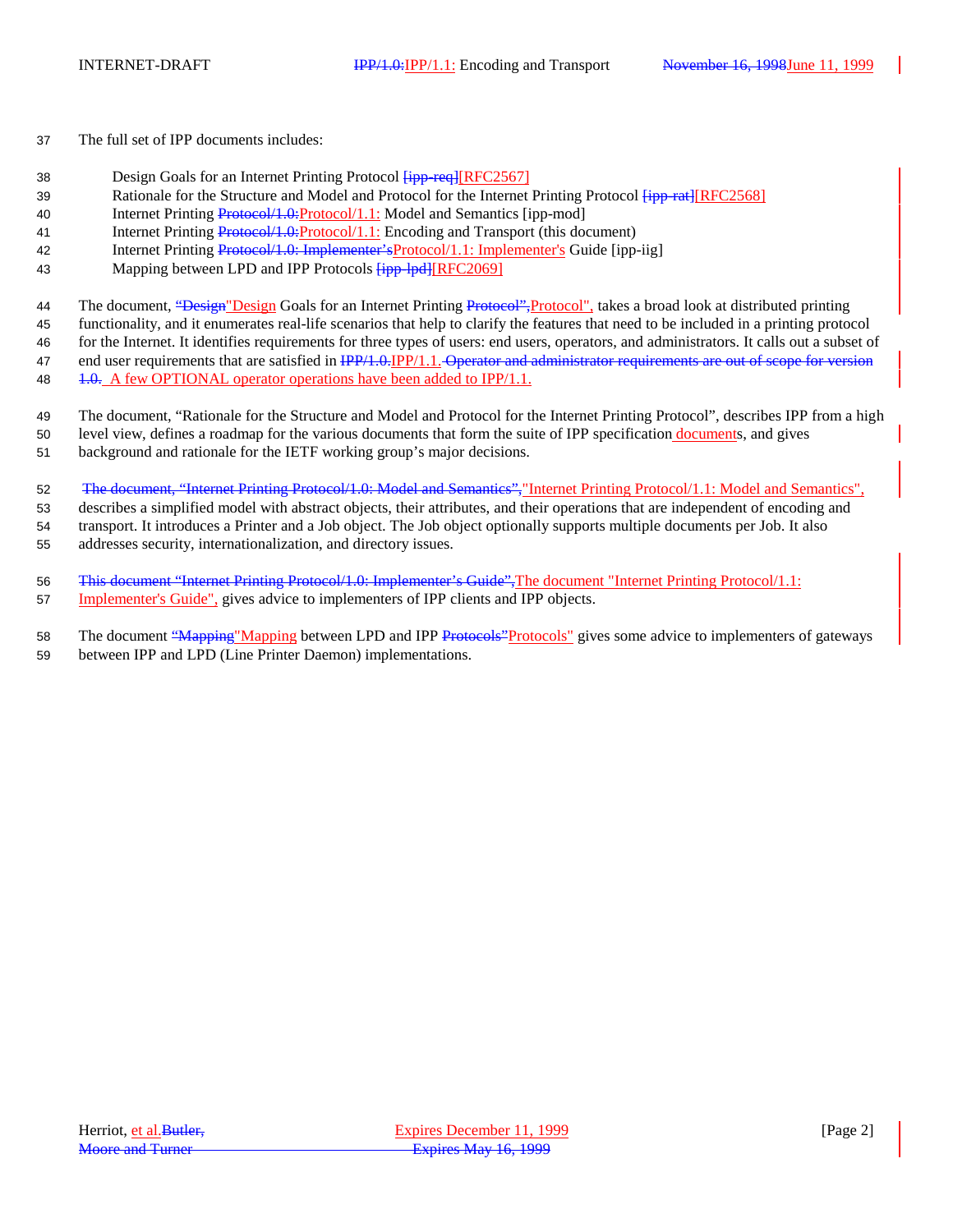- 37 The full set of IPP documents includes:
- 38 Design Goals for an Internet Printing Protocol  $\frac{[ipp+req][RFC2567]}{[ipp+req][RFC2567]}$
- 39 Rationale for the Structure and Model and Protocol for the Internet Printing Protocol  $\overline{\text{fipp-rat}|\text{RFC}2568|}$
- 40 Internet Printing Protocol/1.0:Protocol/1.1: Model and Semantics [ipp-mod]
- 41 Internet Printing Protocol/1.0:Protocol/1.1: Encoding and Transport (this document)
- 42 Internet Printing Protocol/1.0: Implementer'sProtocol/1.1: Implementer's Guide [ipp-iig]
- 43 Mapping between LPD and IPP Protocols  $\overline{f_{\text{ipp}-\text{lpd}}}[RFC2069]$
- 44 The document, "Design" Design Goals for an Internet Printing Protocol", protocol", takes a broad look at distributed printing
- 45 functionality, and it enumerates real-life scenarios that help to clarify the features that need to be included in a printing protocol
- 46 for the Internet. It identifies requirements for three types of users: end users, operators, and administrators. It calls out a subset of
- 47 end user requirements that are satisfied in IPP/1.0.IPP/1.1. Operator and administrator requirements are out of scope for version 48 1.0. A few OPTIONAL operator operations have been added to IPP/1.1.
- 49 The document, "Rationale for the Structure and Model and Protocol for the Internet Printing Protocol", describes IPP from a high 50 level view, defines a roadmap for the various documents that form the suite of IPP specification documents, and gives
- 51 background and rationale for the IETF working group's major decisions.
- 52 The document, "Internet Printing Protocol/1.0: Model and Semantics","Internet Printing Protocol/1.1: Model and Semantics",
- 53 describes a simplified model with abstract objects, their attributes, and their operations that are independent of encoding and 54 transport. It introduces a Printer and a Job object. The Job object optionally supports multiple documents per Job. It also
- 55 addresses security, internationalization, and directory issues.
- 56 This document "Internet Printing Protocol/1.0: Implementer's Guide", The document "Internet Printing Protocol/1.1: 57 Implementer's Guide", gives advice to implementers of IPP clients and IPP objects.
- 58 The document "Mapping" Mapping between LPD and IPP Protocols" protocols" gives some advice to implementers of gateways 59 between IPP and LPD (Line Printer Daemon) implementations.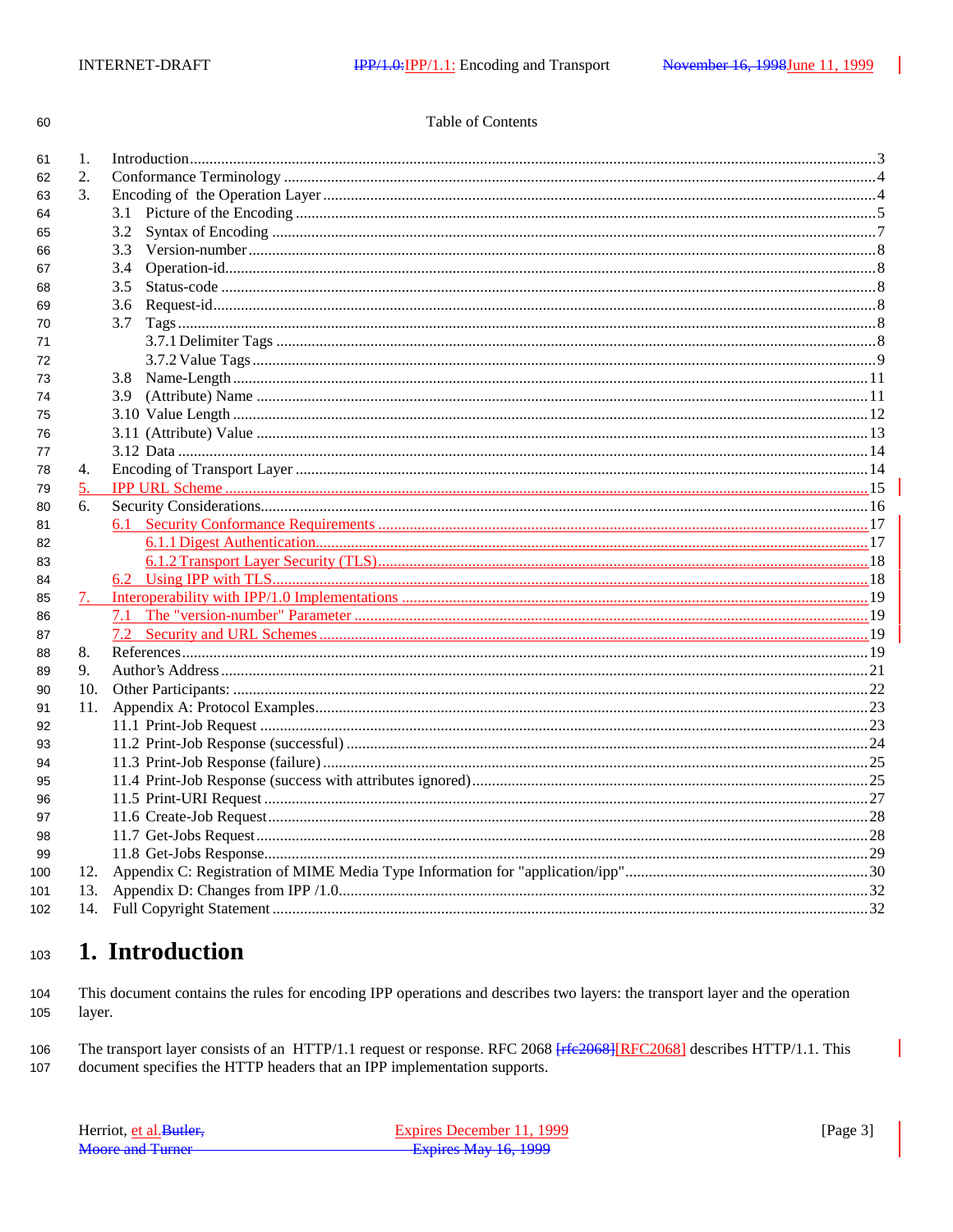60

| 1. Introduction     |
|---------------------|
| 2. Conformance Terr |

### Table of Contents

| 61  | 1.  | Introduction 33 |  |
|-----|-----|-----------------|--|
| 62  | 2.  |                 |  |
| 63  | 3.  |                 |  |
| 64  |     |                 |  |
| 65  |     | 3.2             |  |
| 66  |     | 3.3             |  |
| 67  |     | 3.4             |  |
| 68  |     | 3.5             |  |
| 69  |     | 3.6             |  |
| 70  |     | 3.7             |  |
| 71  |     |                 |  |
| 72  |     |                 |  |
| 73  |     |                 |  |
| 74  |     |                 |  |
| 75  |     |                 |  |
| 76  |     |                 |  |
| 77  |     |                 |  |
| 78  | 4.  |                 |  |
| 79  | 5.  |                 |  |
| 80  | 6.  |                 |  |
| 81  |     |                 |  |
| 82  |     |                 |  |
| 83  |     |                 |  |
| 84  |     |                 |  |
| 85  |     |                 |  |
| 86  |     | 7.1             |  |
| 87  |     |                 |  |
| 88  | 8.  |                 |  |
| 89  | 9.  |                 |  |
| 90  |     |                 |  |
| 91  | 11. |                 |  |
| 92  |     |                 |  |
| 93  |     |                 |  |
| 94  |     |                 |  |
| 95  |     |                 |  |
| 96  |     |                 |  |
| 97  |     |                 |  |
| 98  |     |                 |  |
| 99  |     |                 |  |
| 100 |     |                 |  |
| 101 | 13. |                 |  |
| 102 |     |                 |  |
|     |     |                 |  |

#### 1. Introduction 103

This document contains the rules for encoding IPP operations and describes two layers: the transport layer and the operation 104 layer. 105

The transport layer consists of an HTTP/1.1 request or response. RFC 2068 [rfe2068] [RFC2068] describes HTTP/1.1. This 106 107 document specifies the HTTP headers that an IPP implementation supports.

| Herriot, et al. Butler. | Expires December 11, 1999   | [Page $3$ ] |
|-------------------------|-----------------------------|-------------|
| Moore and Turner        | <b>Expires May 16, 1999</b> |             |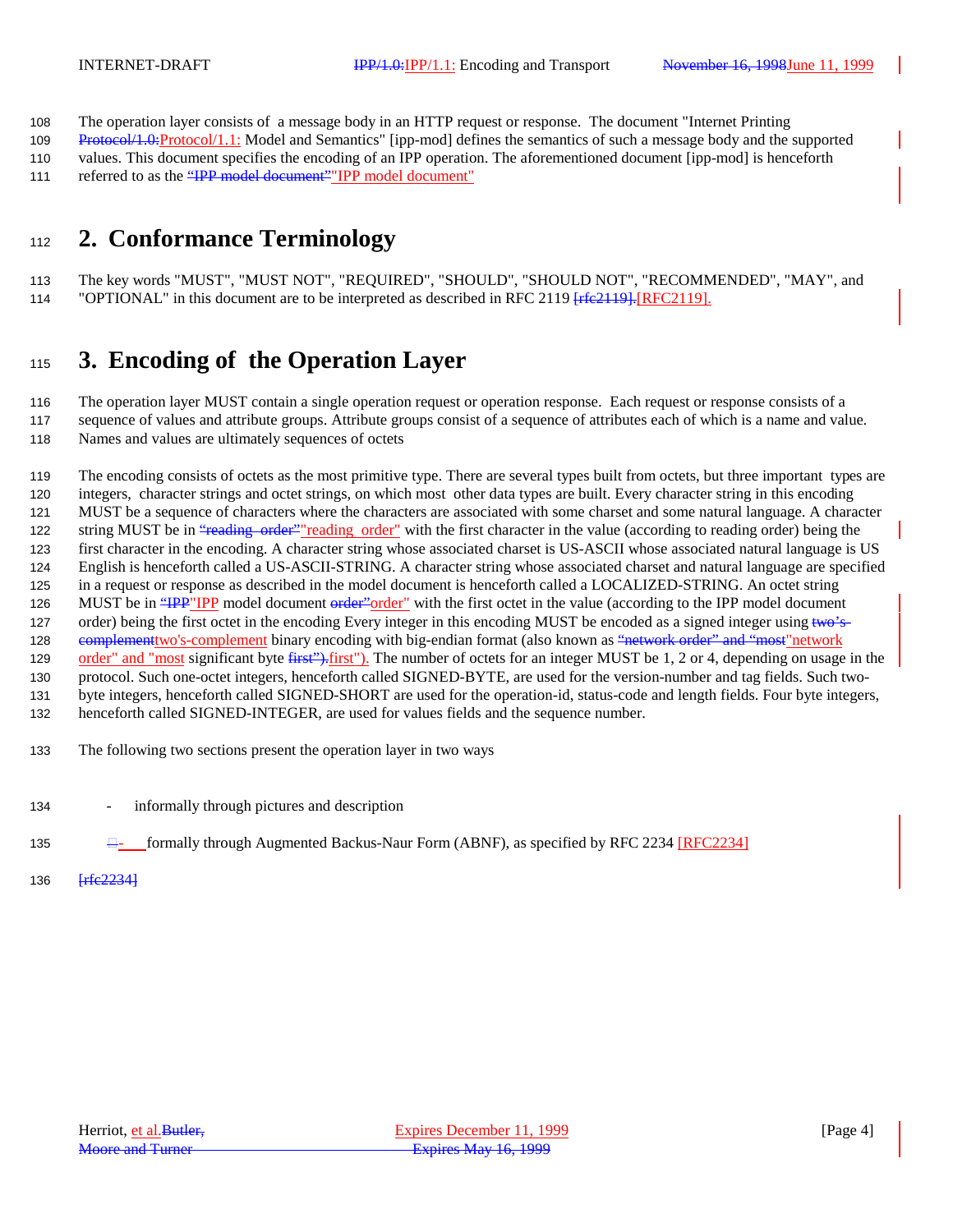The operation layer consists of a message body in an HTTP request or response. The document "Internet Printing

 Protocol/1.0:Protocol/1.1: Model and Semantics" [ipp-mod] defines the semantics of such a message body and the supported values. This document specifies the encoding of an IPP operation. The aforementioned document [ipp-mod] is henceforth

111 referred to as the "IPP model document" IPP model document"

# **2. Conformance Terminology**

 The key words "MUST", "MUST NOT", "REQUIRED", "SHOULD", "SHOULD NOT", "RECOMMENDED", "MAY", and 114 "OPTIONAL" in this document are to be interpreted as described in RFC 2119 [rfe2119]. [RFC2119].

# **3. Encoding of the Operation Layer**

 The operation layer MUST contain a single operation request or operation response. Each request or response consists of a sequence of values and attribute groups. Attribute groups consist of a sequence of attributes each of which is a name and value.

Names and values are ultimately sequences of octets

 The encoding consists of octets as the most primitive type. There are several types built from octets, but three important types are integers, character strings and octet strings, on which most other data types are built. Every character string in this encoding MUST be a sequence of characters where the characters are associated with some charset and some natural language. A character 122 string MUST be in "reading order" reading order" with the first character in the value (according to reading order) being the first character in the encoding. A character string whose associated charset is US-ASCII whose associated natural language is US English is henceforth called a US-ASCII-STRING. A character string whose associated charset and natural language are specified in a request or response as described in the model document is henceforth called a LOCALIZED-STRING. An octet string 126 MUST be in "IPP" IPP model document order" order" with the first octet in the value (according to the IPP model document 127 order) being the first octet in the encoding Every integer in this encoding MUST be encoded as a signed integer using two's-128 complement two's-complement binary encoding with big-endian format (also known as "network order" and "most" network 129 order" and "most significant byte first"). The number of octets for an integer MUST be 1, 2 or 4, depending on usage in the protocol. Such one-octet integers, henceforth called SIGNED-BYTE, are used for the version-number and tag fields. Such two- byte integers, henceforth called SIGNED-SHORT are used for the operation-id, status-code and length fields. Four byte integers, henceforth called SIGNED-INTEGER, are used for values fields and the sequence number.

- The following two sections present the operation layer in two ways
- informally through pictures and description
- 135  $\Box$  formally through Augmented Backus-Naur Form (ABNF), as specified by RFC 2234 [RFC2234]
- **[rfc2234]**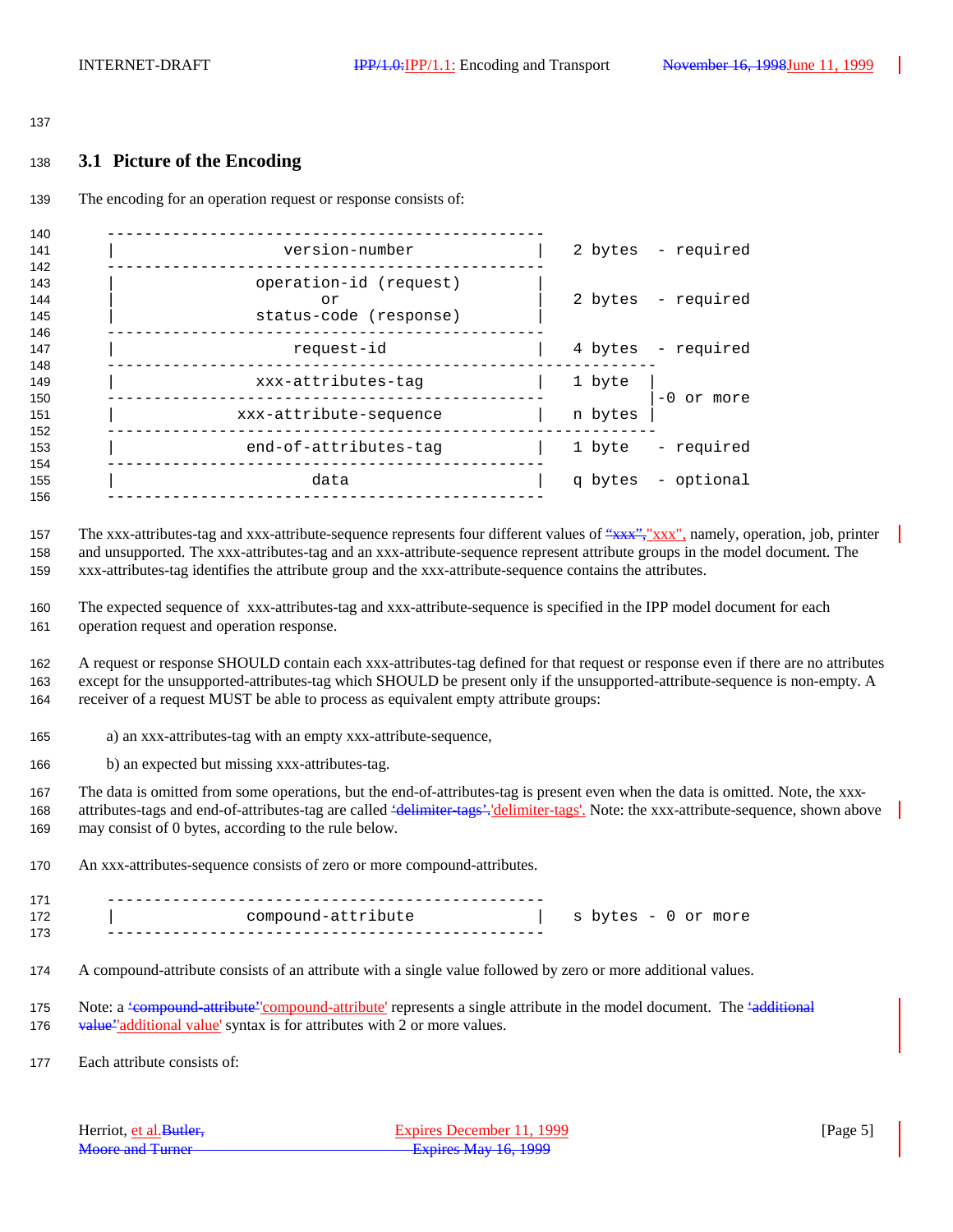#### 

### **3.1 Picture of the Encoding**

The encoding for an operation request or response consists of:

| 140                      |                                                        |         |                    |
|--------------------------|--------------------------------------------------------|---------|--------------------|
| 141<br>142               | version-number                                         |         | 2 bytes - required |
| 143<br>144<br>145<br>146 | operation-id (request)<br>or<br>status-code (response) |         | 2 bytes - required |
| 147<br>148               | request-id                                             |         | 4 bytes - required |
| 149<br>150               | xxx-attributes-tag                                     | 1 byte  | $-0$ or more       |
| 151<br>152               | xxx-attribute-sequence                                 | n bytes |                    |
| 153<br>154               | end-of-attributes-tag                                  | 1 byte  | - required         |
| 155<br>156               | data                                                   |         | q bytes - optional |
|                          |                                                        |         |                    |

157 The xxx-attributes-tag and xxx-attribute-sequence represents four different values of "xxx", "xxx", namely, operation, job, printer and unsupported. The xxx-attributes-tag and an xxx-attribute-sequence represent attribute groups in the model document. The xxx-attributes-tag identifies the attribute group and the xxx-attribute-sequence contains the attributes.

 The expected sequence of xxx-attributes-tag and xxx-attribute-sequence is specified in the IPP model document for each operation request and operation response.

 A request or response SHOULD contain each xxx-attributes-tag defined for that request or response even if there are no attributes except for the unsupported-attributes-tag which SHOULD be present only if the unsupported-attribute-sequence is non-empty. A receiver of a request MUST be able to process as equivalent empty attribute groups:

a) an xxx-attributes-tag with an empty xxx-attribute-sequence,

b) an expected but missing xxx-attributes-tag.

 The data is omitted from some operations, but the end-of-attributes-tag is present even when the data is omitted. Note, the xxx-168 attributes-tags and end-of-attributes-tag are called 'delimiter-tags'. 'delimiter-tags'. Note: the xxx-attribute-sequence, shown above may consist of 0 bytes, according to the rule below.

An xxx-attributes-sequence consists of zero or more compound-attributes.

| 171 |                    |                     |
|-----|--------------------|---------------------|
| 172 | compound-attribute | s bytes - 0 or more |
| 173 |                    |                     |

- A compound-attribute consists of an attribute with a single value followed by zero or more additional values.
- 175 Note: a <del>'compound-attribute''compound-attribute'</del> represents a single attribute in the model document. The <del>'additional</del> 176 value''additional value' syntax is for attributes with 2 or more values.

Each attribute consists of:

| Herriot, et al. Butler, | Expires December 11, 1999 | [Page 5] |
|-------------------------|---------------------------|----------|
| <b>Moore and Turner</b> | Expires May 16, 1999      |          |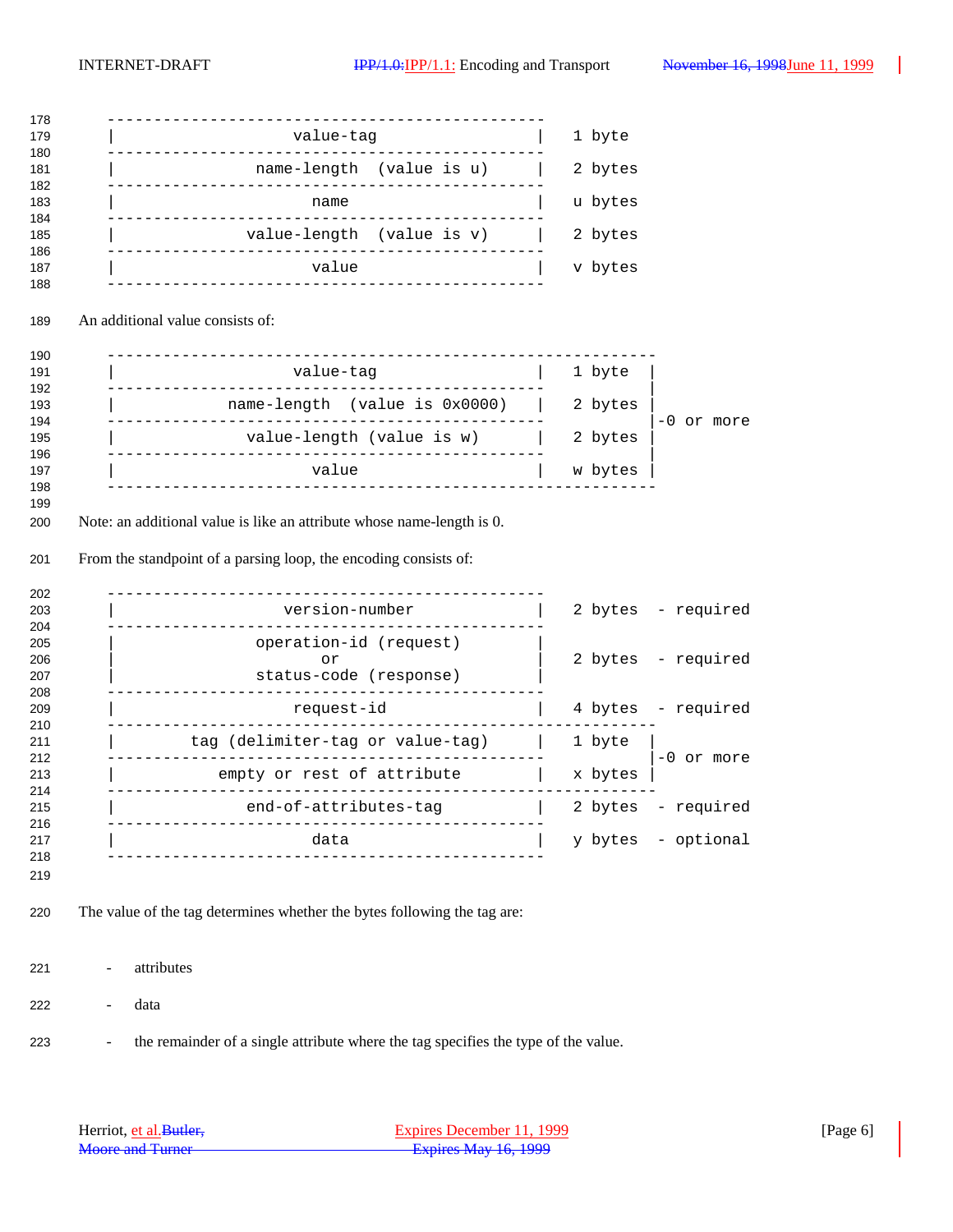|            | value-tag                                                                | 1 byte                  |
|------------|--------------------------------------------------------------------------|-------------------------|
|            | name-length (value is u)                                                 | 2 bytes                 |
|            | name                                                                     | u bytes                 |
|            | value-length (value is v)                                                | 2 bytes                 |
|            | value                                                                    | v bytes                 |
|            | An additional value consists of:                                         |                         |
|            | ---------------<br>value-tag                                             | 1 byte                  |
|            | name-length (value is 0x0000)                                            | 2 bytes                 |
|            | value-length (value is w)                                                | $-0$ or more<br>2 bytes |
|            | value                                                                    | w bytes                 |
|            |                                                                          |                         |
|            | From the standpoint of a parsing loop, the encoding consists of:         |                         |
|            | version-number                                                           | 2 bytes - required      |
|            | operation-id (request)<br>or<br>status-code (response)                   | 2 bytes - required      |
|            | request-id                                                               | 4 bytes - required      |
|            | tag (delimiter-tag or value-tag)                                         | 1 byte                  |
|            | empty or rest of attribute                                               | $-0$ or more<br>x bytes |
|            | ______________________<br>end-of-attributes-tag                          | 2 bytes<br>- required   |
|            | -------------<br>data                                                    | y bytes - optional      |
|            |                                                                          |                         |
|            | The value of the tag determines whether the bytes following the tag are: |                         |
| attributes |                                                                          |                         |

- the remainder of a single attribute where the tag specifies the type of the value.

| Herriot, et al. Butler, | Expires December 11, 1999 | [Page 6] |
|-------------------------|---------------------------|----------|
| <b>Moore and Turner</b> | Expires May 16, 1999      |          |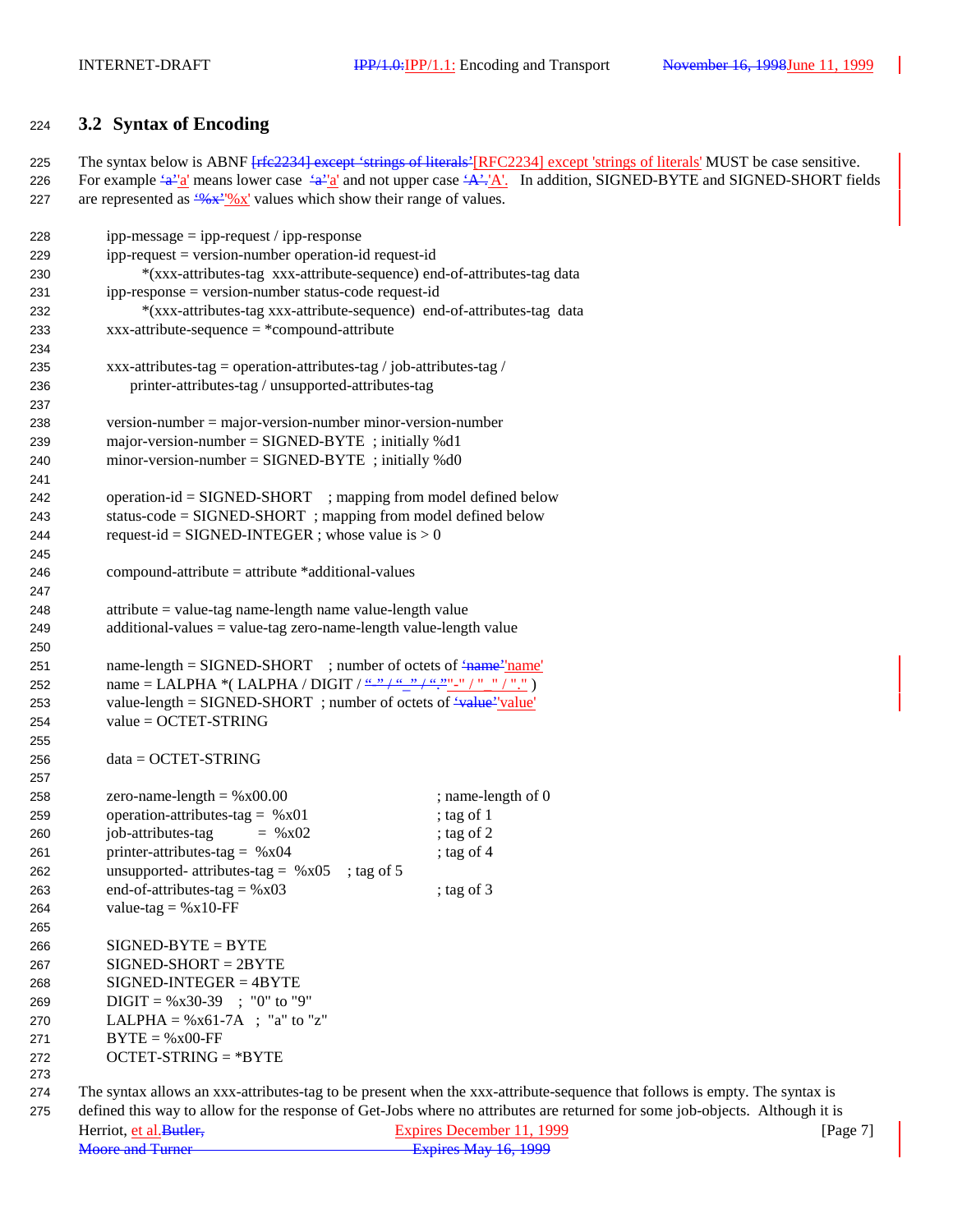## <sup>224</sup> **3.2 Syntax of Encoding**

225 The syntax below is ABNF [rfc2234] except 'strings of literals'[RFC2234] except 'strings of literals' MUST be case sensitive. 226 For example  $\frac{4a^3 \cdot a'}{a}$  means lower case  $\frac{4a^3 \cdot a'}{a}$  and not upper case  $\frac{4a^3 \cdot a'}{a}$ . In addition, SIGNED-BYTE and SIGNED-SHORT fields 227 are represented as  $\frac{(96 \times 10^{-19} \text{ N})^2}{N}$  values which show their range of values.

| 228        | $ipp-message = ipp-request / ipp-response$                                              |                                                                                                                              |
|------------|-----------------------------------------------------------------------------------------|------------------------------------------------------------------------------------------------------------------------------|
| 229        | $ipp-request = version-number operation-id request-id$                                  |                                                                                                                              |
| 230        | *(xxx-attributes-tag xxx-attribute-sequence) end-of-attributes-tag data                 |                                                                                                                              |
| 231        | ipp-response = version-number status-code request-id                                    |                                                                                                                              |
| 232        | *(xxx-attributes-tag xxx-attribute-sequence) end-of-attributes-tag data                 |                                                                                                                              |
| 233        | $xxx-attribute-sequence = *compound-attribute$                                          |                                                                                                                              |
| 234        |                                                                                         |                                                                                                                              |
| 235        | xxx-attributes-tag = operation-attributes-tag / job-attributes-tag /                    |                                                                                                                              |
| 236        | printer-attributes-tag / unsupported-attributes-tag                                     |                                                                                                                              |
| 237        |                                                                                         |                                                                                                                              |
| 238        | $version-number = major-version-number minor-version-number$                            |                                                                                                                              |
| 239        | major-version-number = $SIGNED-BYTE$ ; initially %d1                                    |                                                                                                                              |
| 240        | minor-version-number = $SIGNED-BYTE$ ; initially %d0                                    |                                                                                                                              |
| 241        |                                                                                         |                                                                                                                              |
| 242        | operation-id = SIGNED-SHORT ; mapping from model defined below                          |                                                                                                                              |
| 243        | status-code = $SIGNED-SHORT$ ; mapping from model defined below                         |                                                                                                                              |
| 244        | request-id = SIGNED-INTEGER ; whose value is $> 0$                                      |                                                                                                                              |
| 245        |                                                                                         |                                                                                                                              |
| 246        | $compound-attribute = attribute * additional-values$                                    |                                                                                                                              |
| 247        |                                                                                         |                                                                                                                              |
| 248        | attribute = value-tag name-length name value-length value                               |                                                                                                                              |
| 249        | $additional-values = value-tag zero-name-length value-length value$                     |                                                                                                                              |
| 250        |                                                                                         |                                                                                                                              |
| 251        | name-length = $SIGNED-SHORT$ ; number of octets of $\frac{4}{1}$ ame <sup>-1</sup> name |                                                                                                                              |
| 252        |                                                                                         |                                                                                                                              |
| 253        | value-length = SIGNED-SHORT ; number of octets of $\frac{4 \text{ value}}{2}$ value     |                                                                                                                              |
| 254        | $value = OCTET-STRING$                                                                  |                                                                                                                              |
| 255        |                                                                                         |                                                                                                                              |
| 256        | $data = OCTET-STRING$                                                                   |                                                                                                                              |
| 257        |                                                                                         |                                                                                                                              |
| 258        | zero-name-length = $%x00.00$                                                            | ; name-length of 0                                                                                                           |
| 259        | operation-attributes-tag = $%x01$                                                       | ; tag of 1                                                                                                                   |
| 260        | job-attributes-tag<br>$=$ % x02                                                         | ; tag of $2$                                                                                                                 |
| 261        | printer-attributes-tag = $%x04$                                                         | ; tag of 4                                                                                                                   |
| 262        | unsupported- attributes-tag = $%x05$<br>; tag of $5$                                    |                                                                                                                              |
| 263        | end-of-attributes-tag = $%x03$                                                          | ; tag of $3$                                                                                                                 |
| 264        | value-tag = $%x10$ -FF                                                                  |                                                                                                                              |
| 265        |                                                                                         |                                                                                                                              |
| 266        | $SIGNED-BYTE = BYTE$                                                                    |                                                                                                                              |
| 267        | $SIGNED-SHORT = 2BYTE$                                                                  |                                                                                                                              |
| 268        | $SIGNED-INTER = 4BYTE$                                                                  |                                                                                                                              |
| 269        | $DIGIT = %x30-39$ ; "0" to "9"                                                          |                                                                                                                              |
| 270        | LALPHA = $\%x61-7A$ ; "a" to "z"                                                        |                                                                                                                              |
| 271        | $BYTE = %x00-FF$                                                                        |                                                                                                                              |
| 272<br>273 | $OCTET-STRING = *BYTE$                                                                  |                                                                                                                              |
| 274        |                                                                                         | The syntax allows an xxx-attributes-tag to be present when the xxx-attribute-sequence that follows is empty. The syntax is   |
| 275        |                                                                                         | defined this way to allow for the response of Get-Jobs where no attributes are returned for some job-objects. Although it is |
|            |                                                                                         |                                                                                                                              |

| Herriot, et al. Butler. | Expires December 11, 1999 | [Page $7$ ] |
|-------------------------|---------------------------|-------------|
| <b>Moore and Turner</b> | Expires May 16, 1999      |             |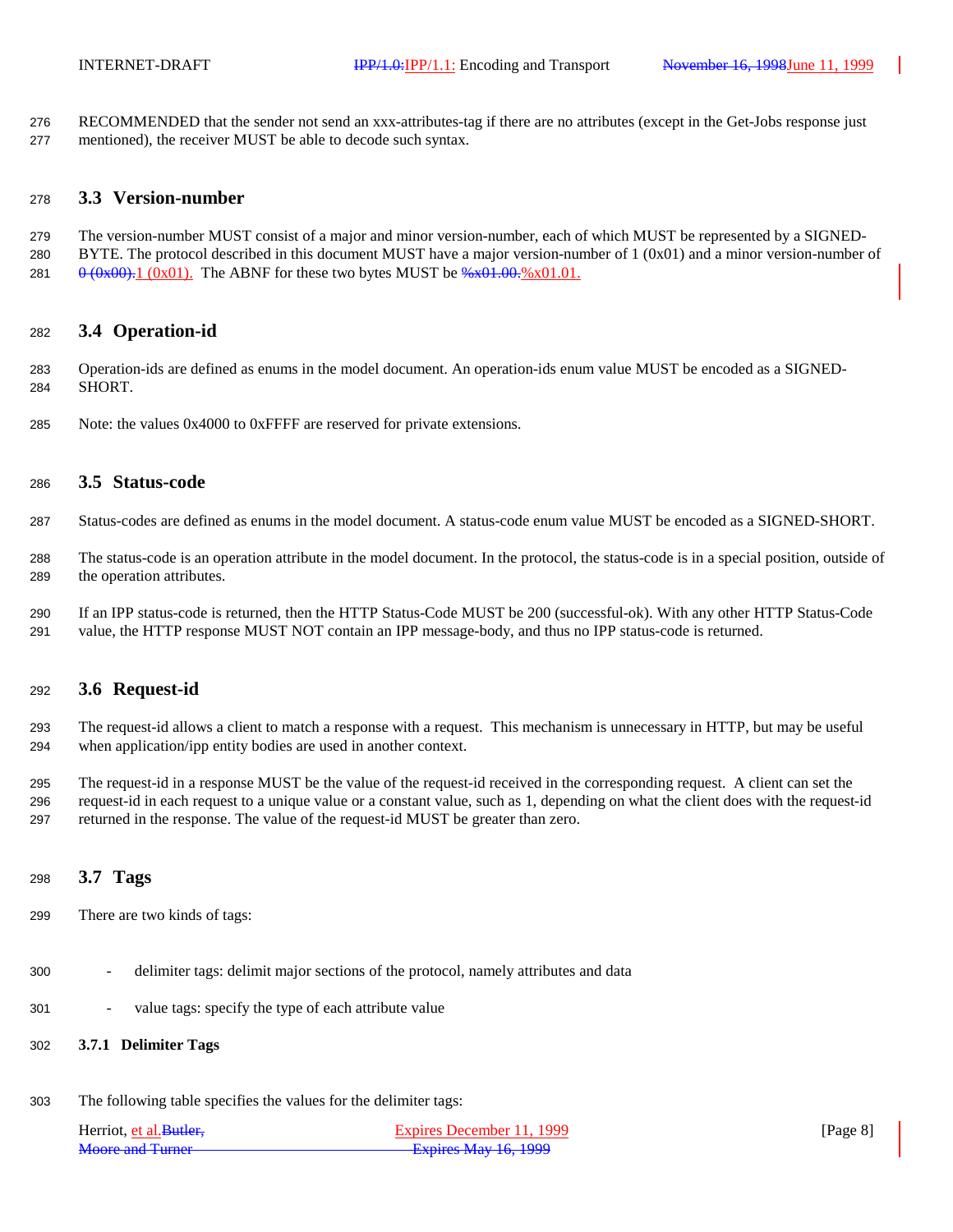RECOMMENDED that the sender not send an xxx-attributes-tag if there are no attributes (except in the Get-Jobs response just mentioned), the receiver MUST be able to decode such syntax.

### **3.3 Version-number**

 The version-number MUST consist of a major and minor version-number, each of which MUST be represented by a SIGNED-280 BYTE. The protocol described in this document MUST have a major version-number of  $1 (0x01)$  and a minor version-number of 281  $0 \frac{\theta (0 \times 00)}{1} \frac{(0 \times 01)}{1}$ . The ABNF for these two bytes MUST be  $\frac{0.001}{0.001} \frac{(0.001)}{1}$ .

### **3.4 Operation-id**

 Operation-ids are defined as enums in the model document. An operation-ids enum value MUST be encoded as a SIGNED-SHORT.

Note: the values 0x4000 to 0xFFFF are reserved for private extensions.

### **3.5 Status-code**

- Status-codes are defined as enums in the model document. A status-code enum value MUST be encoded as a SIGNED-SHORT.
- The status-code is an operation attribute in the model document. In the protocol, the status-code is in a special position, outside of the operation attributes.
- If an IPP status-code is returned, then the HTTP Status-Code MUST be 200 (successful-ok). With any other HTTP Status-Code value, the HTTP response MUST NOT contain an IPP message-body, and thus no IPP status-code is returned.

### **3.6 Request-id**

 The request-id allows a client to match a response with a request. This mechanism is unnecessary in HTTP, but may be useful when application/ipp entity bodies are used in another context.

 The request-id in a response MUST be the value of the request-id received in the corresponding request. A client can set the request-id in each request to a unique value or a constant value, such as 1, depending on what the client does with the request-id returned in the response. The value of the request-id MUST be greater than zero.

### **3.7 Tags**

- There are two kinds of tags:
- delimiter tags: delimit major sections of the protocol, namely attributes and data
- value tags: specify the type of each attribute value

### **3.7.1 Delimiter Tags**

The following table specifies the values for the delimiter tags:

| Herriot, et al. Butler, | Expires December 11, 1999   | [Page $8$ ] |
|-------------------------|-----------------------------|-------------|
| <b>Moore and Turner</b> | <b>Expires May 16, 1999</b> |             |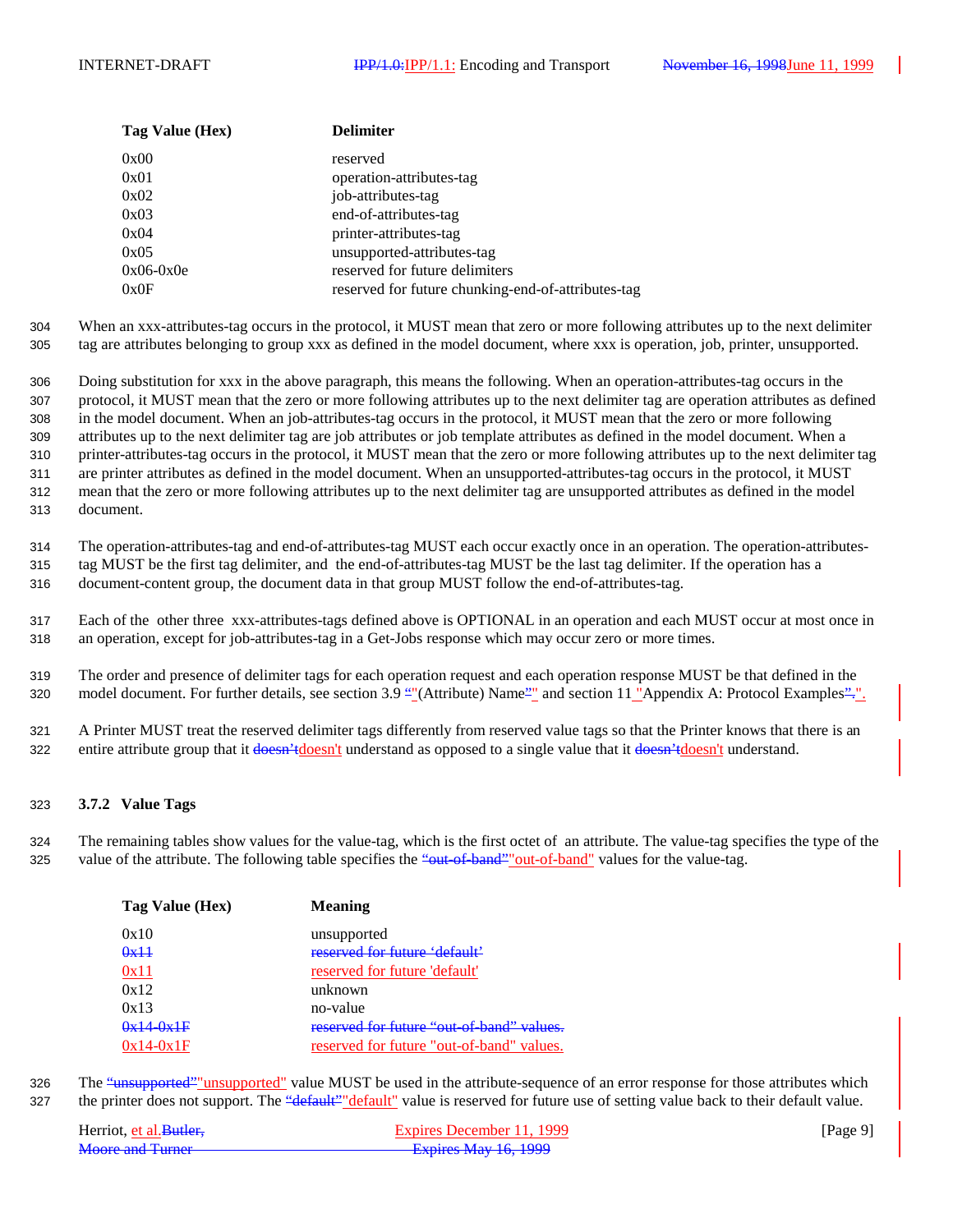| Tag Value (Hex) | <b>Delimiter</b>                                   |
|-----------------|----------------------------------------------------|
| 0x00            | reserved                                           |
| 0x01            | operation-attributes-tag                           |
| 0x02            | job-attributes-tag                                 |
| 0x03            | end-of-attributes-tag                              |
| 0x04            | printer-attributes-tag                             |
| 0x05            | unsupported-attributes-tag                         |
| $0x06-0x0e$     | reserved for future delimiters                     |
| 0x0F            | reserved for future chunking-end-of-attributes-tag |

304 When an xxx-attributes-tag occurs in the protocol, it MUST mean that zero or more following attributes up to the next delimiter 305 tag are attributes belonging to group xxx as defined in the model document, where xxx is operation, job, printer, unsupported.

 Doing substitution for xxx in the above paragraph, this means the following. When an operation-attributes-tag occurs in the protocol, it MUST mean that the zero or more following attributes up to the next delimiter tag are operation attributes as defined in the model document. When an job-attributes-tag occurs in the protocol, it MUST mean that the zero or more following attributes up to the next delimiter tag are job attributes or job template attributes as defined in the model document. When a printer-attributes-tag occurs in the protocol, it MUST mean that the zero or more following attributes up to the next delimiter tag are printer attributes as defined in the model document. When an unsupported-attributes-tag occurs in the protocol, it MUST mean that the zero or more following attributes up to the next delimiter tag are unsupported attributes as defined in the model document.

314 The operation-attributes-tag and end-of-attributes-tag MUST each occur exactly once in an operation. The operation-attributes-315 tag MUST be the first tag delimiter, and the end-of-attributes-tag MUST be the last tag delimiter. If the operation has a 316 document-content group, the document data in that group MUST follow the end-of-attributes-tag.

317 Each of the other three xxx-attributes-tags defined above is OPTIONAL in an operation and each MUST occur at most once in

318 an operation, except for job-attributes-tag in a Get-Jobs response which may occur zero or more times.

319 The order and presence of delimiter tags for each operation request and each operation response MUST be that defined in the 320 model document. For further details, see section 3.9 ""(Attribute) Name" and section 11 "Appendix A: Protocol Examples"...

321 A Printer MUST treat the reserved delimiter tags differently from reserved value tags so that the Printer knows that there is an 322 entire attribute group that it doesn't understand as opposed to a single value that it doesn't understand.

### 323 **3.7.2 Value Tags**

324 The remaining tables show values for the value-tag, which is the first octet of an attribute. The value-tag specifies the type of the 325 value of the attribute. The following table specifies the "out-of-band" out-of-band" values for the value-tag.

| Tag Value (Hex) | <b>Meaning</b>                            |
|-----------------|-------------------------------------------|
| 0x10            | unsupported                               |
| 0x11            | reserved for future 'default'             |
| 0x11            | reserved for future 'default'             |
| 0x12            | unknown                                   |
| 0x13            | no-value                                  |
| $0x14-0x1F$     | reserved for future "out-of-band" values. |
| $0x14-0x1F$     | reserved for future "out-of-band" values. |

326 The "unsupported" unsupported" value MUST be used in the attribute-sequence of an error response for those attributes which 327 the printer does not support. The "<del>default" "default</del>" value is reserved for future use of setting value back to their default value.

| Herriot, et al. Butler.                          | Expires December 11, 1999                                             | [Page $9$ ] |
|--------------------------------------------------|-----------------------------------------------------------------------|-------------|
| Moore and Turner<br><del>iviuut and furner</del> | $F$ <sub>vnirac</sub> $M_{2V}$ 16 1000<br><b>LAPITUS MAY TU, 1777</b> |             |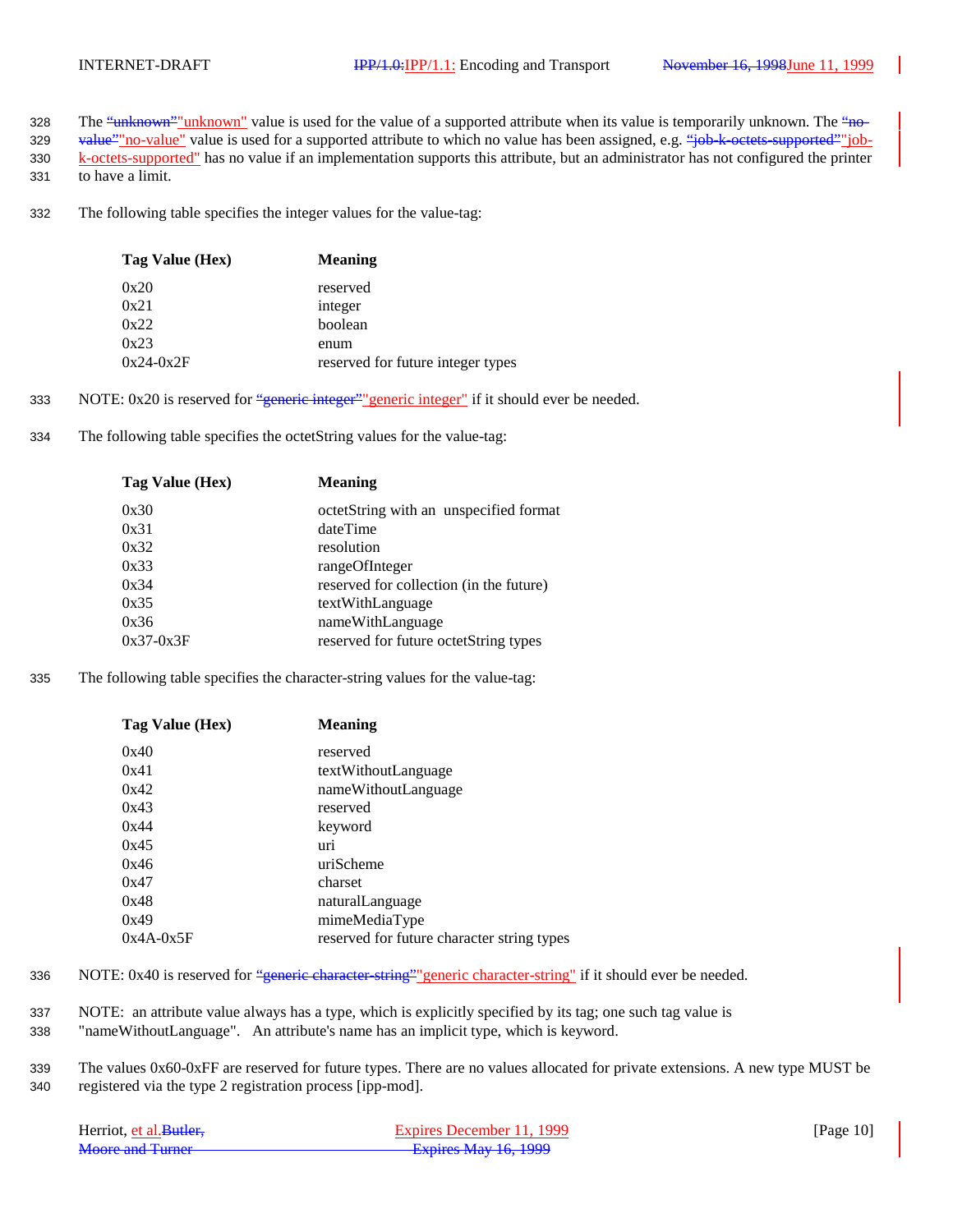- 328 The "unknown" unknown" value is used for the value of a supported attribute when its value is temporarily unknown. The "no-
- 329 value" no-value" value is used for a supported attribute to which no value has been assigned, e.g. "job-k-octets-supported" job-330 k-octets-supported" has no value if an implementation supports this attribute, but an administrator has not configured the printer
- 331 to have a limit.
- 332 The following table specifies the integer values for the value-tag:

| Tag Value (Hex) | <b>Meaning</b>                    |
|-----------------|-----------------------------------|
| 0x20            | reserved                          |
| 0x21            | integer                           |
| 0x22            | boolean                           |
| 0x23            | enum                              |
| $0x24-0x2F$     | reserved for future integer types |

- 333 NOTE:  $0x20$  is reserved for "generic integer" generic integer" if it should ever be needed.
- 334 The following table specifies the octetString values for the value-tag:

| <b>Meaning</b>                          |
|-----------------------------------------|
| octetString with an unspecified format  |
| dateTime                                |
| resolution                              |
| rangeOfInteger                          |
| reserved for collection (in the future) |
| textWithLanguage                        |
| nameWithLanguage                        |
| reserved for future octetString types   |
|                                         |

335 The following table specifies the character-string values for the value-tag:

| Tag Value (Hex) | <b>Meaning</b>                             |
|-----------------|--------------------------------------------|
| 0x40            | reserved                                   |
| 0x41            | textWithoutLanguage                        |
| 0x42            | nameWithoutLanguage                        |
| 0x43            | reserved                                   |
| 0x44            | keyword                                    |
| 0x45            | uri                                        |
| 0x46            | uriScheme                                  |
| 0x47            | charset                                    |
| 0x48            | naturalLanguage                            |
| 0x49            | mimeMediaType                              |
| $0x4A-0x5F$     | reserved for future character string types |

- 336 NOTE: 0x40 is reserved for "generic character-string" generic character-string" if it should ever be needed.
- 337 NOTE: an attribute value always has a type, which is explicitly specified by its tag; one such tag value is
- 338 "nameWithoutLanguage". An attribute's name has an implicit type, which is keyword.
- 339 The values 0x60-0xFF are reserved for future types. There are no values allocated for private extensions. A new type MUST be 340 registered via the type 2 registration process [ipp-mod].

| Herriot, et al. Butler, | Expires December 11, 1999   | [Page $10$ ] |
|-------------------------|-----------------------------|--------------|
| Moore and Turner        | <b>Expires May 16, 1999</b> |              |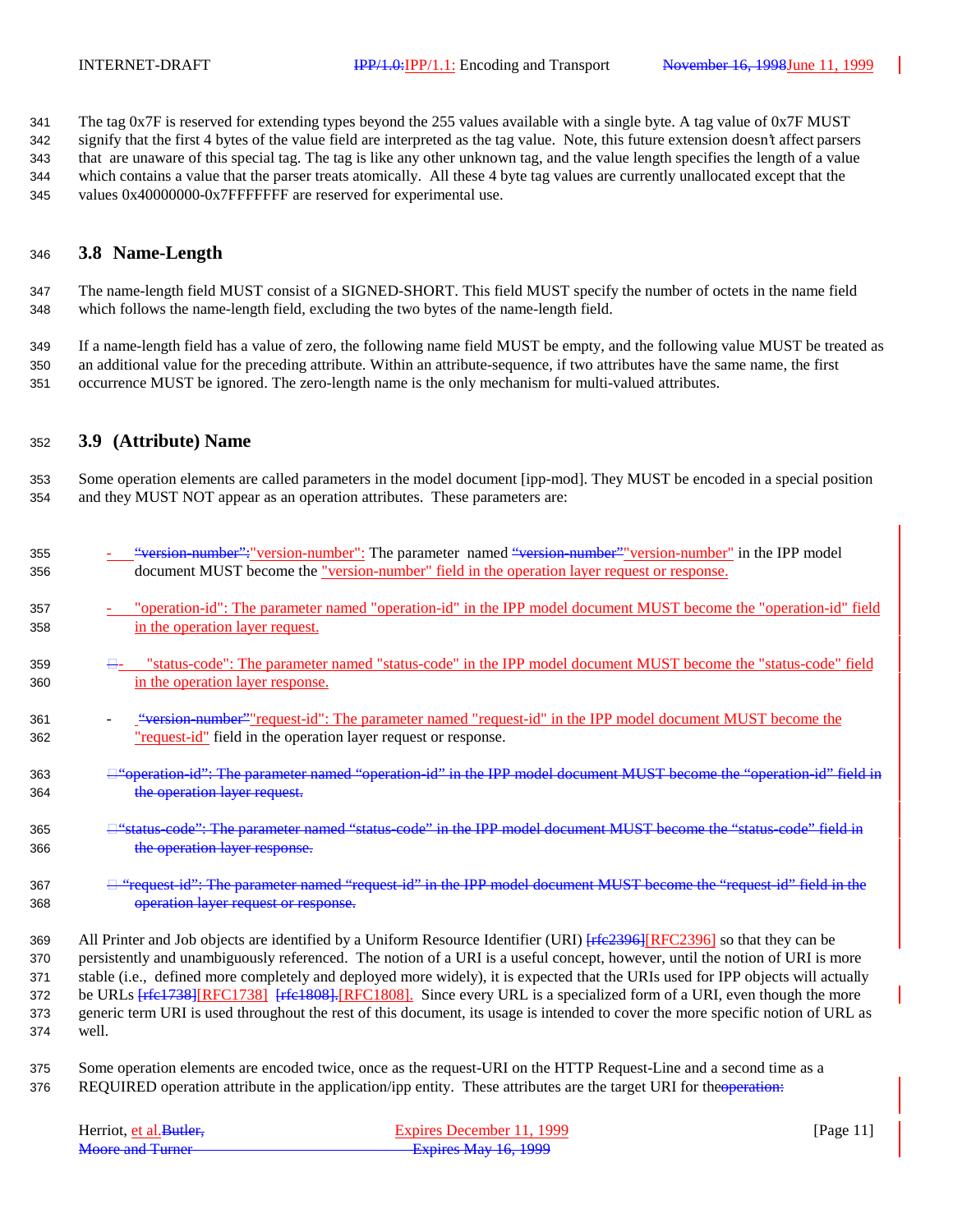The tag 0x7F is reserved for extending types beyond the 255 values available with a single byte. A tag value of 0x7F MUST signify that the first 4 bytes of the value field are interpreted as the tag value. Note, this future extension doesn't affect parsers that are unaware of this special tag. The tag is like any other unknown tag, and the value length specifies the length of a value which contains a value that the parser treats atomically. All these 4 byte tag values are currently unallocated except that the values 0x40000000-0x7FFFFFFF are reserved for experimental use.

### **3.8 Name-Length**

 The name-length field MUST consist of a SIGNED-SHORT. This field MUST specify the number of octets in the name field which follows the name-length field, excluding the two bytes of the name-length field.

 If a name-length field has a value of zero, the following name field MUST be empty, and the following value MUST be treated as an additional value for the preceding attribute. Within an attribute-sequence, if two attributes have the same name, the first occurrence MUST be ignored. The zero-length name is the only mechanism for multi-valued attributes.

### **3.9 (Attribute) Name**

 Some operation elements are called parameters in the model document [ipp-mod]. They MUST be encoded in a special position and they MUST NOT appear as an operation attributes. These parameters are:

| 355 | "version-number": "version-number": The parameter named "version-number" version-number" in the IPP model                        |
|-----|----------------------------------------------------------------------------------------------------------------------------------|
| 356 | document MUST become the "version-number" field in the operation layer request or response.                                      |
| 357 | "operation-id": The parameter named "operation-id" in the IPP model document MUST become the "operation-id" field                |
| 358 | in the operation layer request.                                                                                                  |
| 359 | <del>□</del> status-code": The parameter named "status-code" in the IPP model document MUST become the "status-code" field       |
| 360 | in the operation layer response.                                                                                                 |
| 361 | "version-number" "request-id": The parameter named "request-id" in the IPP model document MUST become the                        |
| 362 | "request-id" field in the operation layer request or response.                                                                   |
| 363 | □ "operation-id": The parameter named "operation-id" in the IPP model document MUST become the "operation-id" field in           |
| 364 | the operation layer request.                                                                                                     |
| 365 | <del>□ "status code": The parameter named "status code" in the IPP model document MUST become the "status code" field in</del>   |
| 366 | the operation layer response.                                                                                                    |
| 367 | <del>□ "request id": The parameter named "request id" in the IPP model document MUST become the "request id" field in the</del>  |
| 368 | operation layer request or response.                                                                                             |
| 369 | All Printer and Job objects are identified by a Uniform Resource Identifier (URI) [refe2396] RFC2396] so that they can be        |
| 370 | persistently and unambiguously referenced. The notion of a URI is a useful concept, however, until the notion of URI is more     |
| 371 | stable (i.e., defined more completely and deployed more widely), it is expected that the URIs used for IPP objects will actually |
| 372 | be URLs [rfe1738][RFC1738] [rfe1808].[RFC1808]. Since every URL is a specialized form of a URI, even though the more             |
| 373 | generic term URI is used throughout the rest of this document, its usage is intended to cover the more specific notion of URL as |
| 374 | well.                                                                                                                            |
|     |                                                                                                                                  |

 Some operation elements are encoded twice, once as the request-URI on the HTTP Request-Line and a second time as a 376 REQUIRED operation attribute in the application/ipp entity. These attributes are the target URI for the operation:

| Herriot, et al. Butler. | Expires December 11, 1999 | [Page $11$ ] |
|-------------------------|---------------------------|--------------|
| <b>Moore and Turner</b> | Expires May 16, 1999      |              |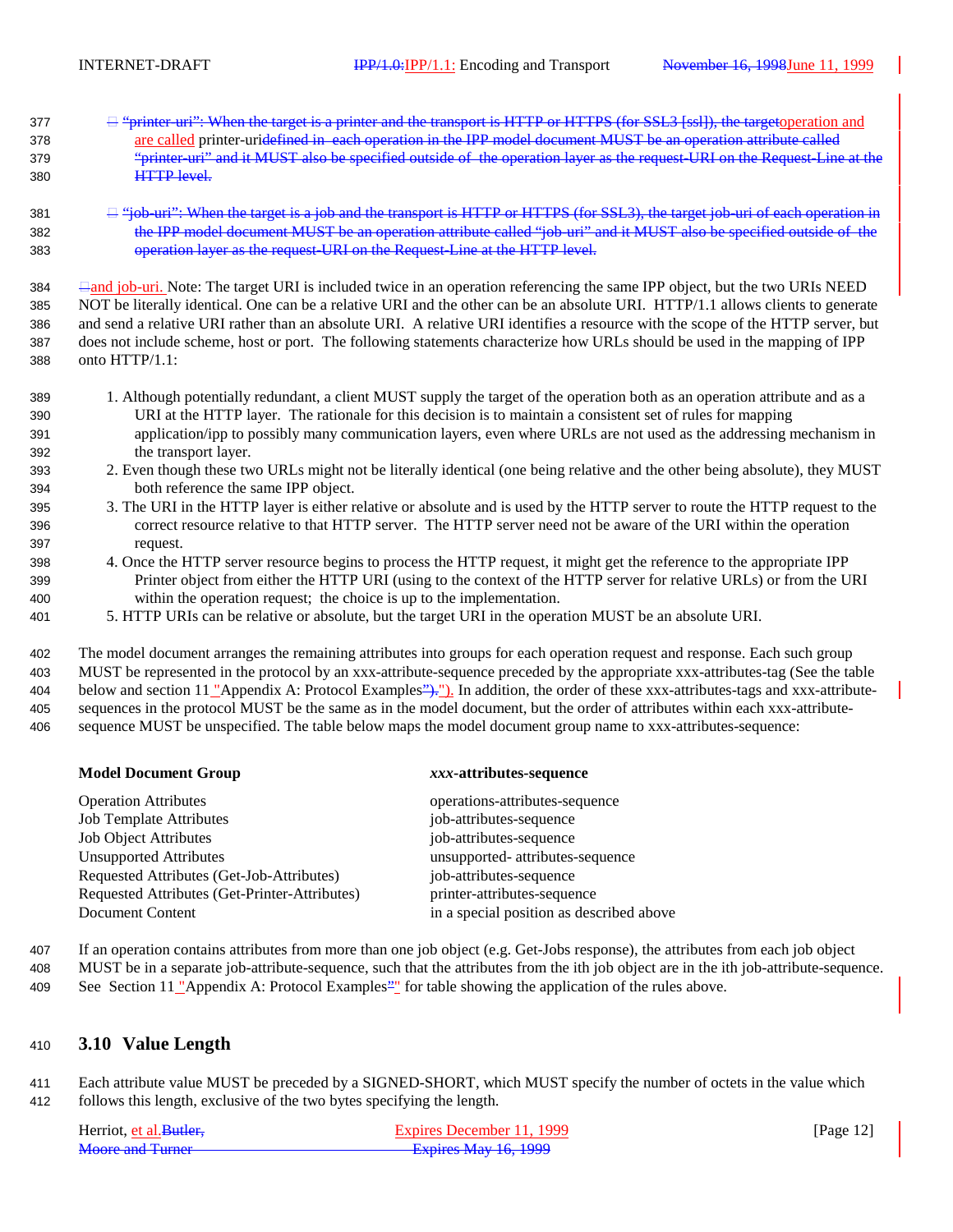- "printer-uri": When the target is a printer and the transport is HTTP or HTTPS (for SSL3 [ssl]), the targetoperation and are called printer-uridefined in each operation in the IPP model document MUST be an operation attribute called "printer-uri" and it MUST also be specified outside of the operation layer as the request-URI on the Request-Line at the HTTP level.
- 381  $\Box$  "job-uri": When the target is a job and the transport is HTTP or HTTPS (for SSL3), the target job-uri of each operation in the IPP model document MUST be an operation attribute called "job-uri" and it MUST also be specified outside of the operation layer as the request-URI on the Request-Line at the HTTP level.

 and job-uri. Note: The target URI is included twice in an operation referencing the same IPP object, but the two URIs NEED NOT be literally identical. One can be a relative URI and the other can be an absolute URI. HTTP/1.1 allows clients to generate and send a relative URI rather than an absolute URI. A relative URI identifies a resource with the scope of the HTTP server, but does not include scheme, host or port. The following statements characterize how URLs should be used in the mapping of IPP onto HTTP/1.1:

- 1. Although potentially redundant, a client MUST supply the target of the operation both as an operation attribute and as a URI at the HTTP layer. The rationale for this decision is to maintain a consistent set of rules for mapping application/ipp to possibly many communication layers, even where URLs are not used as the addressing mechanism in the transport layer.
- 2. Even though these two URLs might not be literally identical (one being relative and the other being absolute), they MUST both reference the same IPP object.
- 3. The URI in the HTTP layer is either relative or absolute and is used by the HTTP server to route the HTTP request to the correct resource relative to that HTTP server. The HTTP server need not be aware of the URI within the operation request.
- 4. Once the HTTP server resource begins to process the HTTP request, it might get the reference to the appropriate IPP Printer object from either the HTTP URI (using to the context of the HTTP server for relative URLs) or from the URI within the operation request; the choice is up to the implementation.
- 5. HTTP URIs can be relative or absolute, but the target URI in the operation MUST be an absolute URI.

 The model document arranges the remaining attributes into groups for each operation request and response. Each such group MUST be represented in the protocol by an xxx-attribute-sequence preceded by the appropriate xxx-attributes-tag (See the table 404 below and section 11 "Appendix A: Protocol Examples">, "). In addition, the order of these xxx-attributes-tags and xxx-attribute- sequences in the protocol MUST be the same as in the model document, but the order of attributes within each xxx-attribute-sequence MUST be unspecified. The table below maps the model document group name to xxx-attributes-sequence:

#### **Model Document Group** *xxx***-attributes-sequence**

### Operation Attributes operations-attributes-sequence Job Template Attributes job-attributes-sequence Job Object Attributes job-attributes-sequence Unsupported Attributes unsupported- attributes-sequence Requested Attributes (Get-Job-Attributes) job-attributes-sequence Requested Attributes (Get-Printer-Attributes) printer-attributes-sequence Document Content in a special position as described above

- If an operation contains attributes from more than one job object (e.g. Get-Jobs response), the attributes from each job object
- MUST be in a separate job-attribute-sequence, such that the attributes from the ith job object are in the ith job-attribute-sequence. 409 See Section 11 "Appendix A: Protocol Examples"" for table showing the application of the rules above.

### **3.10 Value Length**

 Each attribute value MUST be preceded by a SIGNED-SHORT, which MUST specify the number of octets in the value which follows this length, exclusive of the two bytes specifying the length.

| Herriot, et al. Butler. | Expires December 11, 1999 | [Page $12$ ] |
|-------------------------|---------------------------|--------------|
| Moore and Turner        | Expires May 16, 1999      |              |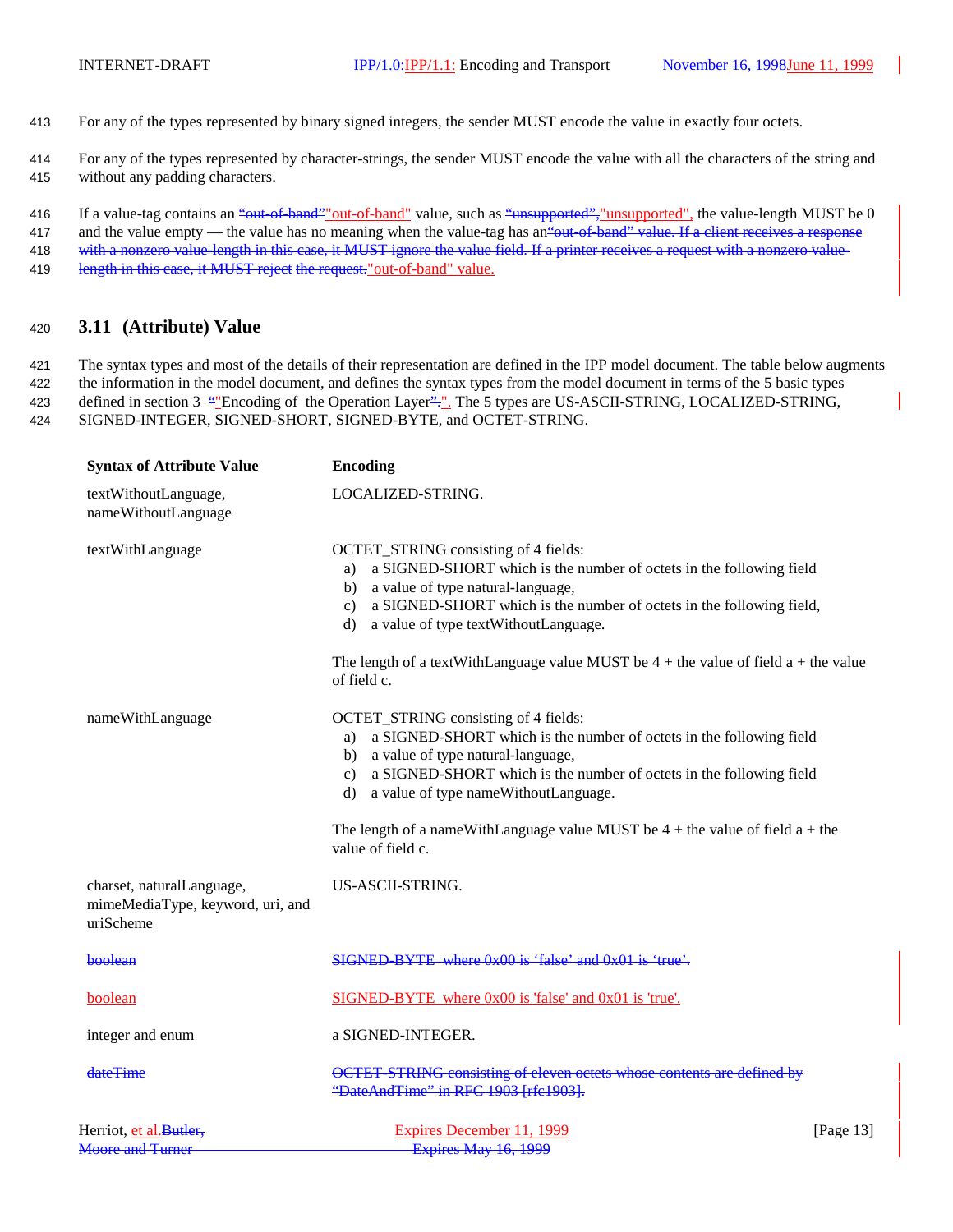413 For any of the types represented by binary signed integers, the sender MUST encode the value in exactly four octets.

414 For any of the types represented by character-strings, the sender MUST encode the value with all the characters of the string and 415 without any padding characters.

416 If a value-tag contains an "out-of-band" out-of-band" value, such as "unsupported", "unsupported", the value-length MUST be 0 417 and the value empty — the value has no meaning when the value-tag has an out-of-band" value. If a client receives a response

418 with a nonzero value-length in this case, it MUST ignore the value field. If a printer receives a request with a nonzero value-419 length in this case, it MUST reject the request." out-of-band" value.

### <sup>420</sup> **3.11 (Attribute) Value**

 The syntax types and most of the details of their representation are defined in the IPP model document. The table below augments the information in the model document, and defines the syntax types from the model document in terms of the 5 basic types 423 defined in section 3 "Encoding of the Operation Layer"." The 5 types are US-ASCII-STRING, LOCALIZED-STRING, SIGNED-INTEGER, SIGNED-SHORT, SIGNED-BYTE, and OCTET-STRING.

| <b>Syntax of Attribute Value</b>                                           | <b>Encoding</b>                                                                                                                                                                                                                                                                                      |              |
|----------------------------------------------------------------------------|------------------------------------------------------------------------------------------------------------------------------------------------------------------------------------------------------------------------------------------------------------------------------------------------------|--------------|
| textWithoutLanguage,<br>nameWithoutLanguage                                | LOCALIZED-STRING.                                                                                                                                                                                                                                                                                    |              |
| textWithLanguage                                                           | OCTET_STRING consisting of 4 fields:<br>a SIGNED-SHORT which is the number of octets in the following field<br>a)<br>a value of type natural-language,<br>b)<br>a SIGNED-SHORT which is the number of octets in the following field,<br>$\mathbf{c}$ )<br>a value of type textWithoutLanguage.<br>d) |              |
|                                                                            | The length of a textWithLanguage value MUST be $4 +$ the value of field a + the value<br>of field c.                                                                                                                                                                                                 |              |
| nameWithLanguage                                                           | OCTET_STRING consisting of 4 fields:<br>a SIGNED-SHORT which is the number of octets in the following field<br>a)<br>a value of type natural-language,<br>b)<br>a SIGNED-SHORT which is the number of octets in the following field<br>$\mathbf{c}$ )<br>a value of type nameWithoutLanguage.<br>d)  |              |
|                                                                            | The length of a nameWithLanguage value MUST be $4 +$ the value of field $a +$ the<br>value of field c.                                                                                                                                                                                               |              |
| charset, naturalLanguage,<br>mimeMediaType, keyword, uri, and<br>uriScheme | US-ASCII-STRING.                                                                                                                                                                                                                                                                                     |              |
| boolean                                                                    | SIGNED-BYTE where 0x00 is 'false' and 0x01 is 'true'.                                                                                                                                                                                                                                                |              |
| boolean                                                                    | SIGNED-BYTE where 0x00 is 'false' and 0x01 is 'true'.                                                                                                                                                                                                                                                |              |
| integer and enum                                                           | a SIGNED-INTEGER.                                                                                                                                                                                                                                                                                    |              |
| dateTime                                                                   | OCTET-STRING consisting of eleven octets whose contents are defined by<br>"DateAndTime" in RFC 1903 [rfc1903].                                                                                                                                                                                       |              |
| Herriot, et al. Butler,<br><b>Moore and Turner</b>                         | Expires December 11, 1999<br><b>Expires May 16, 1999</b>                                                                                                                                                                                                                                             | [Page $13$ ] |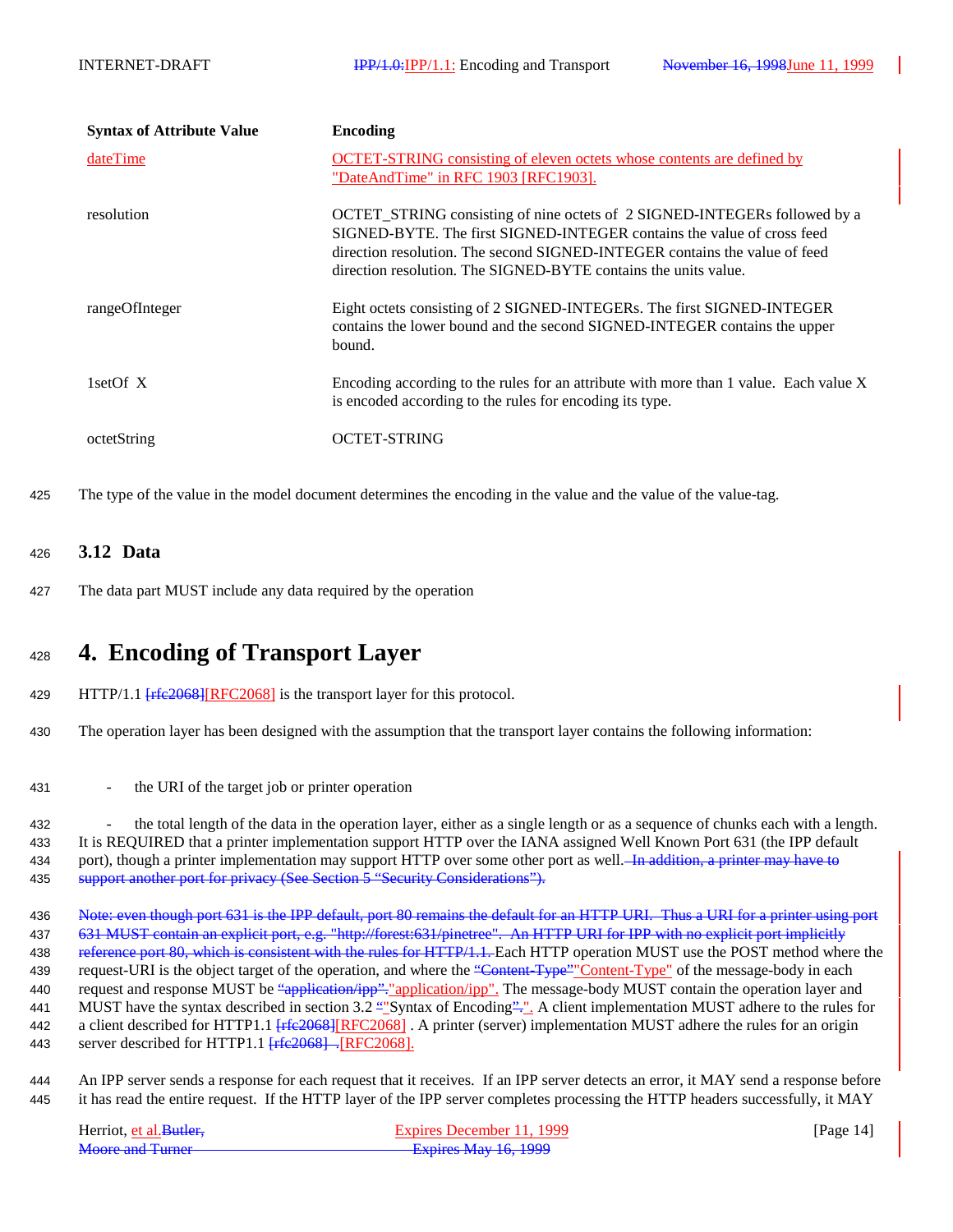| <b>Syntax of Attribute Value</b> | <b>Encoding</b>                                                                                                                                                                                                                                                                                      |
|----------------------------------|------------------------------------------------------------------------------------------------------------------------------------------------------------------------------------------------------------------------------------------------------------------------------------------------------|
| dateTime                         | <b>OCTET-STRING</b> consisting of eleven octets whose contents are defined by<br>"DateAndTime" in RFC 1903 [RFC1903].                                                                                                                                                                                |
| resolution                       | OCTET_STRING consisting of nine octets of 2 SIGNED-INTEGERs followed by a<br>SIGNED-BYTE. The first SIGNED-INTEGER contains the value of cross feed<br>direction resolution. The second SIGNED-INTEGER contains the value of feed<br>direction resolution. The SIGNED-BYTE contains the units value. |
| rangeOfInteger                   | Eight octets consisting of 2 SIGNED-INTEGERs. The first SIGNED-INTEGER<br>contains the lower bound and the second SIGNED-INTEGER contains the upper<br>bound.                                                                                                                                        |
| 1set Of $X$                      | Encoding according to the rules for an attribute with more than 1 value. Each value X<br>is encoded according to the rules for encoding its type.                                                                                                                                                    |
| octetString                      | OCTET-STRING                                                                                                                                                                                                                                                                                         |

425 The type of the value in the model document determines the encoding in the value and the value of the value-tag.

### <sup>426</sup> **3.12 Data**

427 The data part MUST include any data required by the operation

# <sup>428</sup> **4. Encoding of Transport Layer**

- 429 HTTP/1.1 [ $rfc2068$ ][RFC2068] is the transport layer for this protocol.
- 430 The operation layer has been designed with the assumption that the transport layer contains the following information:
- 431 the URI of the target job or printer operation

432 - the total length of the data in the operation layer, either as a single length or as a sequence of chunks each with a length. 433 It is REQUIRED that a printer implementation support HTTP over the IANA assigned Well Known Port 631 (the IPP default 434 port), though a printer implementation may support HTTP over some other port as well. In addition, a printer may have to 435 support another port for privacy (See Section 5 "Security Considerations").

436 Note: even though port 631 is the IPP default, port 80 remains the default for an HTTP URI. Thus a URI for a printer using port 437 631 MUST contain an explicit port, e.g. "http://forest:631/pinetree". An HTTP URI for IPP with no explicit port implicitly 438 reference port 80, which is consistent with the rules for HTTP/1.1. Each HTTP operation MUST use the POST method where the 439 request-URI is the object target of the operation, and where the "Content-Type" Content-Type" of the message-body in each 440 request and response MUST be "application/ipp". "application/ipp". The message-body MUST contain the operation layer and 441 MUST have the syntax described in section 3.2 "Syntax of Encoding"<sup>--</sup>... A client implementation MUST adhere to the rules for 442 a client described for HTTP1.1 [rfe2068][RFC2068]. A printer (server) implementation MUST adhere the rules for an origin 443 server described for HTTP1.1 [rfc2068]. [RFC2068].

444 An IPP server sends a response for each request that it receives. If an IPP server detects an error, it MAY send a response before 445 it has read the entire request. If the HTTP layer of the IPP server completes processing the HTTP headers successfully, it MAY

| Herriot, et al. Butler. | Expires December 11, 1999   | [Page $14$ ] |
|-------------------------|-----------------------------|--------------|
| Moore and Turner        | <b>Expires May 16, 1999</b> |              |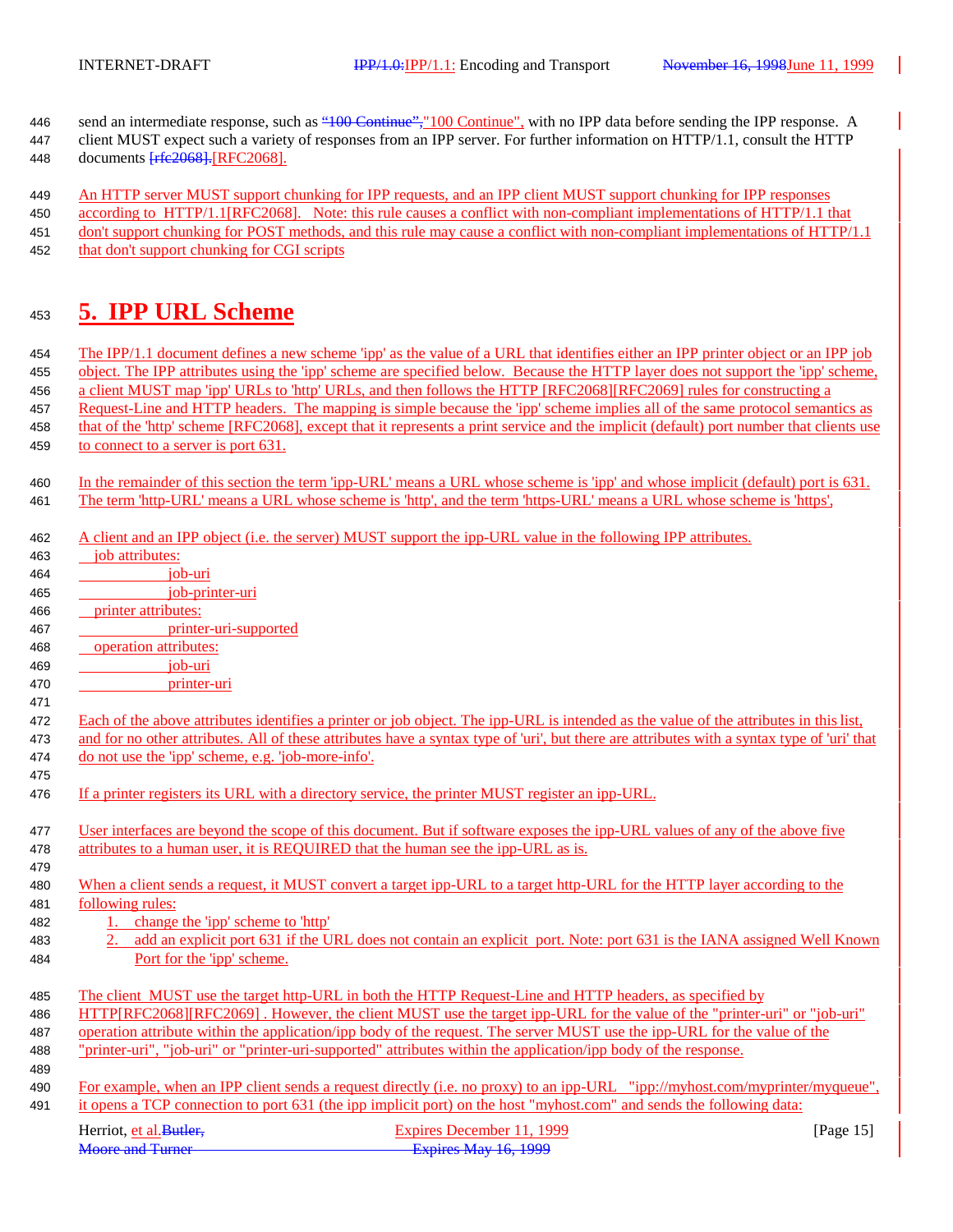- 446 send an intermediate response, such as "100 Continue", "100 Continue", with no IPP data before sending the IPP response. A client MUST expect such a variety of responses from an IPP server. For further information on HTTP/1.1, consult the HTTP
- 448 documents  $\frac{f_{\text{rfc}}}{g_{\text{fc}}}$  RFC2068].

An HTTP server MUST support chunking for IPP requests, and an IPP client MUST support chunking for IPP responses

 according to HTTP/1.1[RFC2068]. Note: this rule causes a conflict with non-compliant implementations of HTTP/1.1 that 451 don't support chunking for POST methods, and this rule may cause a conflict with non-compliant implementations of HTTP/1.1 that don't support chunking for CGI scripts

# **5. IPP URL Scheme**

 The IPP/1.1 document defines a new scheme 'ipp' as the value of a URL that identifies either an IPP printer object or an IPP job object. The IPP attributes using the 'ipp' scheme are specified below. Because the HTTP layer does not support the 'ipp' scheme, a client MUST map 'ipp' URLs to 'http' URLs, and then follows the HTTP [RFC2068][RFC2069] rules for constructing a Request-Line and HTTP headers. The mapping is simple because the 'ipp' scheme implies all of the same protocol semantics as that of the 'http' scheme [RFC2068], except that it represents a print service and the implicit (default) port number that clients use 459 to connect to a server is port 631.

- A client and an IPP object (i.e. the server) MUST support the ipp-URL value in the following IPP attributes.
- Herriot, <u>et al.Butler, Expires December 11, 1999</u> [Page 15]<br>
Moore and Turner Expires May 16, 1999 Expires May 16, 1999 job attributes: job-uri job-printer-uri printer attributes: printer-uri-supported operation attributes: job-uri printer-uri Each of the above attributes identifies a printer or job object. The ipp-URL is intended as the value of the attributes in this list, and for no other attributes. All of these attributes have a syntax type of 'uri', but there are attributes with a syntax type of 'uri' that do not use the 'ipp' scheme, e.g. 'job-more-info'. If a printer registers its URL with a directory service, the printer MUST register an ipp-URL. User interfaces are beyond the scope of this document. But if software exposes the ipp-URL values of any of the above five attributes to a human user, it is REQUIRED that the human see the ipp-URL as is. When a client sends a request, it MUST convert a target ipp-URL to a target http-URL for the HTTP layer according to the following rules: 1. change the 'ipp' scheme to 'http' 2. add an explicit port 631 if the URL does not contain an explicit port. Note: port 631 is the IANA assigned Well Known Port for the 'ipp' scheme. The client MUST use the target http-URL in both the HTTP Request-Line and HTTP headers, as specified by HTTP[RFC2068][RFC2069] . However, the client MUST use the target ipp-URL for the value of the "printer-uri" or "job-uri" operation attribute within the application/ipp body of the request. The server MUST use the ipp-URL for the value of the "printer-uri", "job-uri" or "printer-uri-supported" attributes within the application/ipp body of the response. For example, when an IPP client sends a request directly (i.e. no proxy) to an ipp-URL "ipp://myhost.com/myprinter/myqueue", it opens a TCP connection to port 631 (the ipp implicit port) on the host "myhost.com" and sends the following data:

 In the remainder of this section the term 'ipp-URL' means a URL whose scheme is 'ipp' and whose implicit (default) port is 631. The term 'http-URL' means a URL whose scheme is 'http', and the term 'https-URL' means a URL whose scheme is 'https',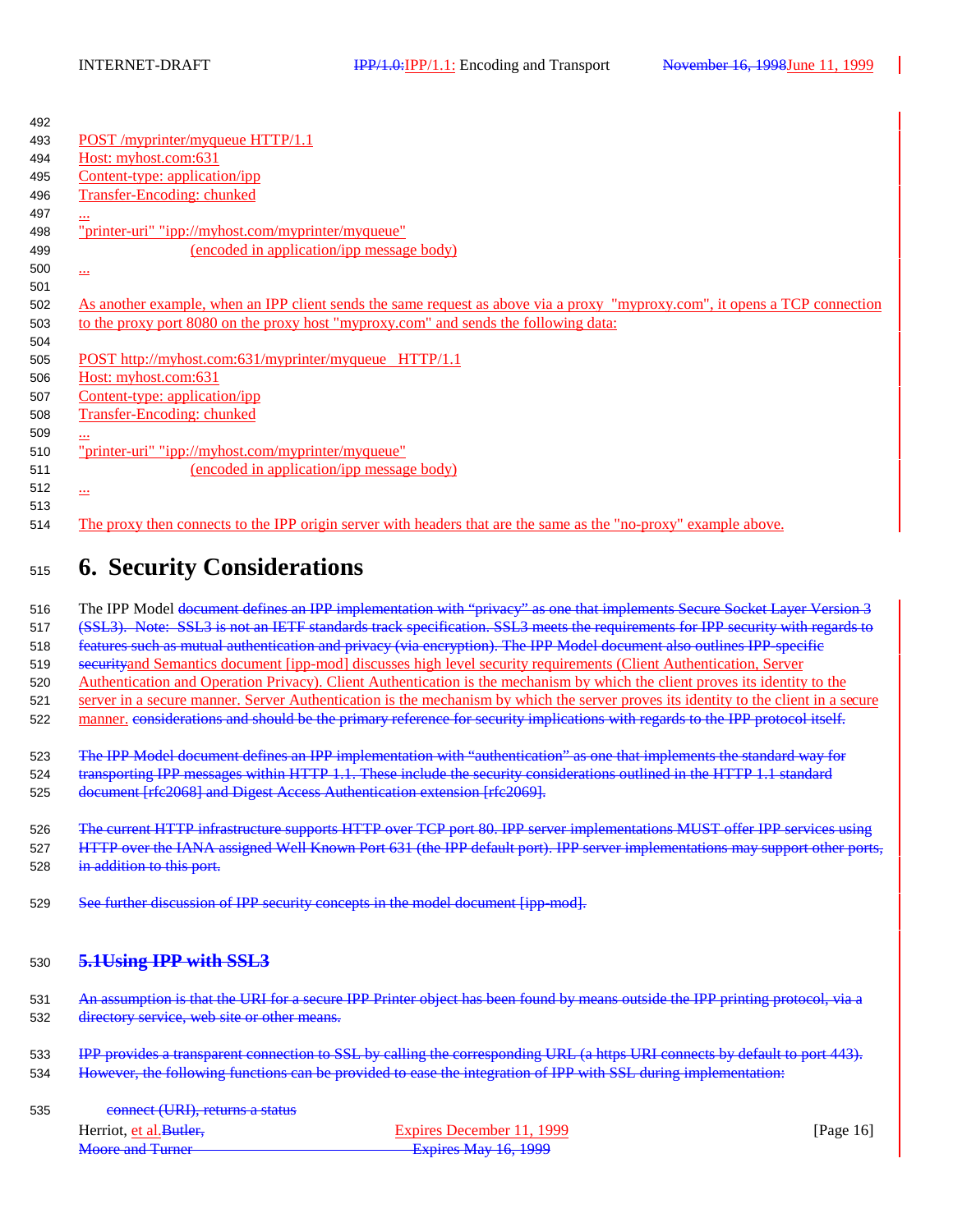| 492 |                                                                                                                             |
|-----|-----------------------------------------------------------------------------------------------------------------------------|
| 493 | POST/myprinter/myqueue HTTP/1.1                                                                                             |
| 494 | Host: myhost.com:631                                                                                                        |
| 495 | Content-type: application/ipp                                                                                               |
| 496 | Transfer-Encoding: chunked                                                                                                  |
| 497 | $\cdot$                                                                                                                     |
| 498 | "printer-uri" "ipp://myhost.com/myprinter/myqueue"                                                                          |
| 499 | (encoded in application/ipp message body)                                                                                   |
| 500 | $\overline{\phantom{a}}$                                                                                                    |
| 501 |                                                                                                                             |
| 502 | As another example, when an IPP client sends the same request as above via a proxy "myproxy.com", it opens a TCP connection |
| 503 | to the proxy port 8080 on the proxy host "myproxy.com" and sends the following data:                                        |
| 504 |                                                                                                                             |
| 505 | POST http://myhost.com:631/myprinter/myqueue HTTP/1.1                                                                       |
| 506 | Host: myhost.com:631                                                                                                        |
| 507 | Content-type: application/ipp                                                                                               |
| 508 | Transfer-Encoding: chunked                                                                                                  |
| 509 | $\cdots$                                                                                                                    |
| 510 | "printer-uri" "ipp://myhost.com/myprinter/myqueue"                                                                          |
| 511 | (encoded in application/ipp message body)                                                                                   |
| 512 | $\overline{\cdots}$                                                                                                         |
| 513 |                                                                                                                             |
| 514 | The proxy then connects to the IPP origin server with headers that are the same as the "no-proxy" example above.            |
|     |                                                                                                                             |

# <sup>515</sup> **6. Security Considerations**

516 The IPP Model document defines an IPP implementation with "privacy" as one that implements Secure Socket Layer Version 3

517 (SSL3). Note: SSL3 is not an IETF standards track specification. SSL3 meets the requirements for IPP security with regards to

518 features such as mutual authentication and privacy (via encryption). The IPP Model document also outlines IPP-specific

519 securityand Semantics document [ipp-mod] discusses high level security requirements (Client Authentication, Server

520 Authentication and Operation Privacy). Client Authentication is the mechanism by which the client proves its identity to the 521 server in a secure manner. Server Authentication is the mechanism by which the server proves its identity to the client in a secure

522 manner, considerations and should be the primary reference for security implications with regards to the IPP protocol itself.

523 The IPP Model document defines an IPP implementation with "authentication" as one that implements the standard way for 524 transporting IPP messages within HTTP 1.1. These include the security considerations outlined in the HTTP 1.1 standard 525 document [rfc2068] and Digest Access Authentication extension [rfc2069].

526 The current HTTP infrastructure supports HTTP over TCP port 80. IPP server implementations MUST offer IPP services using 527 HTTP over the IANA assigned Well Known Port 631 (the IPP default port). IPP server implementations may support other ports, 528 in addition to this port.

529 See further discussion of IPP security concepts in the model document [ipp-mod].

### <sup>530</sup> **5.1Using IPP with SSL3**

531 An assumption is that the URI for a secure IPP Printer object has been found by means outside the IPP printing protocol, via a 532 directory service, web site or other means.

533 IPP provides a transparent connection to SSL by calling the corresponding URL (a https URI connects by default to port 443). 534 However, the following functions can be provided to ease the integration of IPP with SSL during implementation:

535 connect (URI), returns a status

| Herriot, et al. Butler. | Expires December 11, 1999   | [Page $16$ ] |
|-------------------------|-----------------------------|--------------|
| <b>Moore and Turner</b> | <b>Expires May 16, 1999</b> |              |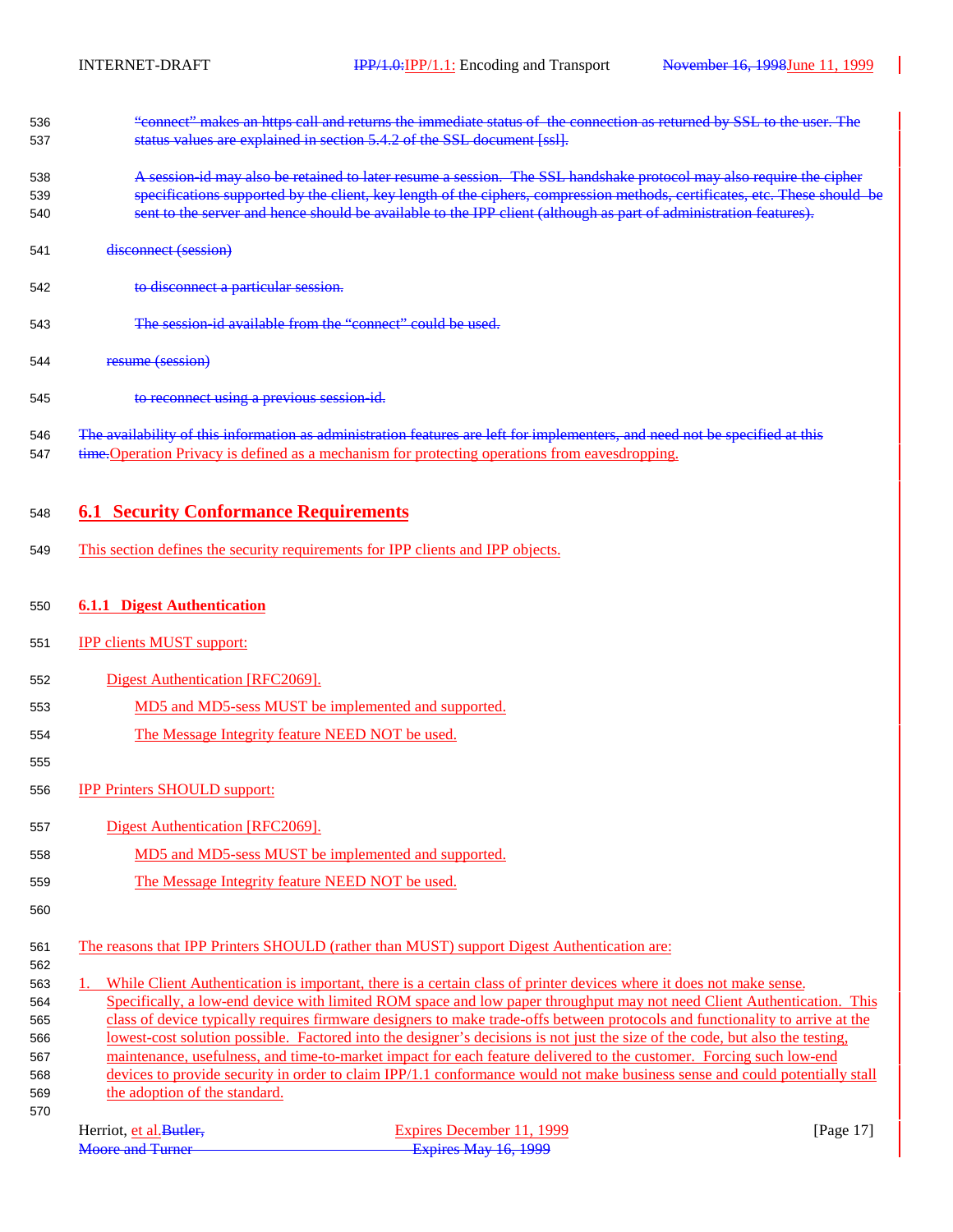| 536 | "connect" makes an https call and returns the immediate status of the connection as returned by SSL to the user. The |
|-----|----------------------------------------------------------------------------------------------------------------------|
| 537 | status values are explained in section 5.4.2 of the SSL document [ssl].                                              |

- A session-id may also be retained to later resume a session. The SSL handshake protocol may also require the cipher specifications supported by the client, key length of the ciphers, compression methods, certificates, etc. These should be sent to the server and hence should be available to the IPP client (although as part of administration features).
- disconnect (session)
- 542 to disconnect a particular session.
- The session-id available from the "connect" could be used.
- resume (session)
- to reconnect using a previous session-id.
- 546 The availability of this information as administration features are left for implementers, and need not be specified at this 547 time. Operation Privacy is defined as a mechanism for protecting operations from eavesdropping.

### **6.1 Security Conformance Requirements**

- This section defines the security requirements for IPP clients and IPP objects.
- **6.1.1 Digest Authentication**
- **IPP clients MUST support:**
- Digest Authentication [RFC2069].
- MD5 and MD5-sess MUST be implemented and supported.
- The Message Integrity feature NEED NOT be used.
- 
- IPP Printers SHOULD support:
- Digest Authentication [RFC2069].
- 558 MD5 and MD5-sess MUST be implemented and supported.
- The Message Integrity feature NEED NOT be used.
- 

- The reasons that IPP Printers SHOULD (rather than MUST) support Digest Authentication are:
- 1. While Client Authentication is important, there is a certain class of printer devices where it does not make sense.

 Specifically, a low-end device with limited ROM space and low paper throughput may not need Client Authentication. This class of device typically requires firmware designers to make trade-offs between protocols and functionality to arrive at the lowest-cost solution possible. Factored into the designer's decisions is not just the size of the code, but also the testing, maintenance, usefulness, and time-to-market impact for each feature delivered to the customer. Forcing such low-end devices to provide security in order to claim IPP/1.1 conformance would not make business sense and could potentially stall

 the adoption of the standard. 

| Herriot, et al. Butler. | Expires December 11, 1999   | [Page 17 |
|-------------------------|-----------------------------|----------|
| <b>Moore and Turner</b> | <b>Expires May 16, 1999</b> |          |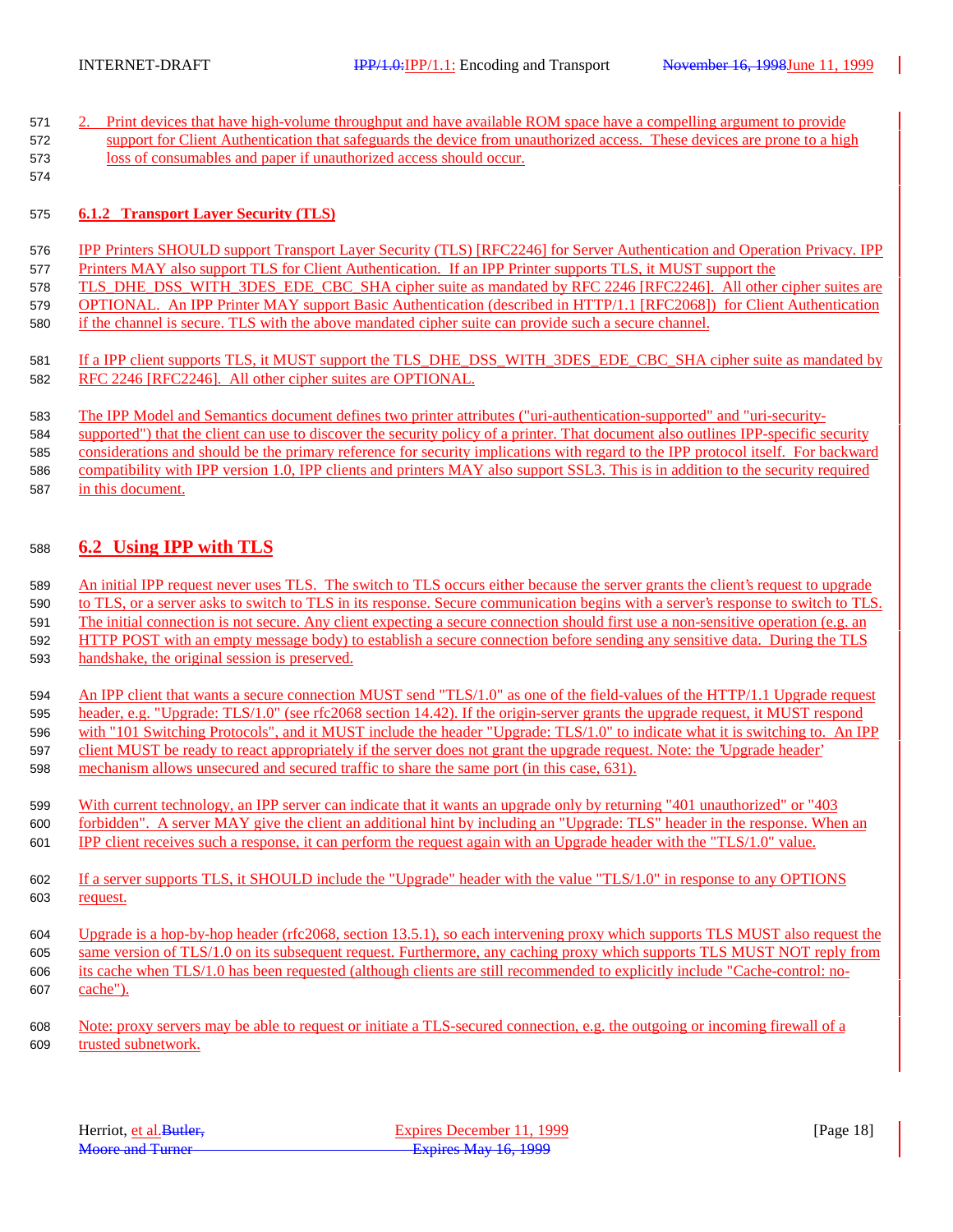| 571 | Print devices that have high-volume throughput and have available ROM space have a compelling argument to provide        |
|-----|--------------------------------------------------------------------------------------------------------------------------|
| 572 | support for Client Authentication that safeguards the device from unauthorized access. These devices are prone to a high |
| 573 | loss of consumables and paper if unauthorized access should occur.                                                       |
| 574 |                                                                                                                          |
|     |                                                                                                                          |
| 575 | <b>6.1.2 Transport Laver Security (TLS)</b>                                                                              |
|     |                                                                                                                          |

- IPP Printers SHOULD support Transport Layer Security (TLS) [RFC2246] for Server Authentication and Operation Privacy. IPP Printers MAY also support TLS for Client Authentication. If an IPP Printer supports TLS, it MUST support the
- 578 TLS DHE DSS\_WITH\_3DES\_EDE\_CBC\_SHA cipher suite as mandated by RFC 2246 [RFC2246]. All other cipher suites are OPTIONAL. An IPP Printer MAY support Basic Authentication (described in HTTP/1.1 [RFC2068]) for Client Authentication
- if the channel is secure. TLS with the above mandated cipher suite can provide such a secure channel.
- 581 If a IPP client supports TLS, it MUST support the TLS\_DHE\_DSS\_WITH\_3DES\_EDE\_CBC\_SHA cipher suite as mandated by RFC 2246 [RFC2246]. All other cipher suites are OPTIONAL.
- The IPP Model and Semantics document defines two printer attributes ("uri-authentication-supported" and "uri-security-
- supported") that the client can use to discover the security policy of a printer. That document also outlines IPP-specific security
- considerations and should be the primary reference for security implications with regard to the IPP protocol itself. For backward compatibility with IPP version 1.0, IPP clients and printers MAY also support SSL3. This is in addition to the security required
- in this document.

### **6.2 Using IPP with TLS**

- An initial IPP request never uses TLS. The switch to TLS occurs either because the server grants the client's request to upgrade
- to TLS, or a server asks to switch to TLS in its response. Secure communication begins with a server's response to switch to TLS.
- The initial connection is not secure. Any client expecting a secure connection should first use a non-sensitive operation (e.g. an
- HTTP POST with an empty message body) to establish a secure connection before sending any sensitive data. During the TLS handshake, the original session is preserved.
- An IPP client that wants a secure connection MUST send "TLS/1.0" as one of the field-values of the HTTP/1.1 Upgrade request header, e.g. "Upgrade: TLS/1.0" (see rfc2068 section 14.42). If the origin-server grants the upgrade request, it MUST respond 596 with "101 Switching Protocols", and it MUST include the header "Upgrade: TLS/1.0" to indicate what it is switching to. An IPP client MUST be ready to react appropriately if the server does not grant the upgrade request. Note: the 'Upgrade header' mechanism allows unsecured and secured traffic to share the same port (in this case, 631).
- With current technology, an IPP server can indicate that it wants an upgrade only by returning "401 unauthorized" or "403 forbidden". A server MAY give the client an additional hint by including an "Upgrade: TLS" header in the response. When an IPP client receives such a response, it can perform the request again with an Upgrade header with the "TLS/1.0" value.
- If a server supports TLS, it SHOULD include the "Upgrade" header with the value "TLS/1.0" in response to any OPTIONS request.
- Upgrade is a hop-by-hop header (rfc2068, section 13.5.1), so each intervening proxy which supports TLS MUST also request the same version of TLS/1.0 on its subsequent request. Furthermore, any caching proxy which supports TLS MUST NOT reply from its cache when TLS/1.0 has been requested (although clients are still recommended to explicitly include "Cache-control: no-cache").
- Note: proxy servers may be able to request or initiate a TLS-secured connection, e.g. the outgoing or incoming firewall of a trusted subnetwork.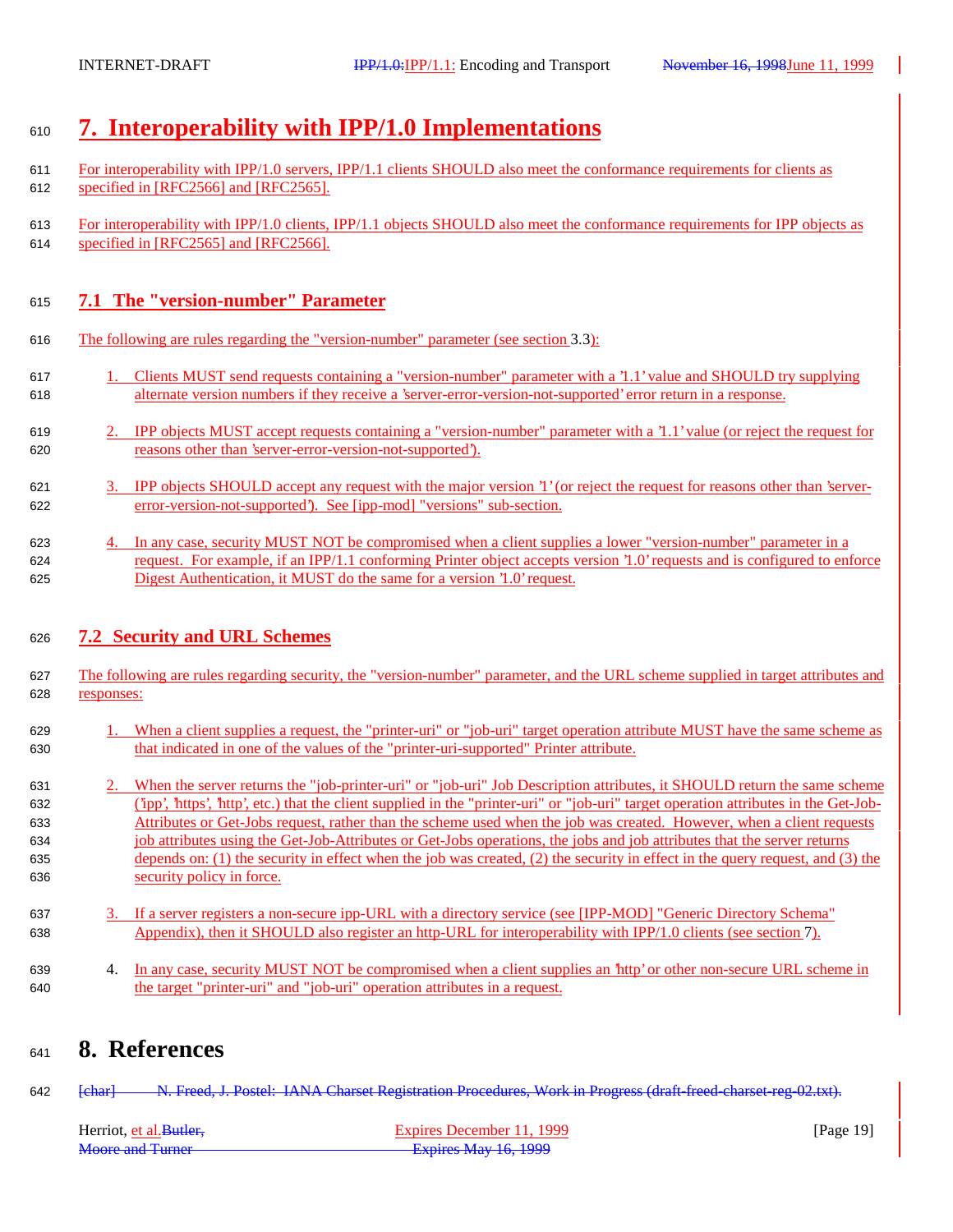# **7. Interoperability with IPP/1.0 Implementations**

- 611 For interoperability with IPP/1.0 servers, IPP/1.1 clients SHOULD also meet the conformance requirements for clients as specified in [RFC2566] and [RFC2565].
- For interoperability with IPP/1.0 clients, IPP/1.1 objects SHOULD also meet the conformance requirements for IPP objects as specified in [RFC2565] and [RFC2566].

### **7.1 The "version-number" Parameter**

- The following are rules regarding the "version-number" parameter (see section 3.3):
- 1. Clients MUST send requests containing a "version-number" parameter with a '1.1' value and SHOULD try supplying alternate version numbers if they receive a 'server-error-version-not-supported' error return in a response.
- 2. IPP objects MUST accept requests containing a "version-number" parameter with a '1.1' value (or reject the request for reasons other than 'server-error-version-not-supported').
- 3. IPP objects SHOULD accept any request with the major version '1' (or reject the request for reasons other than 'server-error-version-not-supported'). See [ipp-mod] "versions" sub-section.
- 4. In any case, security MUST NOT be compromised when a client supplies a lower "version-number" parameter in a request. For example, if an IPP/1.1 conforming Printer object accepts version '1.0' requests and is configured to enforce Digest Authentication, it MUST do the same for a version '1.0' request.

### **7.2 Security and URL Schemes**

- The following are rules regarding security, the "version-number" parameter, and the URL scheme supplied in target attributes and responses:
- 1. When a client supplies a request, the "printer-uri" or "job-uri" target operation attribute MUST have the same scheme as that indicated in one of the values of the "printer-uri-supported" Printer attribute.
- 631 2. When the server returns the "job-printer-uri" or "job-uri" Job Description attributes, it SHOULD return the same scheme ('ipp', 'https', 'http', etc.) that the client supplied in the "printer-uri" or "job-uri" target operation attributes in the Get-Job- Attributes or Get-Jobs request, rather than the scheme used when the job was created. However, when a client requests job attributes using the Get-Job-Attributes or Get-Jobs operations, the jobs and job attributes that the server returns depends on: (1) the security in effect when the job was created, (2) the security in effect in the query request, and (3) the security policy in force.
- 3. If a server registers a non-secure ipp-URL with a directory service (see [IPP-MOD] "Generic Directory Schema" Appendix), then it SHOULD also register an http-URL for interoperability with IPP/1.0 clients (see section 7).
- 4. In any case, security MUST NOT be compromised when a client supplies an 'http' or other non-secure URL scheme in the target "printer-uri" and "job-uri" operation attributes in a request.

# **8. References**

642 [char] N. Freed, J. Postel: IANA Charset Registration Procedures, Work in Progress (draft-freed-charset-reg-02.txt).

| Herriot, et al. Butler. | Expires December 11, 1999 | [Page $19$ ] |
|-------------------------|---------------------------|--------------|
| Moore and Turner        | Expires May 16, 1999      |              |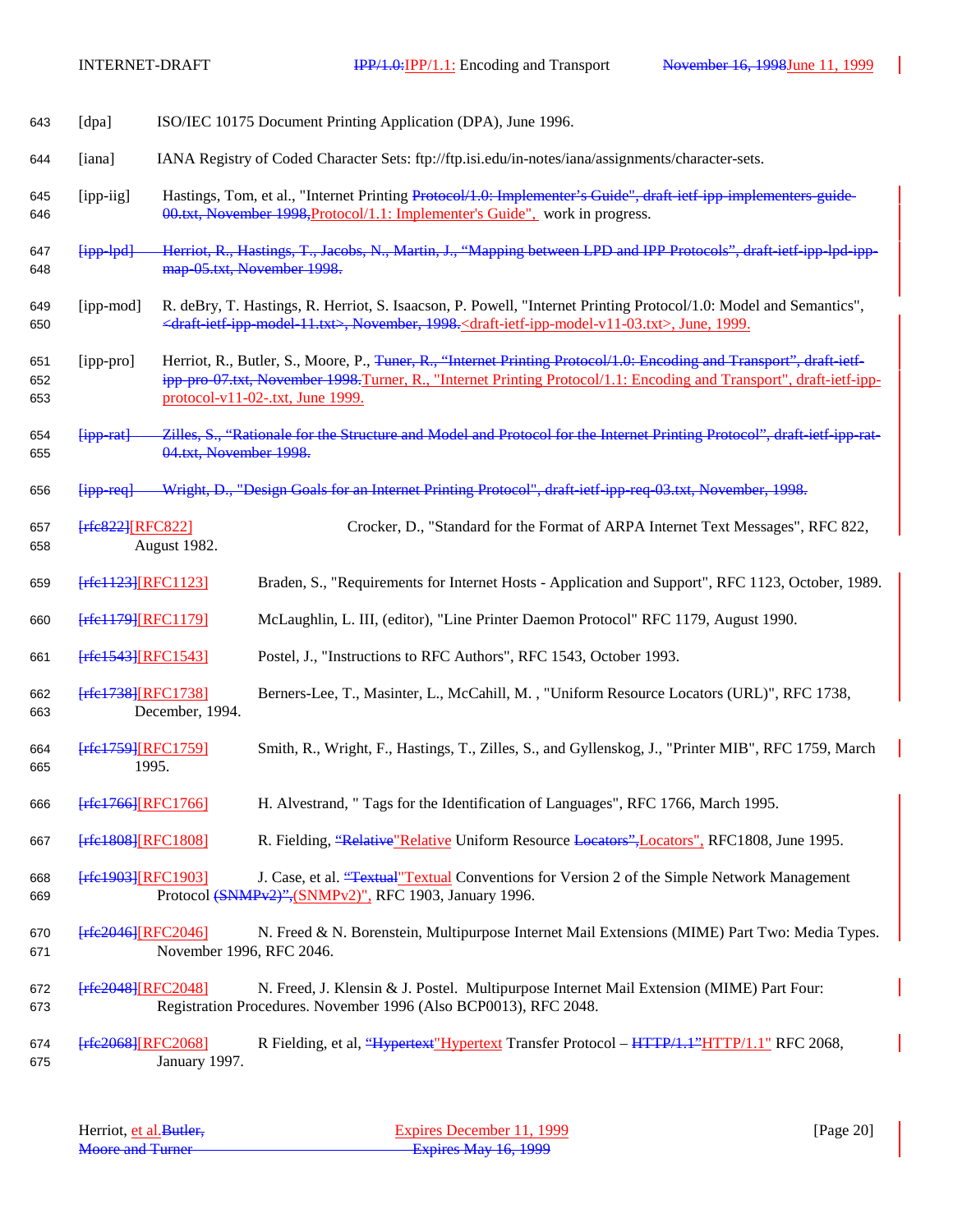| 643               | [dpa]                       | ISO/IEC 10175 Document Printing Application (DPA), June 1996.                                                                                                                                    |                                                                                                                                                                                                                                                                                            |
|-------------------|-----------------------------|--------------------------------------------------------------------------------------------------------------------------------------------------------------------------------------------------|--------------------------------------------------------------------------------------------------------------------------------------------------------------------------------------------------------------------------------------------------------------------------------------------|
| 644               | [iana]                      | IANA Registry of Coded Character Sets: ftp://ftp.isi.edu/in-notes/iana/assignments/character-sets.                                                                                               |                                                                                                                                                                                                                                                                                            |
| 645<br>646        | [ipp-iig]                   | Hastings, Tom, et al., "Internet Printing Protocol/1.0: Implementer's Guide", draft-ietf-ipp-implementers-guide-<br>00.txt, November 1998, Protocol/1.1: Implementer's Guide", work in progress. |                                                                                                                                                                                                                                                                                            |
| 647<br>648        | $[ipp-lpd]$                 | map-05.txt, November 1998.                                                                                                                                                                       | Herriot, R., Hastings, T., Jacobs, N., Martin, J., "Mapping between LPD and IPP Protocols", draft-ietf-ipp-lpd-ipp-                                                                                                                                                                        |
| 649<br>650        | [ipp-mod]                   |                                                                                                                                                                                                  | R. deBry, T. Hastings, R. Herriot, S. Isaacson, P. Powell, "Internet Printing Protocol/1.0: Model and Semantics",<br><draft-ietf-ipp-model-11.txt>, November, 1998.<draft-ietf-ipp-model-v11-03.txt>, June, 1999.</draft-ietf-ipp-model-v11-03.txt></draft-ietf-ipp-model-11.txt>          |
| 651<br>652<br>653 | [ipp-pro]                   |                                                                                                                                                                                                  | Herriot, R., Butler, S., Moore, P., <del>Tuner, R., "Internet Printing Protocol/1.0: Encoding and Transport", draft-ietf-</del><br>ipp-pro-07.txt, November 1998.Turner, R., "Internet Printing Protocol/1.1: Encoding and Transport", draft-ietf-ipp-<br>protocol-v11-02-.txt, June 1999. |
| 654<br>655        | $[$ ipp-rat $]$             | 04.txt, November 1998.                                                                                                                                                                           | Zilles, S., "Rationale for the Structure and Model and Protocol for the Internet Printing Protocol", draft-ietf-ipp-rat-                                                                                                                                                                   |
| 656               | $[$ ipp-req $]$             |                                                                                                                                                                                                  | Wright, D., "Design Goals for an Internet Printing Protocol", draft-ietf-ipp-req-03.txt, November, 1998.                                                                                                                                                                                   |
| 657<br>658        | $[$ rfe $822$ ][RFC $822$ ] | August 1982.                                                                                                                                                                                     | Crocker, D., "Standard for the Format of ARPA Internet Text Messages", RFC 822,                                                                                                                                                                                                            |
| 659               | [rfe1123][RFC1123]          |                                                                                                                                                                                                  | Braden, S., "Requirements for Internet Hosts - Application and Support", RFC 1123, October, 1989.                                                                                                                                                                                          |
| 660               | [rfe1179][RFC1179]          |                                                                                                                                                                                                  | McLaughlin, L. III, (editor), "Line Printer Daemon Protocol" RFC 1179, August 1990.                                                                                                                                                                                                        |
| 661               | [rfe1543][RFC1543]          |                                                                                                                                                                                                  | Postel, J., "Instructions to RFC Authors", RFC 1543, October 1993.                                                                                                                                                                                                                         |
| 662<br>663        | [rfe1738][RFC1738]          | December, 1994.                                                                                                                                                                                  | Berners-Lee, T., Masinter, L., McCahill, M., "Uniform Resource Locators (URL)", RFC 1738,                                                                                                                                                                                                  |
| 664<br>665        | [rfe1759][RFC1759]<br>1995. |                                                                                                                                                                                                  | Smith, R., Wright, F., Hastings, T., Zilles, S., and Gyllenskog, J., "Printer MIB", RFC 1759, March                                                                                                                                                                                        |
| 666               | [rfe1766][RFC1766]          |                                                                                                                                                                                                  | H. Alvestrand, " Tags for the Identification of Languages", RFC 1766, March 1995.                                                                                                                                                                                                          |
| 667               | <b>Frfe1808 [RFC1808]</b>   |                                                                                                                                                                                                  | R. Fielding, "Relative" Relative Uniform Resource Locators", Locators", RFC1808, June 1995.                                                                                                                                                                                                |
| 668<br>669        | [rfe1903][RFC1903]          |                                                                                                                                                                                                  | J. Case, et al. "Textual" Textual Conventions for Version 2 of the Simple Network Management<br>Protocol (SNMPv2)", (SNMPv2)", RFC 1903, January 1996.                                                                                                                                     |
| 670<br>671        | $[$ rfe2046][RFC2046]       | November 1996, RFC 2046.                                                                                                                                                                         | N. Freed & N. Borenstein, Multipurpose Internet Mail Extensions (MIME) Part Two: Media Types.                                                                                                                                                                                              |
| 672<br>673        | [rfe2048][RFC2048]          |                                                                                                                                                                                                  | N. Freed, J. Klensin & J. Postel. Multipurpose Internet Mail Extension (MIME) Part Four:<br>Registration Procedures. November 1996 (Also BCP0013), RFC 2048.                                                                                                                               |
| 674<br>675        | [rfe2068][RFC2068]          | January 1997.                                                                                                                                                                                    | R Fielding, et al. "Hypertext" Hypertext Transfer Protocol – HTTP/1.1" HTTP/1.1" RFC 2068,                                                                                                                                                                                                 |

| Herriot, et al. Butler, | Expires December 11, 1999 | [Page $20$ ] |
|-------------------------|---------------------------|--------------|
| <b>Moore and Turner</b> | Expires May 16, 1999      |              |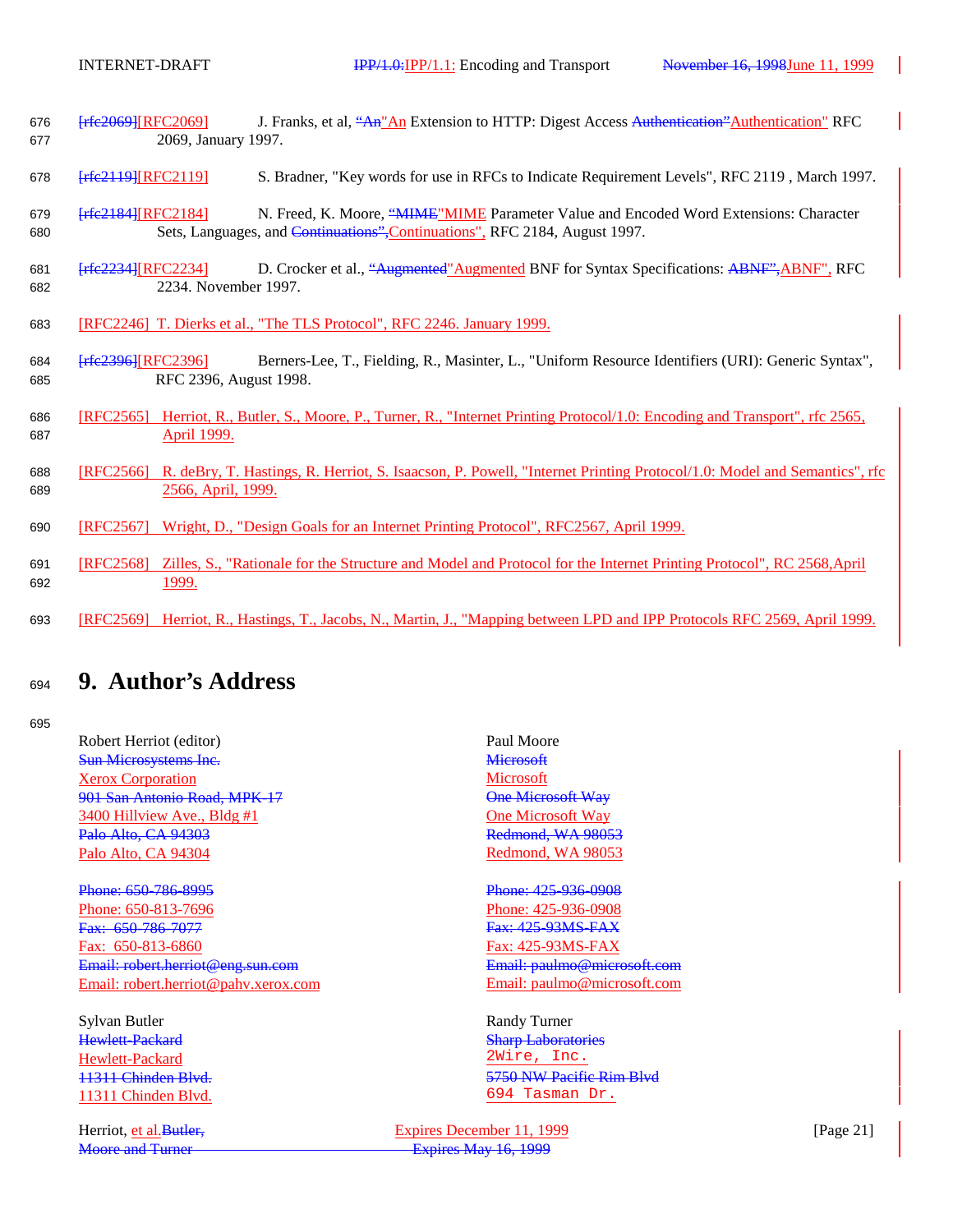- 676 **[rfc2069]**[RFC2069] J. Franks, et al, "An<sup>"</sup>An Extension to HTTP: Digest Access Authentication" Authentication" RFC 677 2069, January 1997.
- 678 [rfc2119][RFC2119] S. Bradner, "Key words for use in RFCs to Indicate Requirement Levels", RFC 2119 , March 1997.
- 679 [rfc2184][RFC2184] N. Freed, K. Moore, "MIME" MIME Parameter Value and Encoded Word Extensions: Character 680 Sets, Languages, and Continuations",Continuations", RFC 2184, August 1997.
- 681 [rfc2234][RFC2234] D. Crocker et al., "Augmented"Augmented BNF for Syntax Specifications: ABNF",ABNF", RFC 682 2234. November 1997.
- 683 [RFC2246] T. Dierks et al., "The TLS Protocol", RFC 2246. January 1999.
- 684 [rfc2396][RFC2396] Berners-Lee, T., Fielding, R., Masinter, L., "Uniform Resource Identifiers (URI): Generic Syntax", 685 RFC 2396, August 1998.
- 686 [RFC2565] Herriot, R., Butler, S., Moore, P., Turner, R., "Internet Printing Protocol/1.0: Encoding and Transport", rfc 2565, 687 April 1999.
- 688 [RFC2566] R. deBry, T. Hastings, R. Herriot, S. Isaacson, P. Powell, "Internet Printing Protocol/1.0: Model and Semantics", rfc 689 2566, April, 1999.
- 690 [RFC2567] Wright, D., "Design Goals for an Internet Printing Protocol", RFC2567, April 1999.
- 691 [RFC2568] Zilles, S., "Rationale for the Structure and Model and Protocol for the Internet Printing Protocol", RC 2568,April 692 1999.
- 693 [RFC2569] Herriot, R., Hastings, T., Jacobs, N., Martin, J., "Mapping between LPD and IPP Protocols RFC 2569, April 1999.

# <sup>694</sup> **9. Author's Address**

#### 695

Robert Herriot (editor) Paul Moore **Sun Microsystems Inc.** Microsoft Xerox Corporation Microsoft 901 San Antonio Road, MPK-17 Construction Cone Microsoft Way 3400 Hillview Ave., Bldg #1 One Microsoft Way **Palo Alto, CA 94303 Redmond, WA 98053** Palo Alto, CA 94304 Redmond, WA 98053

Phone: 650-786-8995 Phone: 425-936-0908 Phone: 650-813-7696 Phone: 650-813-7696 Phone: 650-813-7696 Fax: 650-786-7077 Fax: 425-93MS-FAX Fax: 650-813-6860 Fax: 425-93MS-FAX Email: robert.herriot@eng.sun.com Email: paulmo@microsoft.com Email: robert.herriot@pahv.xerox.com Email: paulmo@microsoft.com

Sylvan Butler Randy Turner **Hewlett-Packard Sharp Laboratories** Sharp Laboratories Hewlett-Packard 2Wire, Inc. 11311 Chinden Blvd.

11311 Chinden Blvd.<br>
11311 Chinden Blvd.<br>
11311 Chinden Blvd.<br>
11311 Chinden Blvd.

Herriot, et al. Butler, Expires December 11, 1999 [Page 21] Moore and Turner **Expires** May 16, 1999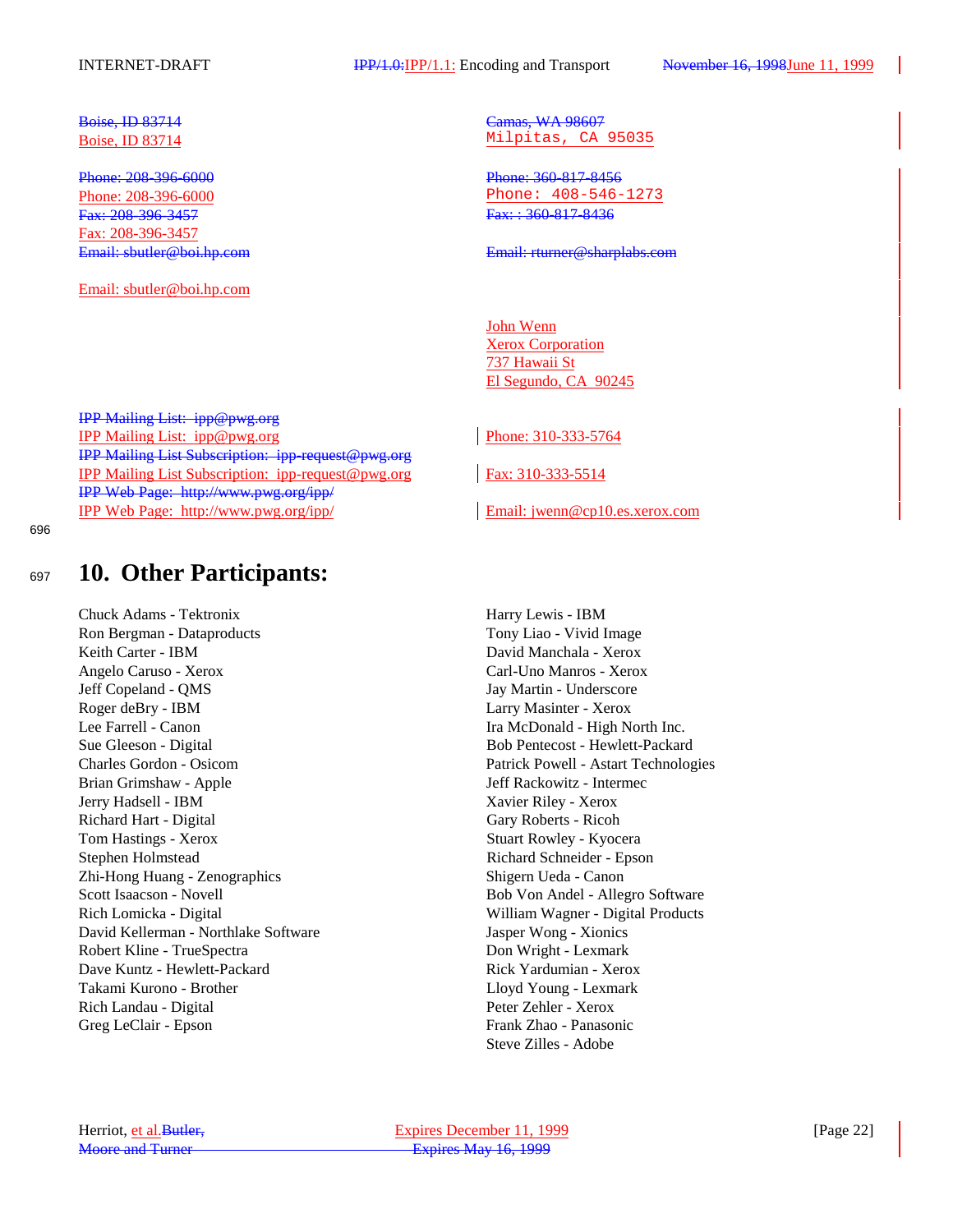INTERNET-DRAFT **IPP/1.0:IPP/1.1:** Encoding and Transport November 16, 1998June 11, 1999

Phone: 208-396-6000 Phone: 208-396-6000 Fax: 208-396-3457 Fax: : 360-817-8436 Fax: 208-396-3457

Email: sbutler@boi.hp.com

IPP Mailing List: ipp@pwg.org IPP Mailing List: ipp@pwg.org Phone: 310-333-5764 IPP Mailing List Subscription: ipp-request@pwg.org IPP Mailing List Subscription: ipp-request@pwg.org Fax: 310-333-5514 IPP Web Page: http://www.pwg.org/ipp/ IPP Web Page: http://www.pwg.org/ipp/ Email: jwenn@cp10.es.xerox.com

696

# <sup>697</sup> **10. Other Participants:**

Chuck Adams - Tektronix Harry Lewis - IBM Ron Bergman - Dataproducts Tony Liao - Vivid Image Keith Carter - IBM David Manchala - Xerox Angelo Caruso - Xerox Carl-Uno Manros - Xerox Jeff Copeland - QMS Jay Martin - Underscore Roger deBry - IBM Larry Masinter - Xerox Lee Farrell - Canon Ira McDonald - High North Inc. Sue Gleeson - Digital Bob Pentecost - Hewlett-Packard Charles Gordon - Osicom Patrick Powell - Astart Technologies Brian Grimshaw - Apple **Intermected Apple 3** Jeff Rackowitz - Intermected Apple 3 Jeff Rackowitz - Intermected Apple Jerry Hadsell - IBM Xavier Riley - Xerox Richard Hart - Digital Gary Roberts - Ricoh Tom Hastings - Xerox Stuart Rowley - Kyocera Stephen Holmstead **Richard Schneider - Epson** Zhi-Hong Huang - Zenographics Shigern Ueda - Canon Scott Isaacson - Novell Bob Von Andel - Allegro Software Rich Lomicka - Digital William Wagner - Digital Products David Kellerman - Northlake Software Jasper Wong - Xionics Robert Kline - TrueSpectra Don Wright - Lexmark Dave Kuntz - Hewlett-Packard **Rick Yardumian - Xerox** Takami Kurono - Brother Lloyd Young - Lexmark Rich Landau - Digital Peter Zehler - Xerox Greg LeClair - Epson Frank Zhao - Panasonic

**Boise, ID 83714** Camas, WA 98607 Boise, ID 83714 Milpitas, CA 95035

Phone: 208-396-6000 Phone: 408-546-1273

Email: sbutler@boi.hp.com Email: rturner@sharplabs.com

John Wenn Xerox Corporation 737 Hawaii St El Segundo, CA 90245

Steve Zilles - Adobe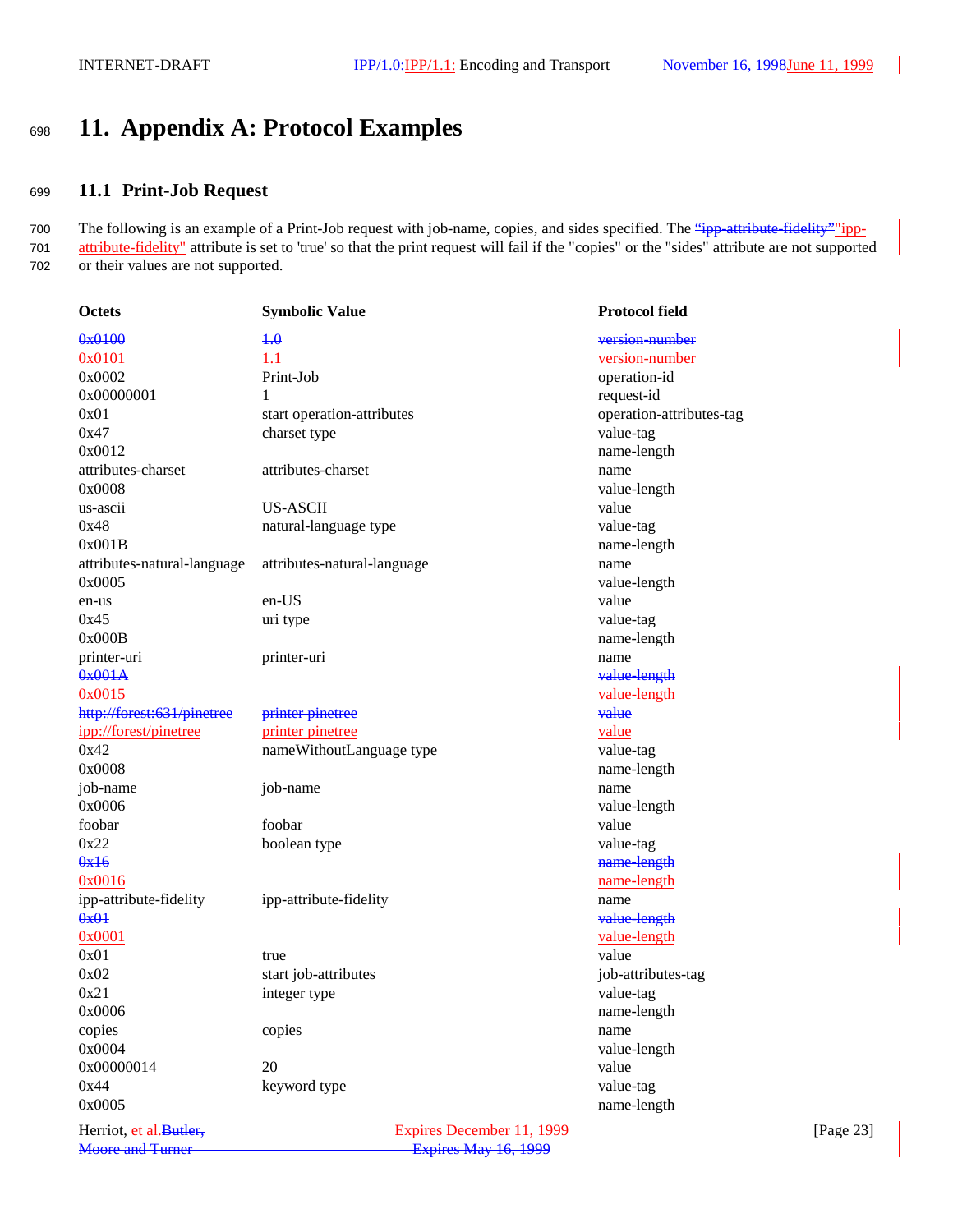# <sup>698</sup> **11. Appendix A: Protocol Examples**

### <sup>699</sup> **11.1 Print-Job Request**

700 The following is an example of a Print-Job request with job-name, copies, and sides specified. The "ipp-attribute-fidelity" ipp-701 attribute-fidelity" attribute is set to 'true' so that the print request will fail if the "copies" or the "sides" attribute are not supported 702 or their values are not supported.

| Octets                      | <b>Symbolic Value</b>       | <b>Protocol field</b>    |
|-----------------------------|-----------------------------|--------------------------|
| 0x0100                      | $+0$                        | version-number           |
| 0x0101                      | 1.1                         | version-number           |
| 0x0002                      | Print-Job                   | operation-id             |
| 0x00000001                  | 1                           | request-id               |
| 0x01                        | start operation-attributes  | operation-attributes-tag |
| 0x47                        | charset type                | value-tag                |
| 0x0012                      |                             | name-length              |
| attributes-charset          | attributes-charset          | name                     |
| 0x0008                      |                             | value-length             |
| us-ascii                    | <b>US-ASCII</b>             | value                    |
| 0x48                        | natural-language type       | value-tag                |
| 0x001B                      |                             | name-length              |
| attributes-natural-language | attributes-natural-language | name                     |
| 0x0005                      |                             | value-length             |
| en-us                       | en-US                       | value                    |
| 0x45                        | uri type                    | value-tag                |
| 0x000B                      |                             | name-length              |
| printer-uri                 | printer-uri                 | name                     |
| 0x001A                      |                             | value-length             |
| 0x0015                      |                             | value-length             |
| http://forest:631/pinetree  | printer pinetree            | value                    |
| ipp://forest/pinetree       | printer pinetree            | value                    |
| 0x42                        | nameWithoutLanguage type    | value-tag                |
| 0x0008                      |                             | name-length              |
| job-name                    | job-name                    | name                     |
| 0x0006                      |                             | value-length             |
| foobar                      | foobar                      | value                    |
| 0x22                        | boolean type                | value-tag                |
| 0x16                        |                             | name-length              |
| 0x0016                      |                             | name-length              |
| ipp-attribute-fidelity      | ipp-attribute-fidelity      | name                     |
| 0x01                        |                             | value-length             |
| 0x0001                      |                             | value-length             |
| 0x01                        | true                        | value                    |
| 0x02                        | start job-attributes        | job-attributes-tag       |
| 0x21                        | integer type                | value-tag                |
| 0x0006                      |                             | name-length              |
| copies                      | copies                      | name                     |
| 0x0004                      |                             | value-length             |
| 0x00000014                  | 20                          | value                    |
| 0x44                        | keyword type                | value-tag                |
| 0x0005                      |                             | name-length              |
|                             |                             |                          |

Herriot, et al. Butler, Expires December 11, 1999 [Page 23] Moore and Turner **Expires** May 16, 1999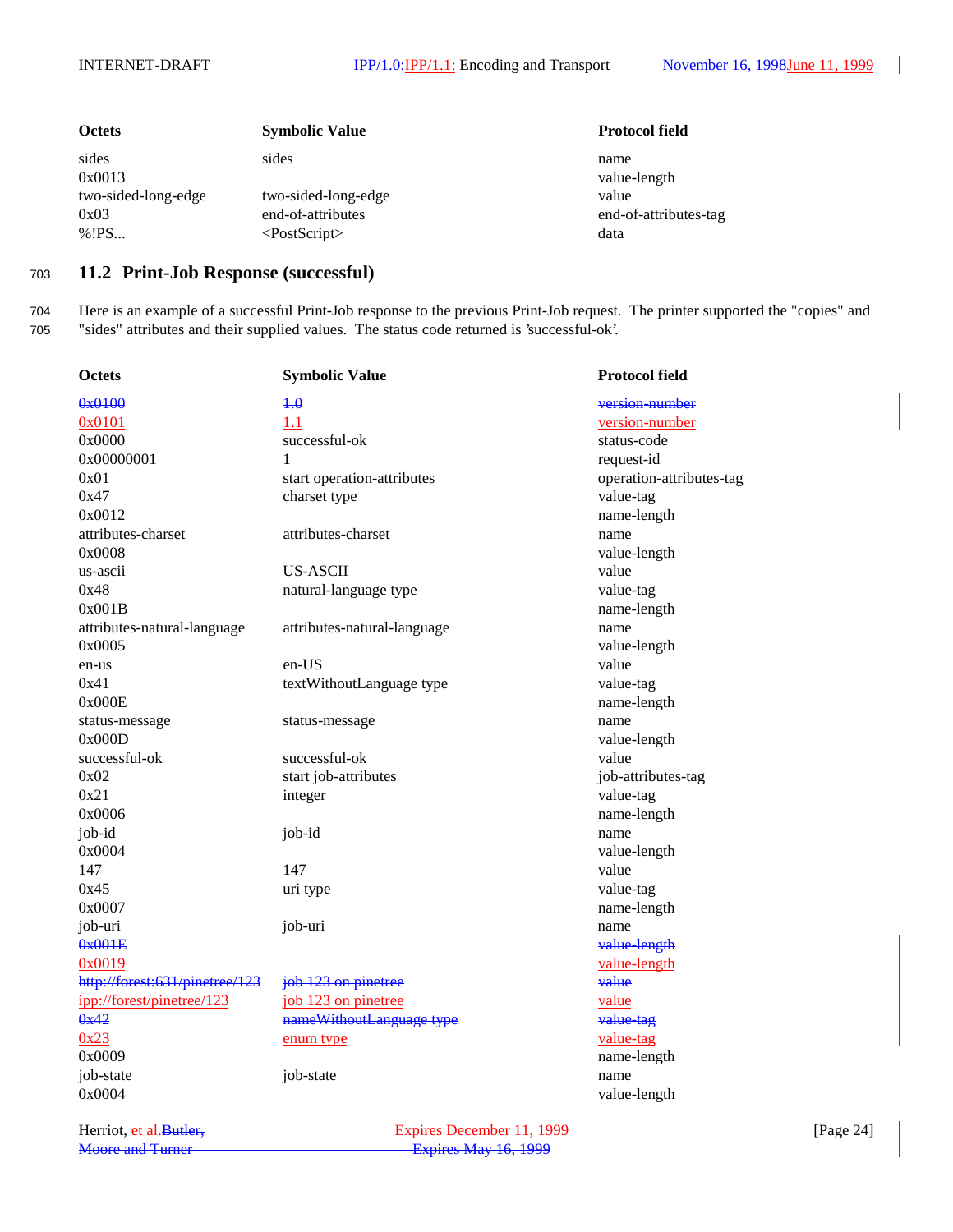| <b>Octets</b>                                            | <b>Symbolic Value</b>                                                   | <b>Protocol field</b>                                          |
|----------------------------------------------------------|-------------------------------------------------------------------------|----------------------------------------------------------------|
| sides<br>0x0013<br>two-sided-long-edge<br>0x03<br>% ! PS | sides<br>two-sided-long-edge<br>end-of-attributes<br>$<$ PostScript $>$ | name<br>value-length<br>value<br>end-of-attributes-tag<br>data |

### <sup>703</sup> **11.2 Print-Job Response (successful)**

704 Here is an example of a successful Print-Job response to the previous Print-Job request. The printer supported the "copies" and 705 "sides" attributes and their supplied values. The status code returned is 'successful-ok'.

| <b>Octets</b>                  | <b>Symbolic Value</b>       | <b>Protocol field</b>    |
|--------------------------------|-----------------------------|--------------------------|
| 0x0100                         | $+ \theta$                  | version-number           |
| 0x0101                         | 1.1                         | version-number           |
| 0x0000                         | successful-ok               | status-code              |
| 0x00000001                     | 1                           | request-id               |
| 0x01                           | start operation-attributes  | operation-attributes-tag |
| 0x47                           | charset type                | value-tag                |
| 0x0012                         |                             | name-length              |
| attributes-charset             | attributes-charset          | name                     |
| 0x0008                         |                             | value-length             |
| us-ascii                       | <b>US-ASCII</b>             | value                    |
| 0x48                           | natural-language type       | value-tag                |
| 0x001B                         |                             | name-length              |
| attributes-natural-language    | attributes-natural-language | name                     |
| 0x0005                         |                             | value-length             |
| en-us                          | en-US                       | value                    |
| 0x41                           | textWithoutLanguage type    | value-tag                |
| 0x000E                         |                             | name-length              |
| status-message                 | status-message              | name                     |
| 0x000D                         |                             | value-length             |
| successful-ok                  | successful-ok               | value                    |
| 0x02                           | start job-attributes        | job-attributes-tag       |
| 0x21                           | integer                     | value-tag                |
| 0x0006                         |                             | name-length              |
| job-id                         | job-id                      | name                     |
| 0x0004                         |                             | value-length             |
| 147                            | 147                         | value                    |
| 0x45                           | uri type                    | value-tag                |
| 0x0007                         |                             | name-length              |
| job-uri                        | job-uri                     | name                     |
| 0x001E                         |                             | value-length             |
| 0x0019                         |                             | value-length             |
| http://forest:631/pinetree/123 | job 123 on pinetree         | value                    |
| ipp://forest/pinetree/123      | job 123 on pinetree         | value                    |
| 0x42                           | nameWithoutLanguage type    | value-tag                |
| 0x23                           | enum type                   | value-tag                |
| 0x0009                         |                             | name-length              |
| job-state                      | job-state                   | name                     |
| 0x0004                         |                             | value-length             |
|                                |                             |                          |

Herriot, <u>et al.Butler, Expires December 11, 1999</u> [Page 24]<br>
Moore and Turner Expires May 16, 1999 Expires May 16, 1999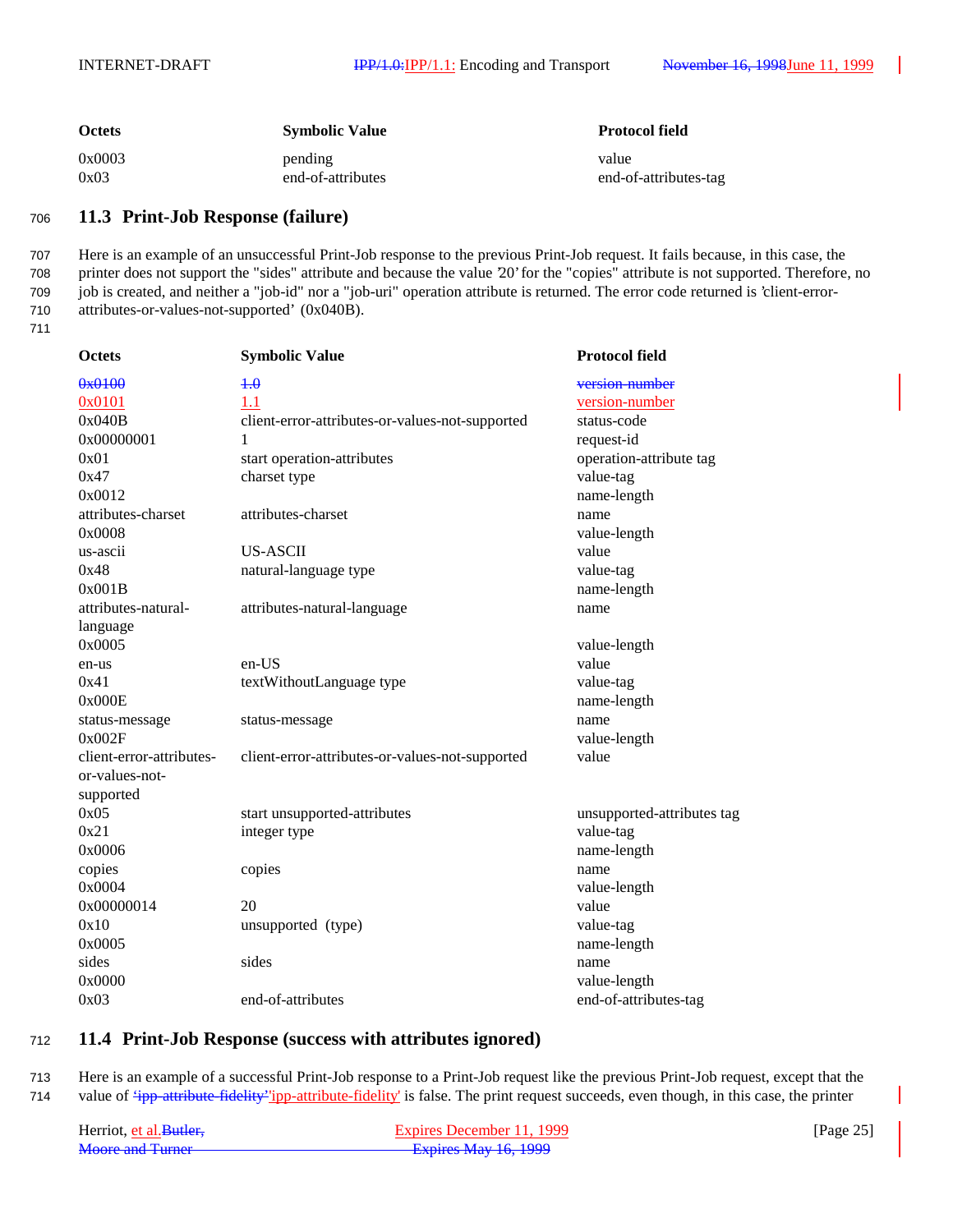| <b>Octets</b> | <b>Symbolic Value</b> | <b>Protocol field</b> |
|---------------|-----------------------|-----------------------|
| 0x0003        | pending               | value                 |
| 0x03          | end-of-attributes     | end-of-attributes-tag |

### <sup>706</sup> **11.3 Print-Job Response (failure)**

 Here is an example of an unsuccessful Print-Job response to the previous Print-Job request. It fails because, in this case, the printer does not support the "sides" attribute and because the value '20' for the "copies" attribute is not supported. Therefore, no job is created, and neither a "job-id" nor a "job-uri" operation attribute is returned. The error code returned is 'client-error-attributes-or-values-not-supported' (0x040B).

711

| <b>Octets</b>            | <b>Symbolic Value</b>                           | <b>Protocol field</b>      |
|--------------------------|-------------------------------------------------|----------------------------|
| 0x0100                   | 4.0                                             | version-number             |
| 0x0101                   | 1.1                                             | version-number             |
| 0x040B                   | client-error-attributes-or-values-not-supported | status-code                |
| 0x00000001               | 1                                               | request-id                 |
| 0x01                     | start operation-attributes                      | operation-attribute tag    |
| 0x47                     | charset type                                    | value-tag                  |
| 0x0012                   |                                                 | name-length                |
| attributes-charset       | attributes-charset                              | name                       |
| 0x0008                   |                                                 | value-length               |
| us-ascii                 | <b>US-ASCII</b>                                 | value                      |
| 0x48                     | natural-language type                           | value-tag                  |
| 0x001B                   |                                                 | name-length                |
| attributes-natural-      | attributes-natural-language                     | name                       |
| language                 |                                                 |                            |
| 0x0005                   |                                                 | value-length               |
| en-us                    | en-US                                           | value                      |
| 0x41                     | textWithoutLanguage type                        | value-tag                  |
| 0x000E                   |                                                 | name-length                |
| status-message           | status-message                                  | name                       |
| 0x002F                   |                                                 | value-length               |
| client-error-attributes- | client-error-attributes-or-values-not-supported | value                      |
| or-values-not-           |                                                 |                            |
| supported                |                                                 |                            |
| 0x05                     | start unsupported-attributes                    | unsupported-attributes tag |
| 0x21                     | integer type                                    | value-tag                  |
| 0x0006                   |                                                 | name-length                |
| copies                   | copies                                          | name                       |
| 0x0004                   |                                                 | value-length               |
| 0x00000014               | 20                                              | value                      |
| 0x10                     | unsupported (type)                              | value-tag                  |
| 0x0005                   |                                                 | name-length                |
| sides                    | sides                                           | name                       |
| 0x0000                   |                                                 | value-length               |
| 0x03                     | end-of-attributes                               | end-of-attributes-tag      |

### <sup>712</sup> **11.4 Print-Job Response (success with attributes ignored)**

713 Here is an example of a successful Print-Job response to a Print-Job request like the previous Print-Job request, except that the 714 value of *ipp-attribute-fidelity' ipp-attribute-fidelity'* is false. The print request succeeds, even though, in this case, the printer

| Herriot, et al. Butler. | Expires December 11, 1999 | [Page $25$ ] |
|-------------------------|---------------------------|--------------|
| Moore and Turner        | Expires May 16, 1999      |              |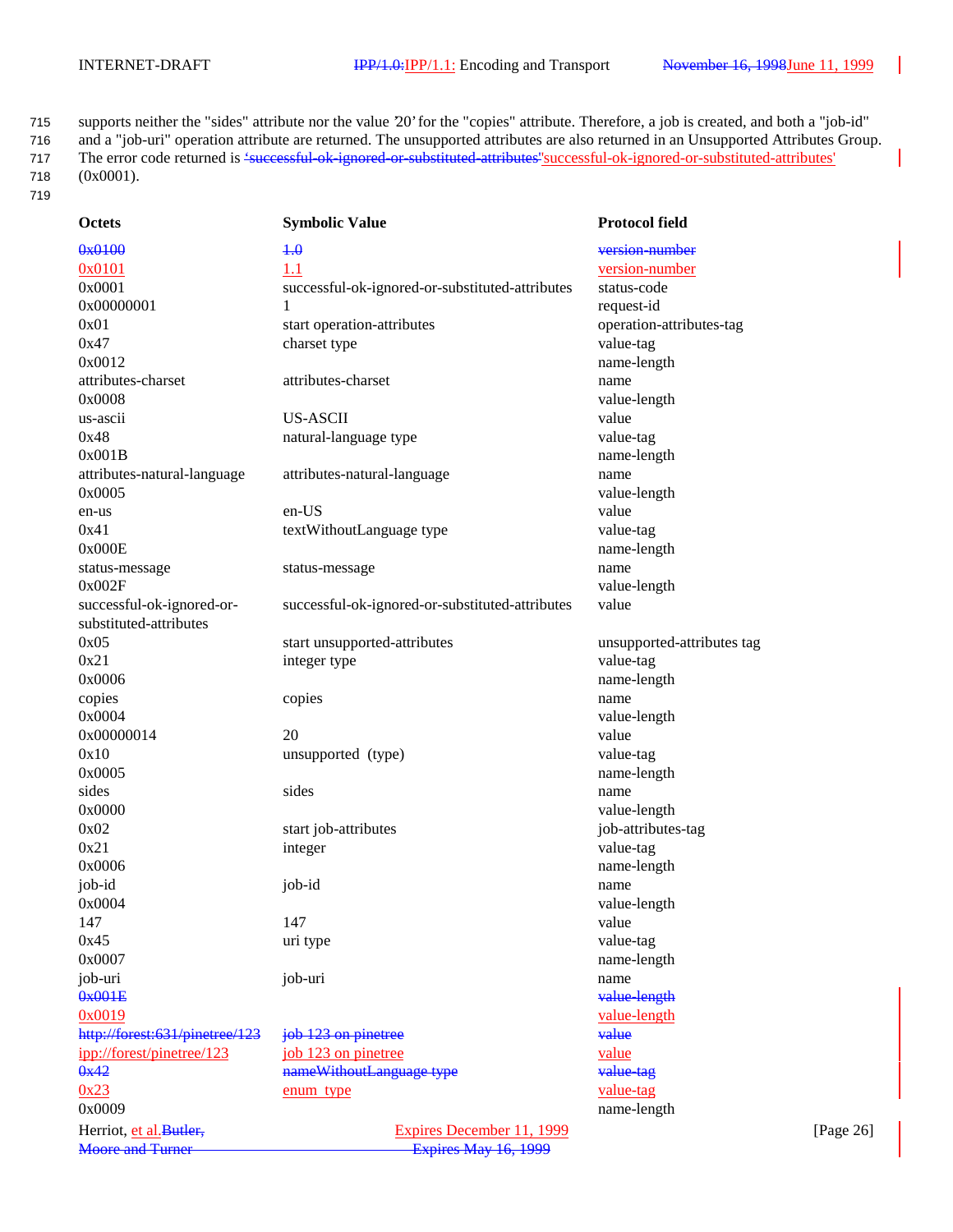715 supports neither the "sides" attribute nor the value '20' for the "copies" attribute. Therefore, a job is created, and both a "job-id" 716 and a "job-uri" operation attribute are returned. The unsupported attributes are also returned in an Unsupported Attributes Group. 717 The error code returned is <del>'successful-ok-ignored-or-substituted-attributes'</del> successful-ok-ignored-or-substituted-attributes' 718 (0x0001). 719

| <b>Octets</b>                  | <b>Symbolic Value</b>                           | <b>Protocol field</b>      |              |
|--------------------------------|-------------------------------------------------|----------------------------|--------------|
| 0x0100                         | $+ \theta$                                      | version-number             |              |
| 0x0101                         | 1.1                                             | version-number             |              |
| 0x0001                         | successful-ok-ignored-or-substituted-attributes | status-code                |              |
| 0x00000001                     | 1                                               | request-id                 |              |
| 0x01                           | start operation-attributes                      | operation-attributes-tag   |              |
| 0x47                           | charset type                                    | value-tag                  |              |
| 0x0012                         |                                                 | name-length                |              |
| attributes-charset             | attributes-charset                              | name                       |              |
| 0x0008                         |                                                 | value-length               |              |
| us-ascii                       | <b>US-ASCII</b>                                 | value                      |              |
| 0x48                           | natural-language type                           | value-tag                  |              |
| 0x001B                         |                                                 | name-length                |              |
| attributes-natural-language    | attributes-natural-language                     | name                       |              |
| 0x0005                         |                                                 | value-length               |              |
| en-us                          | en-US                                           | value                      |              |
| 0x41                           | textWithoutLanguage type                        | value-tag                  |              |
| 0x000E                         |                                                 |                            |              |
|                                |                                                 | name-length                |              |
| status-message                 | status-message                                  | name                       |              |
| 0x002F                         |                                                 | value-length               |              |
| successful-ok-ignored-or-      | successful-ok-ignored-or-substituted-attributes | value                      |              |
| substituted-attributes         |                                                 |                            |              |
| 0x05                           | start unsupported-attributes                    | unsupported-attributes tag |              |
| 0x21                           | integer type                                    | value-tag                  |              |
| 0x0006                         |                                                 | name-length                |              |
| copies                         | copies                                          | name                       |              |
| 0x0004                         |                                                 | value-length               |              |
| 0x00000014                     | 20                                              | value                      |              |
| 0x10                           | unsupported (type)                              | value-tag                  |              |
| 0x0005                         |                                                 | name-length                |              |
| sides                          | sides                                           | name                       |              |
| 0x0000                         |                                                 | value-length               |              |
| 0x02                           | start job-attributes                            | job-attributes-tag         |              |
| 0x21                           | integer                                         | value-tag                  |              |
| 0x0006                         |                                                 | name-length                |              |
| job-id                         | job-id                                          | name                       |              |
| 0x0004                         |                                                 | value-length               |              |
| 147                            | 147                                             | value                      |              |
| 0x45                           | uri type                                        | value-tag                  |              |
| 0x0007                         |                                                 | name-length                |              |
| job-uri                        | job-uri                                         | name                       |              |
| 0x001E                         |                                                 | value-length               |              |
| 0x0019                         |                                                 | <u>value-length</u>        |              |
| http://forest:631/pinetree/123 | job 123 on pinetree                             | value                      |              |
| ipp://forest/pinetree/123      | job 123 on pinetree                             | <u>value</u>               |              |
| 0x42                           | nameWithoutLanguage type                        | value-tag                  |              |
| 0x23                           | enum type                                       | <u>value-tag</u>           |              |
| 0x0009                         |                                                 | name-length                |              |
| Herriot, et al. Butler,        | Expires December 11, 1999                       |                            | [Page $26$ ] |
| <b>Moore and Turner</b>        | Expires May 16, 1999                            |                            |              |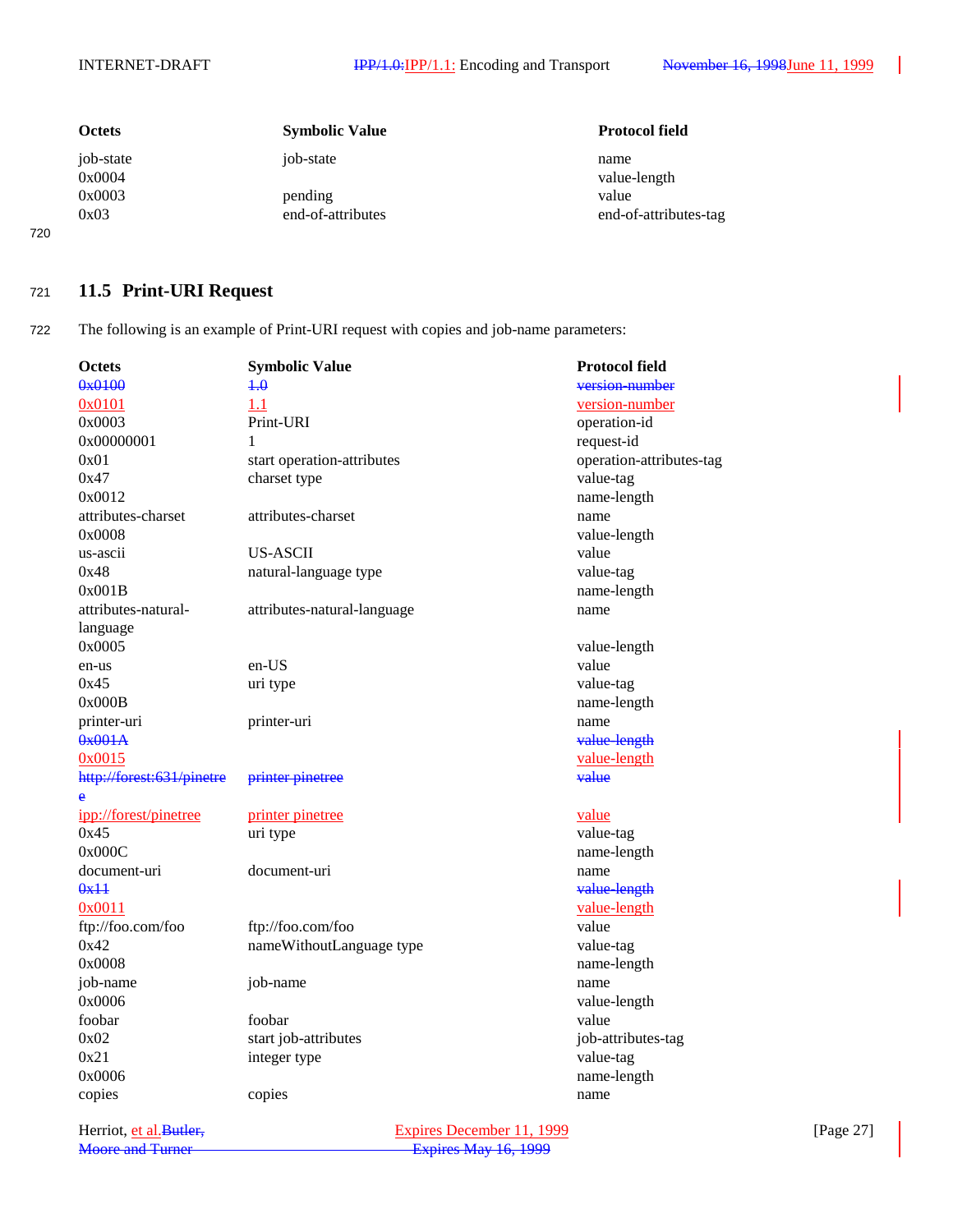| <b>Octets</b>       | <b>Symbolic Value</b>        | <b>Protocol field</b>          |
|---------------------|------------------------------|--------------------------------|
| job-state<br>0x0004 | job-state                    | name<br>value-length           |
| 0x0003<br>0x03      | pending<br>end-of-attributes | value<br>end-of-attributes-tag |

### <sup>721</sup> **11.5 Print-URI Request**

720

722 The following is an example of Print-URI request with copies and job-name parameters:

| Octets                    | <b>Symbolic Value</b>       | <b>Protocol field</b>    |
|---------------------------|-----------------------------|--------------------------|
| 0x0100                    | $+0$                        | version-number           |
| 0x0101                    | 1.1                         | version-number           |
| 0x0003                    | Print-URI                   | operation-id             |
| 0x00000001                | 1                           | request-id               |
| 0x01                      | start operation-attributes  | operation-attributes-tag |
| 0x47                      | charset type                | value-tag                |
| 0x0012                    |                             | name-length              |
| attributes-charset        | attributes-charset          | name                     |
| 0x0008                    |                             | value-length             |
| us-ascii                  | <b>US-ASCII</b>             | value                    |
| 0x48                      | natural-language type       | value-tag                |
| 0x001B                    |                             | name-length              |
| attributes-natural-       | attributes-natural-language | name                     |
| language                  |                             |                          |
| 0x0005                    |                             | value-length             |
| en-us                     | en-US                       | value                    |
| 0x45                      | uri type                    | value-tag                |
| 0x000B                    |                             | name-length              |
| printer-uri               | printer-uri                 | name                     |
| 0x001A                    |                             | value-length             |
| 0x0015                    |                             | value-length             |
| http://forest:631/pinetre | printer pinetree            | value                    |
| è                         |                             |                          |
| ipp://forest/pinetree     | printer pinetree            | value                    |
| 0x45                      | uri type                    | value-tag                |
| 0x000C                    |                             | name-length              |
| document-uri              | document-uri                | name                     |
| 0x11                      |                             | value-length             |
| 0x0011                    |                             | value-length             |
| ftp://foo.com/foo         | ftp://foo.com/foo           | value                    |
| 0x42                      | nameWithoutLanguage type    | value-tag                |
| 0x0008                    |                             | name-length              |
| job-name                  | job-name                    | name                     |
| 0x0006                    |                             | value-length             |
| foobar                    | foobar                      | value                    |
| 0x02                      | start job-attributes        | job-attributes-tag       |
| 0x21                      | integer type                | value-tag                |
| 0x0006                    |                             | name-length              |
| copies                    | copies                      | name                     |
|                           |                             |                          |

Herriot, et al. Butler,<br>
Moore and Turner<br>
Expires December 11, 1999<br>
Expires May 16, 1999 Expires May 16, 1999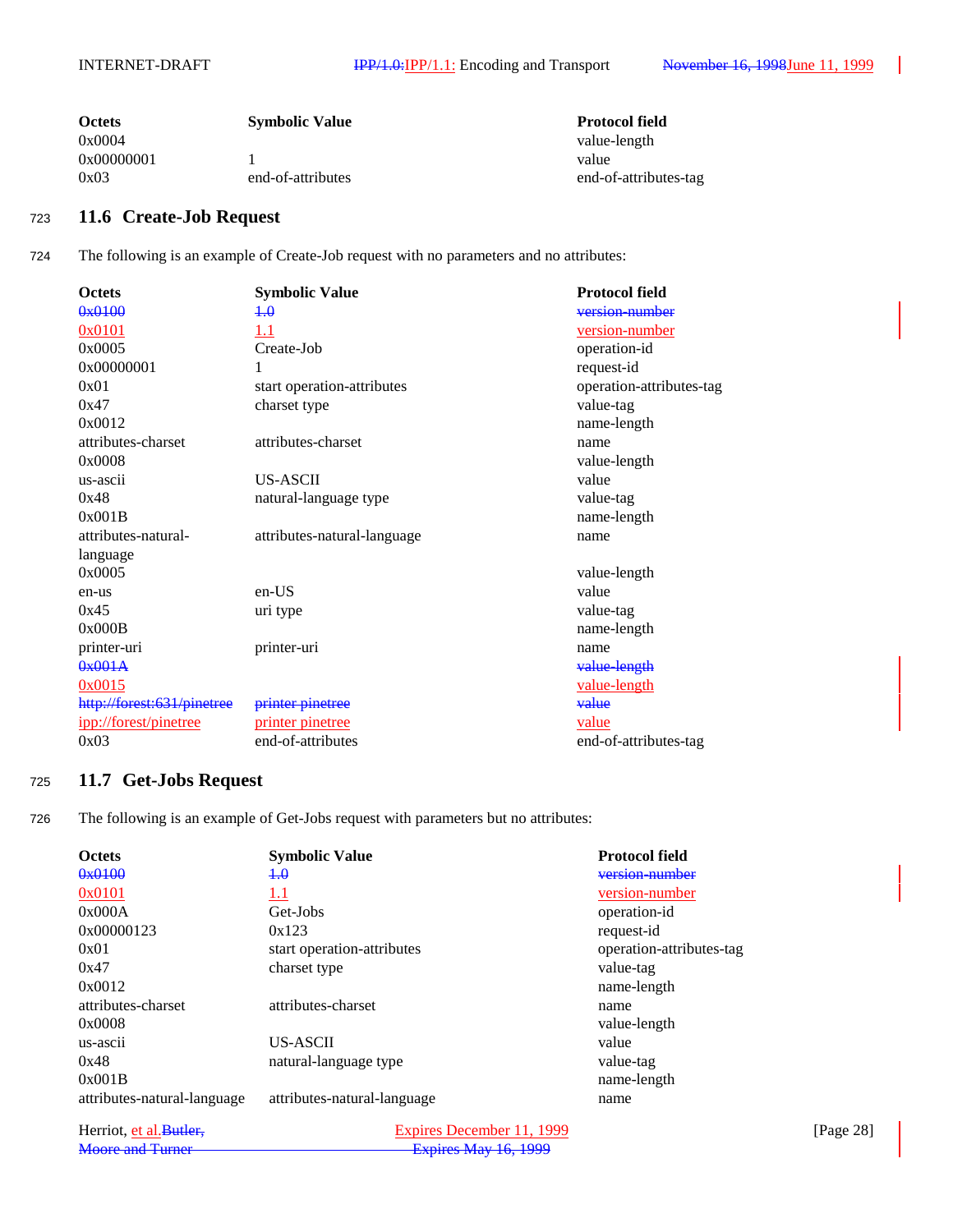| <b>Octets</b> | <b>Symbolic Value</b> | <b>Protocol field</b> |
|---------------|-----------------------|-----------------------|
| 0x0004        |                       | value-length          |
| 0x00000001    |                       | value                 |
| 0x03          | end-of-attributes     | end-of-attributes-tag |

# <sup>723</sup> **11.6 Create-Job Request**

724 The following is an example of Create-Job request with no parameters and no attributes:

| <b>Octets</b>              | <b>Symbolic Value</b>       | <b>Protocol field</b>    |
|----------------------------|-----------------------------|--------------------------|
| 0x0100                     | $+ \theta$                  | version-number           |
| 0x0101                     | $1.1\,$                     | <u>version-number</u>    |
| 0x0005                     | Create-Job                  | operation-id             |
| 0x00000001                 | 1                           | request-id               |
| 0x01                       | start operation-attributes  | operation-attributes-tag |
| 0x47                       | charset type                | value-tag                |
| 0x0012                     |                             | name-length              |
| attributes-charset         | attributes-charset          | name                     |
| 0x0008                     |                             | value-length             |
| us-ascii                   | <b>US-ASCII</b>             | value                    |
| 0x48                       | natural-language type       | value-tag                |
| 0x001B                     |                             | name-length              |
| attributes-natural-        | attributes-natural-language | name                     |
| language                   |                             |                          |
| 0x0005                     |                             | value-length             |
| en-us                      | $en-US$                     | value                    |
| 0x45                       | uri type                    | value-tag                |
| 0x000B                     |                             | name-length              |
| printer-uri                | printer-uri                 | name                     |
| 0x001A                     |                             | value-length             |
| 0x0015                     |                             | value-length             |
| http://forest:631/pinetree | printer pinetree            | value                    |
| ipp://forest/pinetree      | printer pinetree            | value                    |
| 0x03                       | end-of-attributes           | end-of-attributes-tag    |

## <sup>725</sup> **11.7 Get-Jobs Request**

726 The following is an example of Get-Jobs request with parameters but no attributes:

| <b>Octets</b>               | <b>Symbolic Value</b>       | <b>Protocol field</b>    |
|-----------------------------|-----------------------------|--------------------------|
| 0x0100                      | $+.\theta$                  | version-number           |
| 0x0101                      | 1.1                         | version-number           |
| 0x000A                      | Get-Jobs                    | operation-id             |
| 0x00000123                  | 0x123                       | request-id               |
| 0x01                        | start operation-attributes  | operation-attributes-tag |
| 0x47                        | charset type                | value-tag                |
| 0x0012                      |                             | name-length              |
| attributes-charset          | attributes-charset          | name                     |
| 0x0008                      |                             | value-length             |
| us-ascii                    | US-ASCII                    | value                    |
| 0x48                        | natural-language type       | value-tag                |
| 0x001B                      |                             | name-length              |
| attributes-natural-language | attributes-natural-language | name                     |
|                             |                             |                          |

| Herriot, et al. Butler. | Expires December 11, 1999   | [Page $28$ ] |
|-------------------------|-----------------------------|--------------|
| Moore and Turner        | <b>Expires May 16, 1999</b> |              |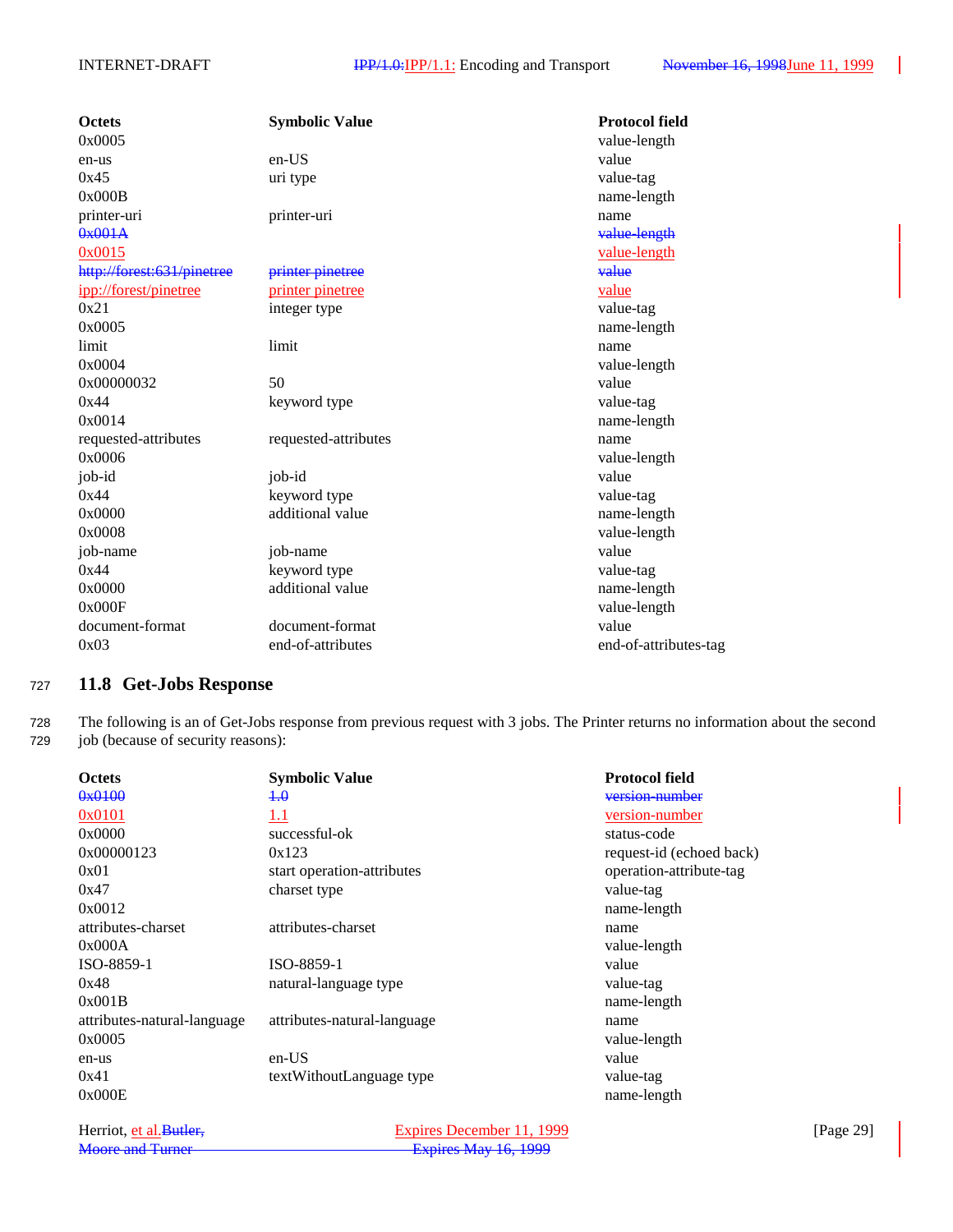| <b>Octets</b>              | <b>Symbolic Value</b> | <b>Protocol field</b> |
|----------------------------|-----------------------|-----------------------|
| 0x0005                     |                       | value-length          |
| en-us                      | $en-US$               | value                 |
| 0x45                       | uri type              | value-tag             |
| 0x000B                     |                       | name-length           |
| printer-uri                | printer-uri           | name                  |
| 0x001A                     |                       | value-length          |
| 0x0015                     |                       | value-length          |
| http://forest:631/pinetree | printer pinetree      | value                 |
| ipp://forest/pinetree      | printer pinetree      | value                 |
| 0x21                       | integer type          | value-tag             |
| 0x0005                     |                       | name-length           |
| limit                      | limit                 | name                  |
| 0x0004                     |                       | value-length          |
| 0x00000032                 | 50                    | value                 |
| 0x44                       | keyword type          | value-tag             |
| 0x0014                     |                       | name-length           |
| requested-attributes       | requested-attributes  | name                  |
| 0x0006                     |                       | value-length          |
| job-id                     | job-id                | value                 |
| 0x44                       | keyword type          | value-tag             |
| 0x0000                     | additional value      | name-length           |
| 0x0008                     |                       | value-length          |
| job-name                   | job-name              | value                 |
| 0x44                       | keyword type          | value-tag             |
| 0x0000                     | additional value      | name-length           |
| 0x000F                     |                       | value-length          |
| document-format            | document-format       | value                 |
| 0x03                       | end-of-attributes     | end-of-attributes-tag |

### <sup>727</sup> **11.8 Get-Jobs Response**

728 The following is an of Get-Jobs response from previous request with 3 jobs. The Printer returns no information about the second 729 job (because of security reasons):

| <b>Octets</b>               | <b>Symbolic Value</b>       | <b>Protocol field</b>    |
|-----------------------------|-----------------------------|--------------------------|
| 0x0100                      | $+ \theta$                  | version-number           |
| 0x0101                      | 1.1                         | version-number           |
| 0x0000                      | successful-ok               | status-code              |
| 0x00000123                  | 0x123                       | request-id (echoed back) |
| 0x01                        | start operation-attributes  | operation-attribute-tag  |
| 0x47                        | charset type                | value-tag                |
| 0x0012                      |                             | name-length              |
| attributes-charset          | attributes-charset          | name                     |
| 0x000A                      |                             | value-length             |
| ISO-8859-1                  | ISO-8859-1                  | value                    |
| 0x48                        | natural-language type       | value-tag                |
| 0x001B                      |                             | name-length              |
| attributes-natural-language | attributes-natural-language | name                     |
| 0x0005                      |                             | value-length             |
| en-us                       | en-US                       | value                    |
| 0x41                        | textWithoutLanguage type    | value-tag                |
| 0x000E                      |                             | name-length              |
|                             |                             |                          |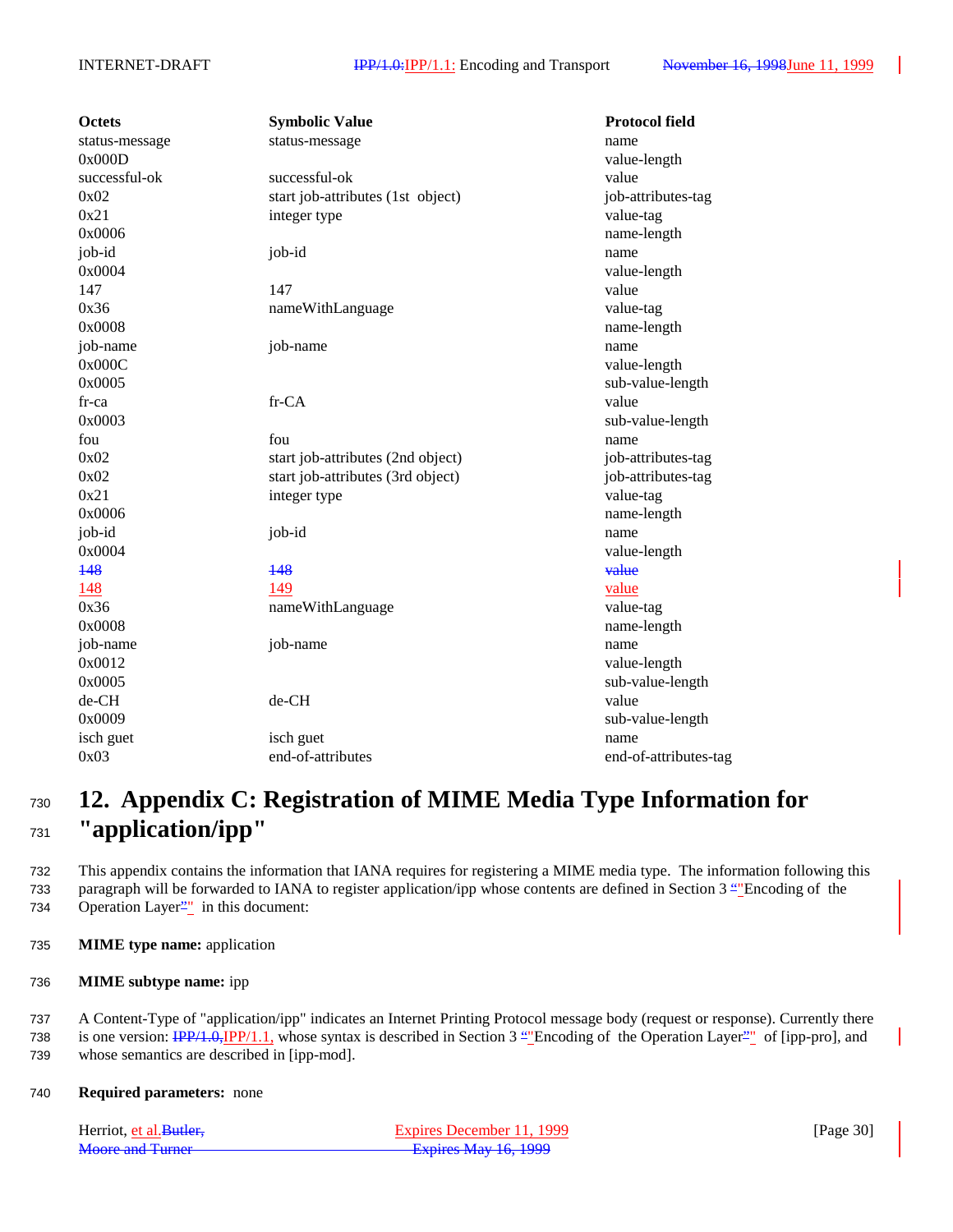| <b>Octets</b>  | <b>Symbolic Value</b>             | <b>Protocol field</b> |
|----------------|-----------------------------------|-----------------------|
| status-message | status-message                    | name                  |
| 0x000D         |                                   | value-length          |
| successful-ok  | successful-ok                     | value                 |
| 0x02           | start job-attributes (1st object) | job-attributes-tag    |
| 0x21           | integer type                      | value-tag             |
| 0x0006         |                                   | name-length           |
| job-id         | job-id                            | name                  |
| 0x0004         |                                   | value-length          |
| 147            | 147                               | value                 |
| 0x36           | nameWithLanguage                  | value-tag             |
| 0x0008         |                                   | name-length           |
| job-name       | job-name                          | name                  |
| 0x000C         |                                   | value-length          |
| 0x0005         |                                   | sub-value-length      |
| $fr-ca$        | fr-CA                             | value                 |
| 0x0003         |                                   | sub-value-length      |
| fou            | fou                               | name                  |
| 0x02           | start job-attributes (2nd object) | job-attributes-tag    |
| 0x02           | start job-attributes (3rd object) | job-attributes-tag    |
| 0x21           | integer type                      | value-tag             |
| 0x0006         |                                   | name-length           |
| job-id         | job-id                            | name                  |
| 0x0004         |                                   | value-length          |
| 148            | 148                               | value                 |
| 148            | 149                               | value                 |
| 0x36           | nameWithLanguage                  | value-tag             |
| 0x0008         |                                   | name-length           |
| job-name       | job-name                          | name                  |
| 0x0012         |                                   | value-length          |
| 0x0005         |                                   | sub-value-length      |
| de-CH          | de-CH                             | value                 |
| 0x0009         |                                   | sub-value-length      |
| isch guet      | isch guet                         | name                  |
| 0x03           | end-of-attributes                 | end-of-attributes-tag |
|                |                                   |                       |

# <sup>730</sup> **12. Appendix C: Registration of MIME Media Type Information for** <sup>731</sup> **"application/ipp"**

732 This appendix contains the information that IANA requires for registering a MIME media type. The information following this 733 paragraph will be forwarded to IANA to register application/ipp whose contents are defined in Section 3 ""Encoding of the 734 Operation Layer<sup>21</sup> in this document:

- 735 **MIME type name:** application
- 736 **MIME subtype name:** ipp

737 A Content-Type of "application/ipp" indicates an Internet Printing Protocol message body (request or response). Currently there 738 is one version:  $\frac{IPP}{1.0}$ ,  $\frac{IPP}{1.1}$ , whose syntax is described in Section 3 "Theoding of the Operation Layer"" of [ipp-pro], and 739 whose semantics are described in [ipp-mod].

740 **Required parameters:** none

| Herriot, et al. Butler, | Expires December 11, 1999 | [Page $30$ ] |
|-------------------------|---------------------------|--------------|
| Moore and Turner        | Expires May 16, 1999      |              |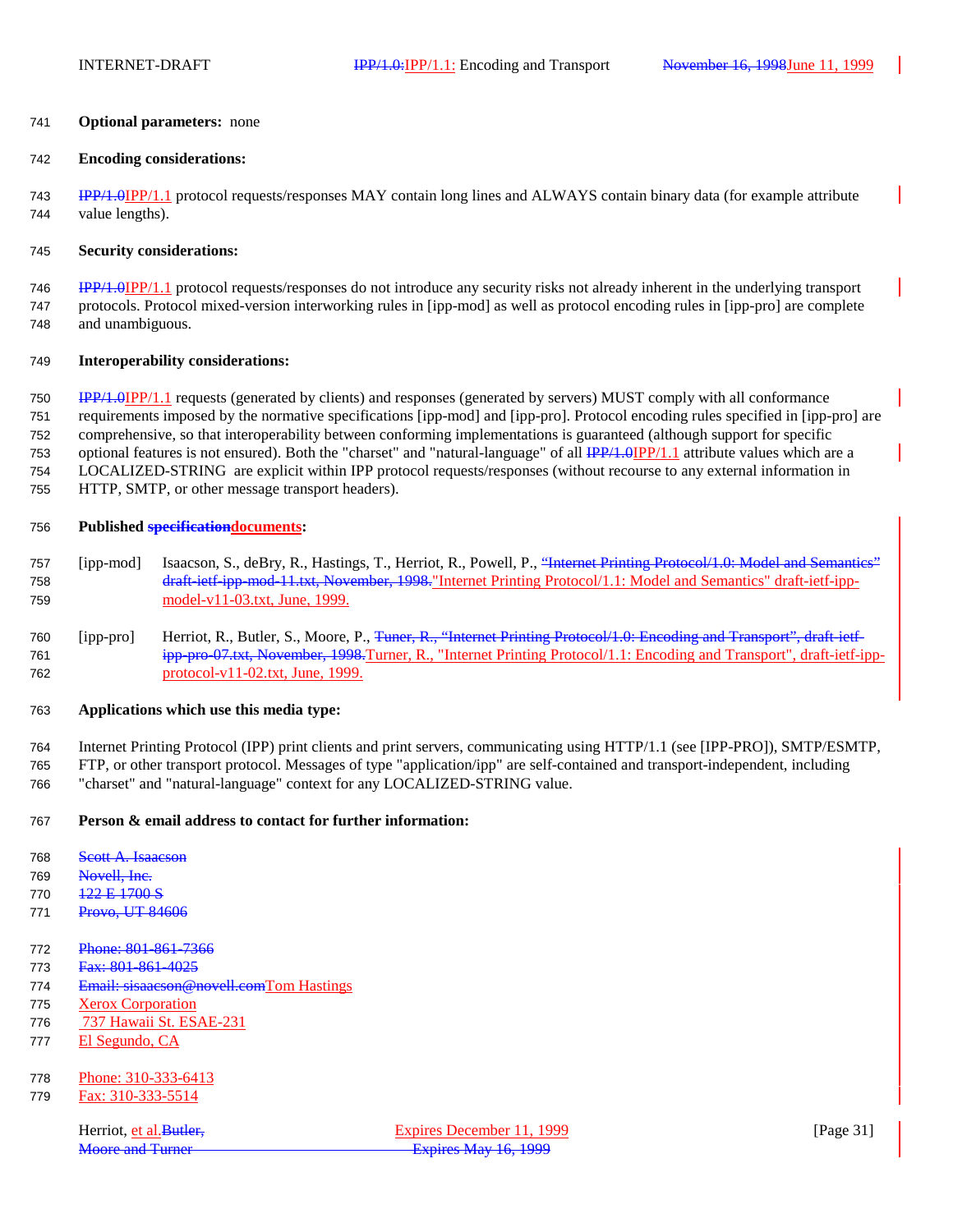#### **Optional parameters:** none

#### **Encoding considerations:**

 IPP/1.0IPP/1.1 protocol requests/responses MAY contain long lines and ALWAYS contain binary data (for example attribute value lengths).

#### **Security considerations:**

 IPP/1.0IPP/1.1 protocol requests/responses do not introduce any security risks not already inherent in the underlying transport protocols. Protocol mixed-version interworking rules in [ipp-mod] as well as protocol encoding rules in [ipp-pro] are complete and unambiguous.

#### **Interoperability considerations:**

 IPP/1.0IPP/1.1 requests (generated by clients) and responses (generated by servers) MUST comply with all conformance requirements imposed by the normative specifications [ipp-mod] and [ipp-pro]. Protocol encoding rules specified in [ipp-pro] are comprehensive, so that interoperability between conforming implementations is guaranteed (although support for specific 753 optional features is not ensured). Both the "charset" and "natural-language" of all IPP/1.0IPP/1.1 attribute values which are a LOCALIZED-STRING are explicit within IPP protocol requests/responses (without recourse to any external information in HTTP, SMTP, or other message transport headers).

### **Published specificationdocuments:**

- [ipp-mod] Isaacson, S., deBry, R., Hastings, T., Herriot, R., Powell, P., "Internet Printing Protocol/1.0: Model and Semantics" draft-ietf-ipp-mod-11.txt, November, 1998."Internet Printing Protocol/1.1: Model and Semantics" draft-ietf-ipp-model-v11-03.txt, June, 1999.
- 760 [ipp-pro] Herriot, R., Butler, S., Moore, P., Tuner, R., "Internet Printing Protocol/1.0: Encoding and Transport", draft-ietf- ipp-pro-07.txt, November, 1998.Turner, R., "Internet Printing Protocol/1.1: Encoding and Transport", draft-ietf-ipp-protocol-v11-02.txt, June, 1999.

### **Applications which use this media type:**

 Internet Printing Protocol (IPP) print clients and print servers, communicating using HTTP/1.1 (see [IPP-PRO]), SMTP/ESMTP, FTP, or other transport protocol. Messages of type "application/ipp" are self-contained and transport-independent, including

"charset" and "natural-language" context for any LOCALIZED-STRING value.

### **Person & email address to contact for further information:**

- 768 Scott A. Isaacson
- Novell, Inc.
- 770 122 E 1700 S
- 771 Provo, UT 84606
- Phone: 801-861-7366
- 773 Fax: 801-861-4025
- 774 Email: sisaacson@novell.comTom Hastings
- Xerox Corporation
- 737 Hawaii St. ESAE-231
- El Segundo, CA
- Phone: 310-333-6413
- Fax: 310-333-5514

Herriot, et al. Butler, Expires December 11, 1999 [Page 31] Moore and Turner **Expires May 16, 1999**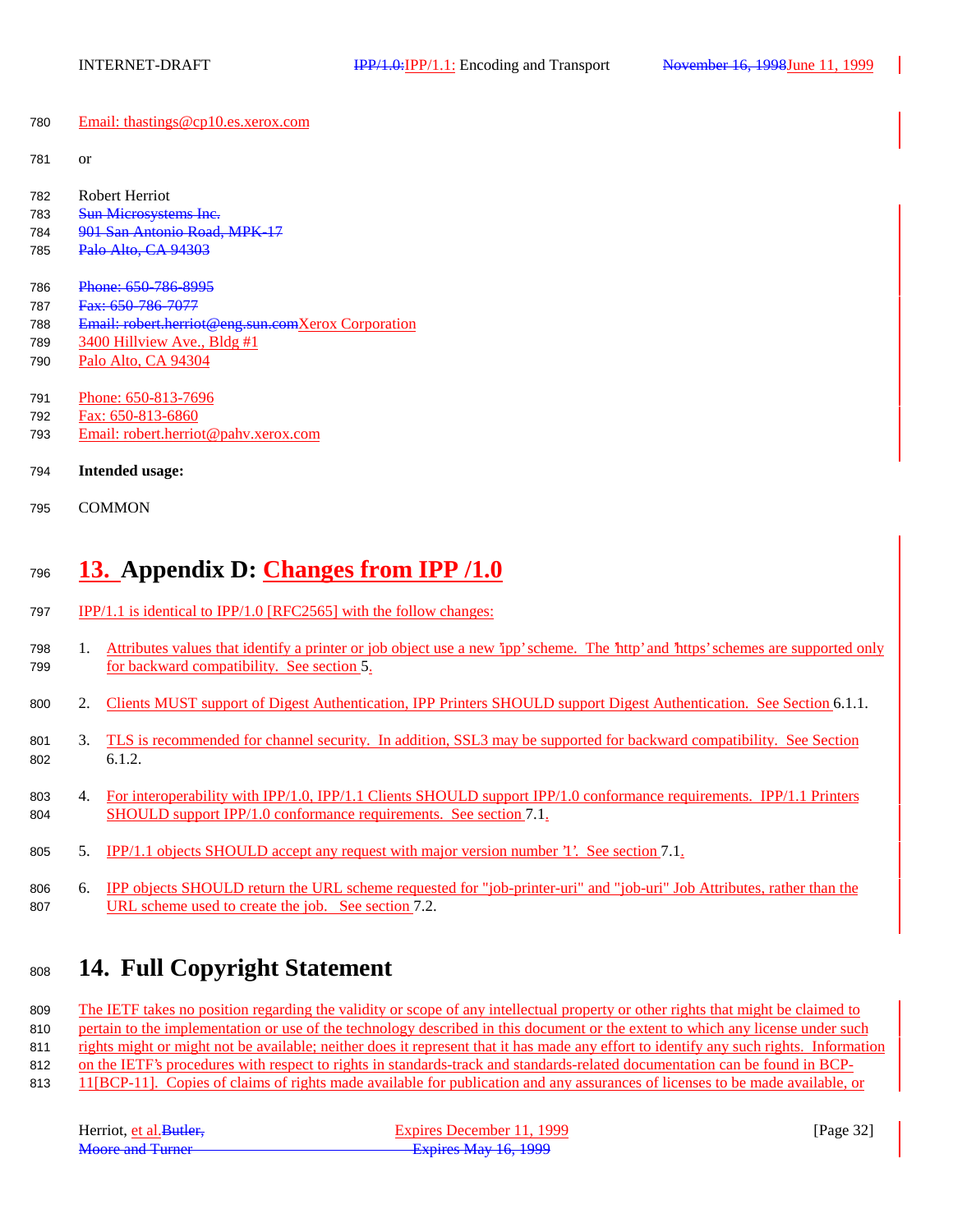Email: thastings@cp10.es.xerox.com

- or
- Robert Herriot
- 783 Sun Microsystems Inc.
- 901 San Antonio Road, MPK-17
- 785 Palo Alto, CA 94303
- 786 Phone: 650-786-8995
- 787 Fax: 650-786-7077
- Email: robert.herriot@eng.sun.comXerox Corporation
- 789 3400 Hillview Ave., Bldg #1
- Palo Alto, CA 94304
- Phone: 650-813-7696
- Fax: 650-813-6860
- Email: robert.herriot@pahv.xerox.com
- **Intended usage:**
- COMMON

# **13. Appendix D: Changes from IPP /1.0**

- IPP/1.1 is identical to IPP/1.0 [RFC2565] with the follow changes:
- 1. Attributes values that identify a printer or job object use a new 'ipp' scheme. The 'http' and 'https' schemes are supported only for backward compatibility. See section 5.
- 800 2. Clients MUST support of Digest Authentication, IPP Printers SHOULD support Digest Authentication. See Section 6.1.1.
- 3. TLS is recommended for channel security. In addition, SSL3 may be supported for backward compatibility. See Section 6.1.2.
- 803 4. For interoperability with IPP/1.0, IPP/1.1 Clients SHOULD support IPP/1.0 conformance requirements. IPP/1.1 Printers SHOULD support IPP/1.0 conformance requirements. See section 7.1.
- 5. IPP/1.1 objects SHOULD accept any request with major version number '1'. See section 7.1.
- 6. IPP objects SHOULD return the URL scheme requested for "job-printer-uri" and "job-uri" Job Attributes, rather than the URL scheme used to create the job. See section 7.2.

# **14. Full Copyright Statement**

 The IETF takes no position regarding the validity or scope of any intellectual property or other rights that might be claimed to 810 pertain to the implementation or use of the technology described in this document or the extent to which any license under such rights might or might not be available; neither does it represent that it has made any effort to identify any such rights. Information on the IETF's procedures with respect to rights in standards-track and standards-related documentation can be found in BCP-11[BCP-11]. Copies of claims of rights made available for publication and any assurances of licenses to be made available, or

| Herriot, et al. Butler. | Expires December 11, 1999 | [Page $32$ ] |
|-------------------------|---------------------------|--------------|
| <b>Moore and Turner</b> | Expires May 16, 1999      |              |